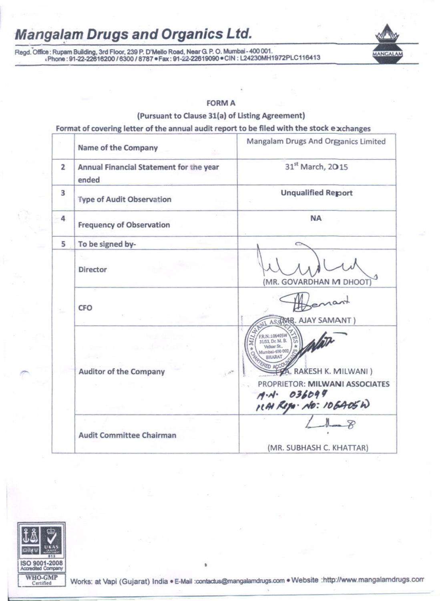# **Mangalam Drugs and Organics Ltd.**

Regd. Office: Rupam Building, 3rd Floor, 239 P. D'Mello Road, Near G. P. O. Mumbai - 400 001. .Phone: 91-22-22616200 / 6300 / 8787 · Fax: 91-22-22619090 · CIN: L24230MH1972PLC116413



**MANGALAM** 

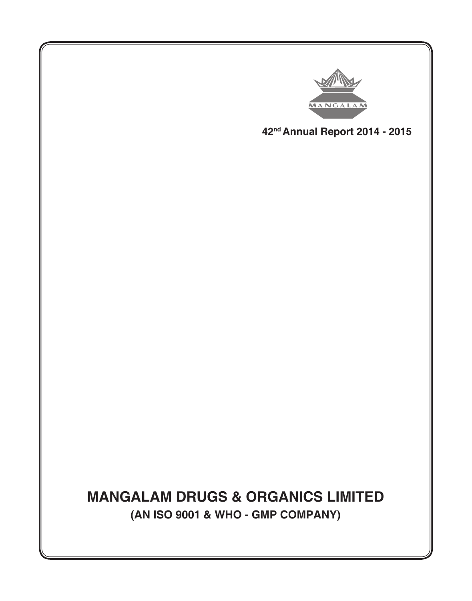

**42nd Annual Report 2014 - 2015**

**MANGALAM DRUGS & ORGANICS LIMITED (AN ISO 9001 & WHO - GMP COMPANY)**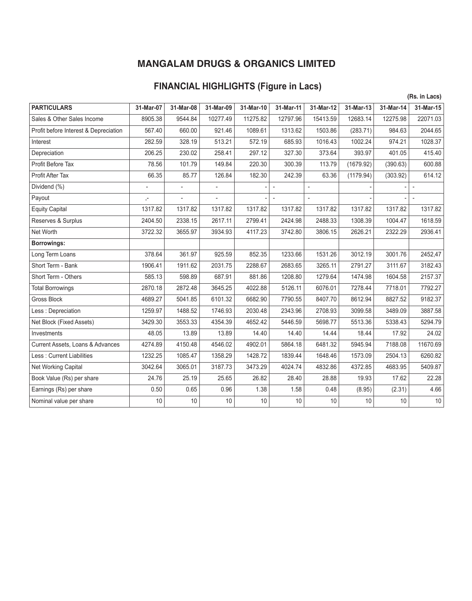## **FINANCIAL HIGHLIGHTS (Figure in Lacs)**

|           |                |                          |           |                |                |           |           | (Rs. in Lacs)            |
|-----------|----------------|--------------------------|-----------|----------------|----------------|-----------|-----------|--------------------------|
| 31-Mar-07 | 31-Mar-08      | 31-Mar-09                | 31-Mar-10 | 31-Mar-11      | 31-Mar-12      |           | 31-Mar-14 | 31-Mar-15                |
| 8905.38   | 9544.84        | 10277.49                 | 11275.82  | 12797.96       | 15413.59       | 12683.14  | 12275.98  | 22071.03                 |
| 567.40    | 660.00         | 921.46                   | 1089.61   | 1313.62        | 1503.86        | (283.71)  | 984.63    | 2044.65                  |
| 282.59    | 328.19         | 513.21                   | 572.19    | 685.93         | 1016.43        | 1002.24   | 974.21    | 1028.37                  |
| 206.25    | 230.02         | 258.41                   | 297.12    | 327.30         | 373.64         | 393.97    | 401.05    | 415.40                   |
| 78.56     | 101.79         | 149.84                   | 220.30    | 300.39         | 113.79         | (1679.92) | (390.63)  | 600.88                   |
| 66.35     | 85.77          | 126.84                   | 182.30    | 242.39         | 63.36          | (1179.94) | (303.92)  | 614.12                   |
|           | $\overline{a}$ |                          |           | $\overline{a}$ | $\overline{a}$ |           |           | $\overline{\phantom{a}}$ |
| $, -$     | $\overline{a}$ | $\overline{\phantom{a}}$ |           | $\overline{a}$ |                |           |           | $\overline{\phantom{a}}$ |
| 1317.82   | 1317.82        | 1317.82                  | 1317.82   | 1317.82        | 1317.82        | 1317.82   | 1317.82   | 1317.82                  |
| 2404.50   | 2338.15        | 2617.11                  | 2799.41   | 2424.98        | 2488.33        | 1308.39   | 1004.47   | 1618.59                  |
| 3722.32   | 3655.97        | 3934.93                  | 4117.23   | 3742.80        | 3806.15        | 2626.21   | 2322.29   | 2936.41                  |
|           |                |                          |           |                |                |           |           |                          |
| 378.64    | 361.97         | 925.59                   | 852.35    | 1233.66        | 1531.26        | 3012.19   | 3001.76   | 2452,47                  |
| 1906.41   | 1911.62        | 2031.75                  | 2288.67   | 2683.65        | 3265.11        | 2791.27   | 3111.67   | 3182.43                  |
| 585.13    | 598.89         | 687.91                   | 881.86    | 1208.80        | 1279.64        | 1474.98   | 1604.58   | 2157.37                  |
| 2870.18   | 2872.48        | 3645.25                  | 4022.88   | 5126.11        | 6076.01        | 7278.44   | 7718.01   | 7792.27                  |
| 4689.27   | 5041.85        | 6101.32                  | 6682.90   | 7790.55        | 8407.70        | 8612.94   | 8827.52   | 9182.37                  |
| 1259.97   | 1488.52        | 1746.93                  | 2030.48   | 2343.96        | 2708.93        | 3099.58   | 3489.09   | 3887.58                  |
| 3429.30   | 3553.33        | 4354.39                  | 4652.42   | 5446.59        | 5698.77        | 5513.36   | 5338.43   | 5294.79                  |
| 48.05     | 13.89          | 13.89                    | 14.40     | 14.40          | 14.44          | 18.44     | 17.92     | 24.02                    |
| 4274.89   | 4150.48        | 4546.02                  | 4902.01   | 5864.18        | 6481.32        | 5945.94   | 7188.08   | 11670.69                 |
| 1232.25   | 1085.47        | 1358.29                  | 1428.72   | 1839.44        | 1648.46        | 1573.09   | 2504.13   | 6260.82                  |
| 3042.64   | 3065.01        | 3187.73                  | 3473.29   | 4024.74        | 4832.86        | 4372.85   | 4683.95   | 5409.87                  |
| 24.76     | 25.19          | 25.65                    | 26.82     | 28.40          | 28.88          | 19.93     | 17.62     | 22.28                    |
| 0.50      | 0.65           | 0.96                     | 1.38      | 1.58           | 0.48           | (8.95)    | (2.31)    | 4.66                     |
| 10        | 10             | 10                       | 10        | 10             | 10             | 10        | 10        | $10$                     |
|           |                |                          |           |                |                |           | 31-Mar-13 |                          |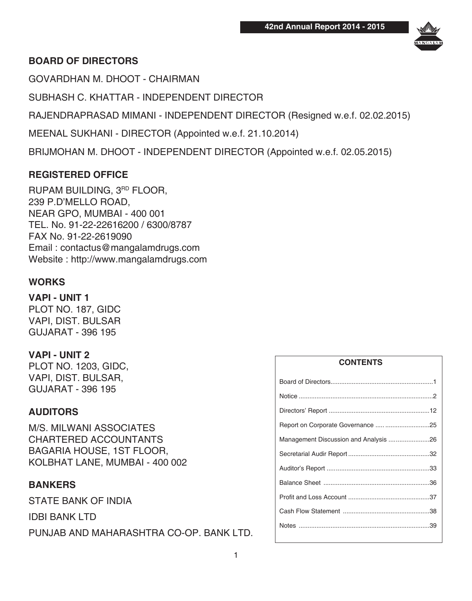

## **BOARD OF DIRECTORS**

GOVARDHAN M. DHOOT - CHAIRMAN

SUBHASH C. KHATTAR - INDEPENDENT DIRECTOR

RAJENDRAPRASAD MIMANI - INDEPENDENT DIRECTOR (Resigned w.e.f. 02.02.2015)

MEENAL SUKHANI - DIRECTOR (Appointed w.e.f. 21.10.2014)

BRIJMOHAN M. DHOOT - INDEPENDENT DIRECTOR (Appointed w.e.f. 02.05.2015)

## **REGISTERED OFFICE**

RUPAM BUILDING, 3RD FLOOR, 239 P.D'MELLO ROAD, NEAR GPO, MUMBAI - 400 001 TEL. No. 91-22-22616200 / 6300/8787 FAX No. 91-22-2619090 Email : contactus@mangalamdrugs.com Website : http://www.mangalamdrugs.com

## **WORKS**

**VAPI - UNIT 1** PLOT NO. 187, GIDC VAPI, DIST. BULSAR GUJARAT - 396 195

## **VAPI - UNIT 2**

PLOT NO. 1203, GIDC, VAPI, DIST. BULSAR, GUJARAT - 396 195

## **AUDITORS**

M/S. MILWANI ASSOCIATES CHARTERED ACCOUNTANTS BAGARIA HOUSE, 1ST FLOOR, KOLBHAT LANE, MUMBAI - 400 002

## **BANKERS**

STATE BANK OF INDIA IDBI BANK LTD PUNJAB AND MAHARASHTRA CO-OP. BANK LTD.

# **CONTENTS** Board of Directors..........................................................1 Notice ............................................................................2 Directors' Report .........................................................12 Report on Corporate Governance ..... .........................25 Management Discussion and Analysis .......................26 Secretarial Audir Report ..............................................32 Auditor's Report ..........................................................33 Balance Sheet ............................................................36 Profit and Loss Account ..............................................37 Cash Flow Statement .................................................38 Notes ..........................................................................39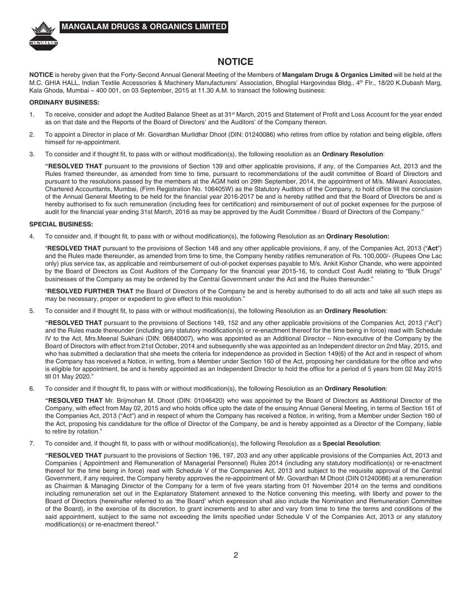

### **NOTICE**

**NOTICE** is hereby given that the Forty-Second Annual General Meeting of the Members of **Mangalam Drugs & Organics Limited** will be held at the M.C. GHIA HALL, Indian Textile Accessories & Machinery Manufacturers' Association, Bhogilal Hargovindas Bldg., 4th Flr., 18/20 K.Dubash Marg, Kala Ghoda, Mumbai – 400 001, on 03 September, 2015 at 11.30 A.M. to transact the following business:

### **ORDINARY BUSINESS:**

- 1. To receive, consider and adopt the Audited Balance Sheet as at 31<sup>st</sup> March, 2015 and Statement of Profit and Loss Account for the year ended as on that date and the Reports of the Board of Directors' and the Auditors' of the Company thereon.
- 2. To appoint a Director in place of Mr. Govardhan Murlidhar Dhoot (DIN: 01240086) who retires from office by rotation and being eligible, offers himself for re-appointment.
- 3. To consider and if thought fit, to pass with or without modification(s), the following resolution as an **Ordinary Resolution**:

**"RESOLVED THAT** pursuant to the provisions of Section 139 and other applicable provisions, if any, of the Companies Act, 2013 and the Rules framed thereunder, as amended from time to time, pursuant to recommendations of the audit committee of Board of Directors and pursuant to the resolutions passed by the members at the AGM held on 29th September, 2014, the appointment of M/s. Milwani Associates, Chartered Accountants, Mumbai, (Firm Registration No. 106405W) as the Statutory Auditors of the Company, to hold office till the conclusion of the Annual General Meeting to be held for the financial year 2016-2017 be and is hereby ratified and that the Board of Directors be and is hereby authorised to fix such remuneration (including fees for certification) and reimbursement of out of pocket expenses for the purpose of audit for the financial year ending 31st March, 2016 as may be approved by the Audit Committee / Board of Directors of the Company."

### **SPECIAL BUSINESS:**

4. To consider and, if thought fit, to pass with or without modification(s), the following Resolution as an **Ordinary Resolution:**

"**RESOLVED THAT** pursuant to the provisions of Section 148 and any other applicable provisions, if any, of the Companies Act, 2013 ("**Act**") and the Rules made thereunder, as amended from time to time, the Company hereby ratifies remuneration of Rs. 100,000/- (Rupees One Lac only) plus service tax, as applicable and reimbursement of out-of-pocket expenses payable to M/s. Ankit Kishor Chande, who were appointed by the Board of Directors as Cost Auditors of the Company for the financial year 2015-16, to conduct Cost Audit relating to "Bulk Drugs" businesses of the Company as may be ordered by the Central Government under the Act and the Rules thereunder."

"**RESOLVED FURTHER THAT** the Board of Directors of the Company be and is hereby authorised to do all acts and take all such steps as may be necessary, proper or expedient to give effect to this resolution."

5. To consider and if thought fit, to pass with or without modification(s), the following Resolution as an **Ordinary Resolution**:

**"RESOLVED THAT** pursuant to the provisions of Sections 149, 152 and any other applicable provisions of the Companies Act, 2013 ("Act") and the Rules made thereunder (including any statutory modification(s) or re-enactment thereof for the time being in force) read with Schedule IV to the Act, Mrs.Meenal Sukhani (DIN: 06840007), who was appointed as an Additional Director – Non-executive of the Company by the Board of Directors with effect from 21st October, 2014 and subsequently she was appointed as an Independent director on 2nd May, 2015, and who has submitted a declaration that she meets the criteria for independence as provided in Section 149(6) of the Act and in respect of whom the Company has received a Notice, in writing, from a Member under Section 160 of the Act, proposing her candidature for the office and who is eligible for appointment, be and is hereby appointed as an Independent Director to hold the office for a period of 5 years from 02 May 2015 till 01 May 2020."

6. To consider and if thought fit, to pass with or without modification(s), the following Resolution as an **Ordinary Resolution**:

**"RESOLVED THAT** Mr. Brijmohan M. Dhoot (DIN: 01046420) who was appointed by the Board of Directors as Additional Director of the Company, with effect from May 02, 2015 and who holds office upto the date of the ensuing Annual General Meeting, in terms of Section 161 of the Companies Act, 2013 ("Act") and in respect of whom the Company has received a Notice, in writing, from a Member under Section 160 of the Act, proposing his candidature for the office of Director of the Company, be and is hereby appointed as a Director of the Company, liable to retire by rotation."

7. To consider and, if thought fit, to pass with or without modification(s), the following Resolution as a **Special Resolution**:

**"RESOLVED THAT** pursuant to the provisions of Section 196, 197, 203 and any other applicable provisions of the Companies Act, 2013 and Companies ( Appointment and Remuneration of Managerial Personnel) Rules 2014 (including any statutory modification(s) or re-enactment thereof for the time being in force) read with Schedule V of the Companies Act, 2013 and subject to the requisite approval of the Central Government, if any required, the Company hereby approves the re-appointment of Mr. Govardhan M Dhoot (DIN 01240086) at a remuneration as Chairman & Managing Director of the Company for a term of five years starting from 01 November 2014 on the terms and conditions including remuneration set out in the Explanatory Statement annexed to the Notice convening this meeting, with liberty and power to the Board of Directors (hereinafter referred to as 'the Board' which expression shall also include the Nomination and Remuneration Committee of the Board), in the exercise of its discretion, to grant increments and to alter and vary from time to time the terms and conditions of the said appointment, subject to the same not exceeding the limits specified under Schedule V of the Companies Act, 2013 or any statutory modification(s) or re-enactment thereof."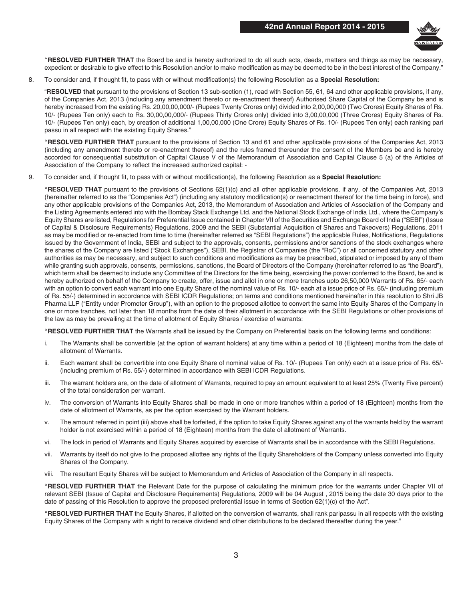

**"RESOLVED FURTHER THAT** the Board be and is hereby authorized to do all such acts, deeds, matters and things as may be necessary, expedient or desirable to give effect to this Resolution and/or to make modification as may be deemed to be in the best interest of the Company."

8. To consider and, if thought fit, to pass with or without modification(s) the following Resolution as a **Special Resolution:**

"**RESOLVED that** pursuant to the provisions of Section 13 sub-section (1), read with Section 55, 61, 64 and other applicable provisions, if any, of the Companies Act, 2013 (including any amendment thereto or re-enactment thereof) Authorised Share Capital of the Company be and is hereby increased from the existing Rs. 20,00,00,000/- (Rupees Twenty Crores only) divided into 2,00,00,000 (Two Crores) Equity Shares of Rs. 10/- (Rupees Ten only) each to Rs. 30,00,00,000/- (Rupees Thirty Crores only) divided into 3,00,00,000 (Three Crores) Equity Shares of Rs. 10/- (Rupees Ten only) each, by creation of additional 1,00,00,000 (One Crore) Equity Shares of Rs. 10/- (Rupees Ten only) each ranking pari passu in all respect with the existing Equity Shares."

**"RESOLVED FURTHER THAT** pursuant to the provisions of Section 13 and 61 and other applicable provisions of the Companies Act, 2013 (including any amendment thereto or re-enactment thereof) and the rules framed thereunder the consent of the Members be and is hereby accorded for consequential substitution of Capital Clause V of the Memorandum of Association and Capital Clause 5 (a) of the Articles of Association of the Company to reflect the increased authorized capital: -

9. To consider and, if thought fit, to pass with or without modification(s), the following Resolution as a **Special Resolution:**

**"RESOLVED THAT** pursuant to the provisions of Sections 62(1)(c) and all other applicable provisions, if any, of the Companies Act, 2013 (hereinafter referred to as the "Companies Act") (including any statutory modification(s) or reenactment thereof for the time being in force), and any other applicable provisions of the Companies Act, 2013, the Memorandum of Association and Articles of Association of the Company and the Listing Agreements entered into with the Bombay Stack Exchange Ltd. and the National Stock Exchange of India Ltd., where the Company's Equity Shares are listed, Regulations for Preferential Issue contained in Chapter VII of the Securities and Exchange Board of India ("SEBI") (Issue of Capital & Disclosure Requirements) Regulations, 2009 and the SEBI (Substantial Acquisition of Shares and Takeovers) Regulations, 2011 as may be modified or re-enacted from time to time (hereinafter referred as "SEBI Regulations") the applicable Rules, Notifications, Regulations issued by the Government of India, SEBI and subject to the approvals, consents, permissions and/or sanctions of the stock exchanges where the shares of the Company are listed ("Stock Exchanges"), SEBI, the Registrar of Companies (the "RoC") or all concerned statutory and other authorities as may be necessary, and subject to such conditions and modifications as may be prescribed, stipulated or imposed by any of them while granting such approvals, consents, permissions, sanctions, the Board of Directors of the Company (hereinafter referred to as "the Board"), which term shall be deemed to include any Committee of the Directors for the time being, exercising the power conferred to the Board, be and is hereby authorized on behalf of the Company to create, offer, issue and allot in one or more tranches upto 26,50,000 Warrants of Rs. 65/- each with an option to convert each warrant into one Equity Share of the nominal value of Rs. 10/- each at a issue price of Rs. 65/- (including premium of Rs. 55/-) determined in accordance with SEBI ICDR Regulations; on terms and conditions mentioned hereinafter in this resolution to Shri JB Pharma LLP ("Entity under Promoter Group"), with an option to the proposed allottee to convert the same into Equity Shares of the Company in one or more tranches, not later than 18 months from the date of their allotment in accordance with the SEBI Regulations or other provisions of the law as may be prevailing at the time of allotment of Equity Shares / exercise of warrants:

**"RESOLVED FURTHER THAT** the Warrants shall be issued by the Company on Preferential basis on the following terms and conditions:

- i. The Warrants shall be convertible (at the option of warrant holders) at any time within a period of 18 (Eighteen) months from the date of allotment of Warrants.
- ii. Each warrant shall be convertible into one Equity Share of nominal value of Rs. 10/- (Rupees Ten only) each at a issue price of Rs. 65/- (including premium of Rs. 55/-) determined in accordance with SEBI ICDR Regulations.
- iii. The warrant holders are, on the date of allotment of Warrants, required to pay an amount equivalent to at least 25% (Twenty Five percent) of the total consideration per warrant.
- iv. The conversion of Warrants into Equity Shares shall be made in one or more tranches within a period of 18 (Eighteen) months from the date of allotment of Warrants, as per the option exercised by the Warrant holders.
- v. The amount referred in point (iii) above shall be forfeited, if the option to take Equity Shares against any of the warrants held by the warrant holder is not exercised within a period of 18 (Eighteen) months from the date of allotment of Warrants.
- vi. The lock in period of Warrants and Equity Shares acquired by exercise of Warrants shall be in accordance with the SEBI Regulations.
- vii. Warrants by itself do not give to the proposed allottee any rights of the Equity Shareholders of the Company unless converted into Equity Shares of the Company.
- viii. The resultant Equity Shares will be subject to Memorandum and Articles of Association of the Company in all respects.

**"RESOLVED FURTHER THAT** the Relevant Date for the purpose of calculating the minimum price for the warrants under Chapter VII of relevant SEBI (Issue of Capital and Disclosure Requirements) Regulations, 2009 will be 04 August , 2015 being the date 30 days prior to the date of passing of this Resolution to approve the proposed preferential issue in terms of Section 62(1)(c) of the Act".

**"RESOLVED FURTHER THAT** the Equity Shares, if allotted on the conversion of warrants, shall rank paripassu in all respects with the existing Equity Shares of the Company with a right to receive dividend and other distributions to be declared thereafter during the year."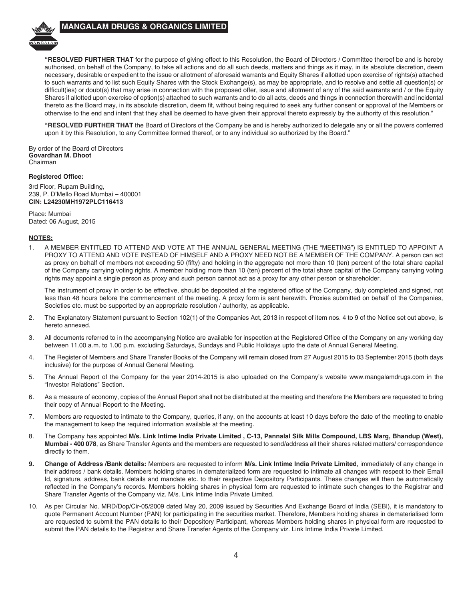

**"RESOLVED FURTHER THAT** for the purpose of giving effect to this Resolution, the Board of Directors / Committee thereof be and is hereby authorised, on behalf of the Company, to take all actions and do all such deeds, matters and things as it may, in its absolute discretion, deem necessary, desirable or expedient to the issue or allotment of aforesaid warrants and Equity Shares if allotted upon exercise of rights(s) attached to such warrants and to list such Equity Shares with the Stock Exchange(s), as may be appropriate, and to resolve and settle all question(s) or difficult(ies) or doubt(s) that may arise in connection with the proposed offer, issue and allotment of any of the said warrants and / or the Equity Shares if allotted upon exercise of option(s) attached to such warrants and to do all acts, deeds and things in connection therewith and incidental thereto as the Board may, in its absolute discretion, deem fit, without being required to seek any further consent or approval of the Members or otherwise to the end and intent that they shall be deemed to have given their approval thereto expressly by the authority of this resolution."

**"RESOLVED FURTHER THAT** the Board of Directors of the Company be and is hereby authorized to delegate any or all the powers conferred upon it by this Resolution, to any Committee formed thereof, or to any individual so authorized by the Board."

By order of the Board of Directors **Govardhan M. Dhoot** Chairman

#### **Registered Office:**

3rd Floor, Rupam Building, 239, P. D'Mello Road Mumbai – 400001 **CIN: L24230MH1972PLC116413**

Place: Mumbai Dated: 06 August, 2015

### **NOTES:**

1. A MEMBER ENTITLED TO ATTEND AND VOTE AT THE ANNUAL GENERAL MEETING (THE "MEETING") IS ENTITLED TO APPOINT A PROXY TO ATTEND AND VOTE INSTEAD OF HIMSELF AND A PROXY NEED NOT BE A MEMBER OF THE COMPANY. A person can act as proxy on behalf of members not exceeding 50 (fifty) and holding in the aggregate not more than 10 (ten) percent of the total share capital of the Company carrying voting rights. A member holding more than 10 (ten) percent of the total share capital of the Company carrying voting rights may appoint a single person as proxy and such person cannot act as a proxy for any other person or shareholder.

The instrument of proxy in order to be effective, should be deposited at the registered office of the Company, duly completed and signed, not less than 48 hours before the commencement of the meeting. A proxy form is sent herewith. Proxies submitted on behalf of the Companies, Societies etc. must be supported by an appropriate resolution / authority, as applicable.

- 2. The Explanatory Statement pursuant to Section 102(1) of the Companies Act, 2013 in respect of item nos. 4 to 9 of the Notice set out above, is hereto annexed.
- 3. All documents referred to in the accompanying Notice are available for inspection at the Registered Office of the Company on any working day between 11.00 a.m. to 1.00 p.m. excluding Saturdays, Sundays and Public Holidays upto the date of Annual General Meeting.
- 4. The Register of Members and Share Transfer Books of the Company will remain closed from 27 August 2015 to 03 September 2015 (both days inclusive) for the purpose of Annual General Meeting.
- 5. The Annual Report of the Company for the year 2014-2015 is also uploaded on the Company's website www.mangalamdrugs.com in the "Investor Relations" Section.
- 6. As a measure of economy, copies of the Annual Report shall not be distributed at the meeting and therefore the Members are requested to bring their copy of Annual Report to the Meeting.
- 7. Members are requested to intimate to the Company, queries, if any, on the accounts at least 10 days before the date of the meeting to enable the management to keep the required information available at the meeting.
- 8. The Company has appointed **M/s. Link Intime India Private Limited , C-13, Pannalal Silk Mills Compound, LBS Marg, Bhandup (West), Mumbai - 400 078**, as Share Transfer Agents and the members are requested to send/address all their shares related matters/ correspondence directly to them.
- **9. Change of Address /Bank details:** Members are requested to inform **M/s. Link Intime India Private Limited**, immediately of any change in their address / bank details. Members holding shares in dematerialized form are requested to intimate all changes with respect to their Email Id, signature, address, bank details and mandate etc. to their respective Depository Participants. These changes will then be automatically reflected in the Company's records. Members holding shares in physical form are requested to intimate such changes to the Registrar and Share Transfer Agents of the Company viz. M/s. Link Intime India Private Limited.
- 10. As per Circular No. MRD/Dop/Cir-05/2009 dated May 20, 2009 issued by Securities And Exchange Board of India (SEBI), it is mandatory to quote Permanent Account Number (PAN) for participating in the securities market. Therefore, Members holding shares in dematerialised form are requested to submit the PAN details to their Depository Participant, whereas Members holding shares in physical form are requested to submit the PAN details to the Registrar and Share Transfer Agents of the Company viz. Link Intime India Private Limited.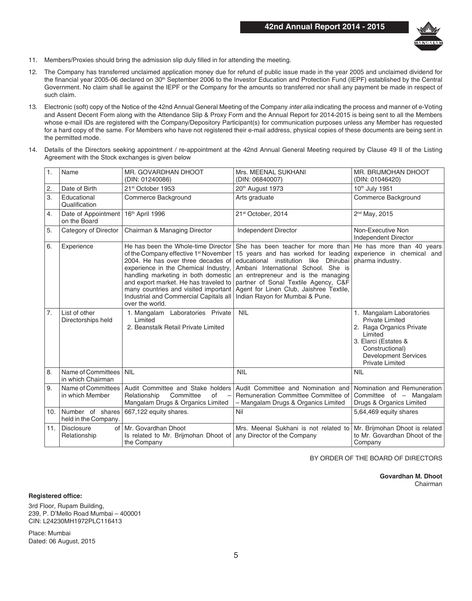

- 11. Members/Proxies should bring the admission slip duly filled in for attending the meeting.
- 12. The Company has transferred unclaimed application money due for refund of public issue made in the year 2005 and unclaimed dividend for the financial year 2005-06 declared on 30<sup>th</sup> September 2006 to the Investor Education and Protection Fund (IEPF) established by the Central Government. No claim shall lie against the IEPF or the Company for the amounts so transferred nor shall any payment be made in respect of such claim.
- 13. Electronic (soft) copy of the Notice of the 42nd Annual General Meeting of the Company *inter alia* indicating the process and manner of e-Voting and Assent Decent Form along with the Attendance Slip & Proxy Form and the Annual Report for 2014-2015 is being sent to all the Members whose e-mail IDs are registered with the Company/Depository Participant(s) for communication purposes unless any Member has requested for a hard copy of the same. For Members who have not registered their e-mail address, physical copies of these documents are being sent in the permitted mode.
- 14. Details of the Directors seeking appointment / re-appointment at the 42nd Annual General Meeting required by Clause 49 II of the Listing Agreement with the Stock exchanges is given below

| $\mathbf{1}$ .   | Name                                     | MR. GOVARDHAN DHOOT<br>(DIN: 01240086)                                                                                                                                                                                                                                                                                                                      | Mrs. MEENAL SUKHANI<br>(DIN: 06840007)                                                                                                                                                                                                                                                                                 | MR. BRIJMOHAN DHOOT<br>(DIN: 01046420)                                                                                                                                                        |
|------------------|------------------------------------------|-------------------------------------------------------------------------------------------------------------------------------------------------------------------------------------------------------------------------------------------------------------------------------------------------------------------------------------------------------------|------------------------------------------------------------------------------------------------------------------------------------------------------------------------------------------------------------------------------------------------------------------------------------------------------------------------|-----------------------------------------------------------------------------------------------------------------------------------------------------------------------------------------------|
| 2.               | Date of Birth                            | 21 <sup>st</sup> October 1953                                                                                                                                                                                                                                                                                                                               | 20th August 1973                                                                                                                                                                                                                                                                                                       | 10th July 1951                                                                                                                                                                                |
| 3.               | Educational<br>Qualification             | Commerce Background                                                                                                                                                                                                                                                                                                                                         | Arts graduate                                                                                                                                                                                                                                                                                                          | Commerce Background                                                                                                                                                                           |
| 4.               | Date of Appointment<br>on the Board      | 16th April 1996                                                                                                                                                                                                                                                                                                                                             | 21st October, 2014                                                                                                                                                                                                                                                                                                     | 2 <sup>nd</sup> May, 2015                                                                                                                                                                     |
| 5.               | Category of Director                     | Chairman & Managing Director                                                                                                                                                                                                                                                                                                                                | Independent Director                                                                                                                                                                                                                                                                                                   | Non-Executive Non<br>Independent Director                                                                                                                                                     |
| 6.               | Experience                               | He has been the Whole-time Director<br>of the Company effective 1 <sup>st</sup> November<br>2004. He has over three decades of<br>experience in the Chemical Industry,<br>handling marketing in both domestic<br>and export market. He has traveled to<br>many countries and visited important<br>Industrial and Commercial Capitals all<br>over the world. | She has been teacher for more than<br>15 years and has worked for leading<br>educational institution like Dhirubai<br>Ambani International School. She is<br>an entrepreneur and is the managing<br>partner of Sonal Textile Agency, C&F<br>Agent for Linen Club, Jaishree Textile,<br>Indian Rayon for Mumbai & Pune. | He has more than 40 years<br>experience in chemical and<br>pharma industry.                                                                                                                   |
| $\overline{7}$ . | List of other<br>Directorships held      | 1. Mangalam Laboratories Private<br>Limited<br>2. Beanstalk Retail Private Limited                                                                                                                                                                                                                                                                          | <b>NIL</b>                                                                                                                                                                                                                                                                                                             | 1. Mangalam Laboratories<br><b>Private Limited</b><br>2. Raga Organics Private<br>Limited<br>3. Elarci (Estates &<br>Constructional)<br><b>Development Services</b><br><b>Private Limited</b> |
| 8.               | Name of Committees<br>in which Chairman  | <b>NIL</b>                                                                                                                                                                                                                                                                                                                                                  | <b>NIL</b>                                                                                                                                                                                                                                                                                                             | <b>NIL</b>                                                                                                                                                                                    |
| 9.               | Name of Committees<br>in which Member    | Audit Committee and Stake holders<br>Committee<br>Relationship<br>of<br>$\overline{\phantom{a}}$<br>Mangalam Drugs & Organics Limited                                                                                                                                                                                                                       | Audit Committee and Nomination and<br>Remuneration Committee Committee of<br>- Mangalam Drugs & Organics Limited                                                                                                                                                                                                       | Nomination and Remuneration<br>Committee of - Mangalam<br>Drugs & Organics Limited                                                                                                            |
| 10.              | Number of shares<br>held in the Company. | 667,122 equity shares.                                                                                                                                                                                                                                                                                                                                      | Nil                                                                                                                                                                                                                                                                                                                    | 5,64,469 equity shares                                                                                                                                                                        |
| 11.              | <b>Disclosure</b><br>of<br>Relationship  | Mr. Govardhan Dhoot<br>Is related to Mr. Brijmohan Dhoot of<br>the Company                                                                                                                                                                                                                                                                                  | Mrs. Meenal Sukhani is not related to<br>any Director of the Company                                                                                                                                                                                                                                                   | Mr. Brijmohan Dhoot is related<br>to Mr. Govardhan Dhoot of the<br>Company                                                                                                                    |

BY ORDER OF THE BOARD OF DIRECTORS

**Govardhan M. Dhoot** Chairman

**Registered office:**

3rd Floor, Rupam Building, 239, P. D'Mello Road Mumbai – 400001 CIN: L24230MH1972PLC116413

Place: Mumbai Dated: 06 August, 2015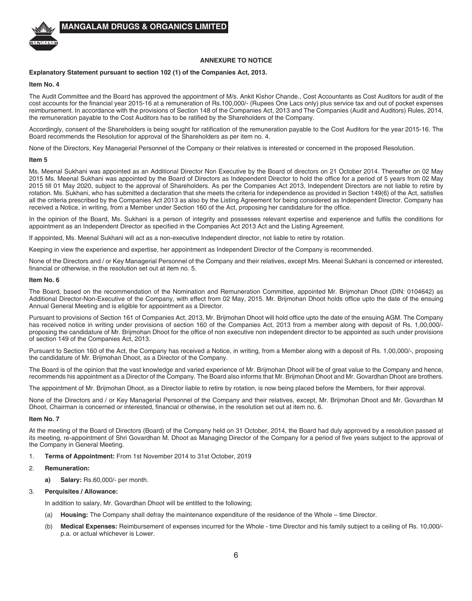

### **ANNEXURE TO NOTICE**

### **Explanatory Statement pursuant to section 102 (1) of the Companies Act, 2013.**

#### **Item No. 4**

The Audit Committee and the Board has approved the appointment of M/s. Ankit Kishor Chande., Cost Accountants as Cost Auditors for audit of the cost accounts for the financial year 2015-16 at a remuneration of Rs.100,000/- (Rupees One Lacs only) plus service tax and out of pocket expenses reimbursement. In accordance with the provisions of Section 148 of the Companies Act, 2013 and The Companies (Audit and Auditors) Rules, 2014, the remuneration payable to the Cost Auditors has to be ratified by the Shareholders of the Company.

Accordingly, consent of the Shareholders is being sought for ratification of the remuneration payable to the Cost Auditors for the year 2015-16. The Board recommends the Resolution for approval of the Shareholders as per item no. 4.

None of the Directors, Key Managerial Personnel of the Company or their relatives is interested or concerned in the proposed Resolution.

#### **Item 5**

Ms. Meenal Sukhani was appointed as an Additional Director Non Executive by the Board of directors on 21 October 2014. Thereafter on 02 May 2015 Ms. Meenal Sukhani was appointed by the Board of Directors as Independent Director to hold the office for a period of 5 years from 02 May 2015 till 01 May 2020, subject to the approval of Shareholders. As per the Companies Act 2013, Independent Directors are not liable to retire by rotation. Ms. Sukhani, who has submitted a declaration that she meets the criteria for independence as provided in Section 149(6) of the Act, satisfies all the criteria prescribed by the Companies Act 2013 as also by the Listing Agreement for being considered as Independent Director. Company has received a Notice, in writing, from a Member under Section 160 of the Act, proposing her candidature for the office.

In the opinion of the Board, Ms. Sukhani is a person of integrity and possesses relevant expertise and experience and fulfils the conditions for appointment as an Independent Director as specified in the Companies Act 2013 Act and the Listing Agreement.

If appointed, Ms. Meenal Sukhani will act as a non-executive Independent director, not liable to retire by rotation.

Keeping in view the experience and expertise, her appointment as Independent Director of the Company is recommended.

None of the Directors and / or Key Managerial Personnel of the Company and their relatives, except Mrs. Meenal Sukhani is concerned or interested, financial or otherwise, in the resolution set out at item no. 5.

#### **Item No. 6**

The Board, based on the recommendation of the Nomination and Remuneration Committee, appointed Mr. Brijmohan Dhoot (DIN: 0104642) as Additional Director-Non-Executive of the Company, with effect from 02 May, 2015. Mr. Brijmohan Dhoot holds office upto the date of the ensuing Annual General Meeting and is eligible for appointment as a Director.

Pursuant to provisions of Section 161 of Companies Act, 2013, Mr. Brijmohan Dhoot will hold office upto the date of the ensuing AGM. The Company has received notice in writing under provisions of section 160 of the Companies Act, 2013 from a member along with deposit of Rs. 1,00,000/ proposing the candidature of Mr. Brijmohan Dhoot for the office of non executive non independent director to be appointed as such under provisions of section 149 of the Companies Act, 2013.

Pursuant to Section 160 of the Act, the Company has received a Notice, in writing, from a Member along with a deposit of Rs. 1,00,000/-, proposing the candidature of Mr. Brijmohan Dhoot, as a Director of the Company.

The Board is of the opinion that the vast knowledge and varied experience of Mr. Brijmohan Dhoot will be of great value to the Company and hence, recommends his appointment as a Director of the Company. The Board also informs that Mr. Brijmohan Dhoot and Mr. Govardhan Dhoot are brothers.

The appointment of Mr. Brijmohan Dhoot, as a Director liable to retire by rotation, is now being placed before the Members, for their approval.

None of the Directors and / or Key Managerial Personnel of the Company and their relatives, except, Mr. Brijmohan Dhoot and Mr. Govardhan M Dhoot, Chairman is concerned or interested, financial or otherwise, in the resolution set out at item no. 6.

#### **Item No. 7**

At the meeting of the Board of Directors (Board) of the Company held on 31 October, 2014, the Board had duly approved by a resolution passed at its meeting, re-appointment of Shri Govardhan M. Dhoot as Managing Director of the Company for a period of five years subject to the approval of the Company in General Meeting.

1. **Terms of Appointment:** From 1st November 2014 to 31st October, 2019

#### 2. **Remuneration:**

**a) Salary:** Rs.60,000/- per month.

#### 3. **Perquisites / Allowance:**

In addition to salary, Mr. Govardhan Dhoot will be entitled to the following;

- (a) **Housing:** The Company shall defray the maintenance expenditure of the residence of the Whole time Director.
- (b) **Medical Expenses:** Reimbursement of expenses incurred for the Whole time Director and his family subject to a ceiling of Rs. 10,000/ p.a. or actual whichever is Lower.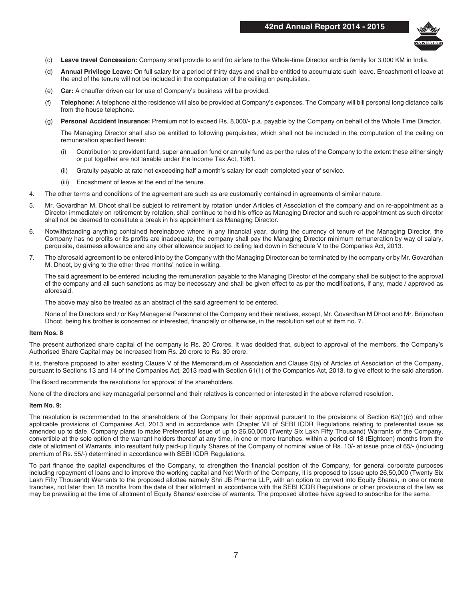

- (c) **Leave travel Concession:** Company shall provide to and fro airfare to the Whole-time Director andhis family for 3,000 KM in India.
- (d) **Annual Privilege Leave:** On full salary for a period of thirty days and shall be entitled to accumulate such leave. Encashment of leave at the end of the tenure will not be included in the computation of the ceiling on perquisites..
- (e) **Car:** A chauffer driven car for use of Company's business will be provided.
- (f) **Telephone:** A telephone at the residence will also be provided at Company's expenses. The Company will bill personal long distance calls from the house telephone.
- (g) **Personal Accident Insurance:** Premium not to exceed Rs. 8,000/- p.a. payable by the Company on behalf of the Whole Time Director.

The Managing Director shall also be entitled to following perquisites, which shall not be included in the computation of the ceiling on remuneration specified herein:

- Contribution to provident fund, super annuation fund or annuity fund as per the rules of the Company to the extent these either singly or put together are not taxable under the Income Tax Act, 1961.
- (ii) Gratuity payable at rate not exceeding half a month's salary for each completed year of service.
- (iii) Encashment of leave at the end of the tenure.
- 4. The other terms and conditions of the agreement are such as are customarily contained in agreements of similar nature.
- 5. Mr. Govardhan M. Dhoot shall be subject to retirement by rotation under Articles of Association of the company and on re-appointment as a Director immediately on retirement by rotation, shall continue to hold his office as Managing Director and such re-appointment as such director shall not be deemed to constitute a break in his appointment as Managing Director.
- 6. Notwithstanding anything contained hereinabove where in any financial year, during the currency of tenure of the Managing Director, the Company has no profits or its profits are inadequate, the company shall pay the Managing Director minimum remuneration by way of salary, perquisite, dearness allowance and any other allowance subject to ceiling laid down in Schedule V to the Companies Act, 2013.
- 7. The aforesaid agreement to be entered into by the Company with the Managing Director can be terminated by the company or by Mr. Govardhan M. Dhoot, by giving to the other three months' notice in writing.

The said agreement to be entered including the remuneration payable to the Managing Director of the company shall be subject to the approval of the company and all such sanctions as may be necessary and shall be given effect to as per the modifications, if any, made / approved as aforesaid.

The above may also be treated as an abstract of the said agreement to be entered.

None of the Directors and / or Key Managerial Personnel of the Company and their relatives, except, Mr. Govardhan M Dhoot and Mr. Brijmohan Dhoot, being his brother is concerned or interested, financially or otherwise, in the resolution set out at item no. 7.

### **Item Nos. 8**

The present authorized share capital of the company is Rs. 20 Crores. It was decided that, subject to approval of the members, the Company's Authorised Share Capital may be increased from Rs. 20 crore to Rs. 30 crore.

It is, therefore proposed to alter existing Clause V of the Memorandum of Association and Clause 5(a) of Articles of Association of the Company, pursuant to Sections 13 and 14 of the Companies Act, 2013 read with Section 61(1) of the Companies Act, 2013, to give effect to the said alteration.

The Board recommends the resolutions for approval of the shareholders.

None of the directors and key managerial personnel and their relatives is concerned or interested in the above referred resolution.

#### **Item No. 9:**

The resolution is recommended to the shareholders of the Company for their approval pursuant to the provisions of Section 62(1)(c) and other applicable provisions of Companies Act, 2013 and in accordance with Chapter VII of SEBI ICDR Regulations relating to preferential issue as amended up to date. Company plans to make Preferential Issue of up to 26,50,000 (Twenty Six Lakh Fifty Thousand) Warrants of the Company, convertible at the sole option of the warrant holders thereof at any time, in one or more tranches, within a period of 18 (Eighteen) months from the date of allotment of Warrants, into resultant fully paid-up Equity Shares of the Company of nominal value of Rs. 10/- at issue price of 65/- (including premium of Rs. 55/-) determined in accordance with SEBI ICDR Regulations.

To part finance the capital expenditures of the Company, to strengthen the financial position of the Company, for general corporate purposes including repayment of loans and to improve the working capital and Net Worth of the Company, it is proposed to issue upto 26,50,000 (Twenty Six Lakh Fifty Thousand) Warrants to the proposed allottee namely Shri JB Pharma LLP, with an option to convert into Equity Shares, in one or more tranches, not later than 18 months from the date of their allotment in accordance with the SEBI ICDR Regulations or other provisions of the law as may be prevailing at the time of allotment of Equity Shares/ exercise of warrants. The proposed allottee have agreed to subscribe for the same.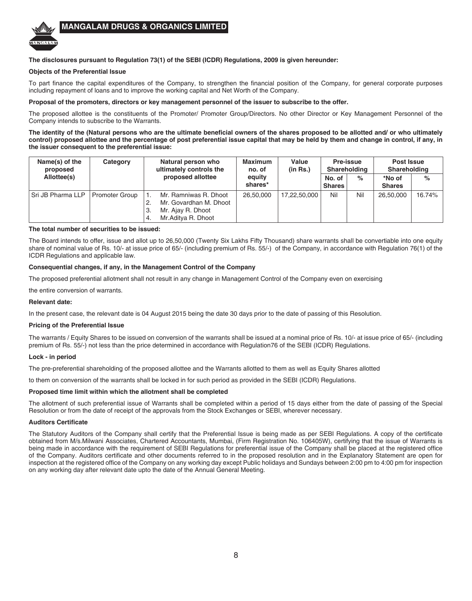

### **The disclosures pursuant to Regulation 73(1) of the SEBI (ICDR) Regulations, 2009 is given hereunder:**

### **Objects of the Preferential Issue**

To part finance the capital expenditures of the Company, to strengthen the financial position of the Company, for general corporate purposes including repayment of loans and to improve the working capital and Net Worth of the Company.

#### **Proposal of the promoters, directors or key management personnel of the issuer to subscribe to the offer.**

The proposed allottee is the constituents of the Promoter/ Promoter Group/Directors. No other Director or Key Management Personnel of the Company intends to subscribe to the Warrants.

**The identity of the (Natural persons who are the ultimate beneficial owners of the shares proposed to be allotted and/ or who ultimately control) proposed allottee and the percentage of post preferential issue capital that may be held by them and change in control, if any, in the issuer consequent to the preferential issue:**

| Name(s) of the<br>proposed | Category              |          | Natural person who<br>ultimately controls the                                              | <b>Maximum</b><br>no. of | Value<br>(in Rs.) |                         | Pre-issue<br>Shareholding | Post Issue<br>Shareholding |        |
|----------------------------|-----------------------|----------|--------------------------------------------------------------------------------------------|--------------------------|-------------------|-------------------------|---------------------------|----------------------------|--------|
| Allottee(s)                |                       |          | proposed allottee                                                                          | equity<br>shares*        |                   | No. of<br><b>Shares</b> | $\%$                      | *No of<br><b>Shares</b>    | $\%$   |
| Sri JB Pharma LLP          | <b>Promoter Group</b> | З.<br>4. | Mr. Ramniwas R. Dhoot<br>Mr. Govardhan M. Dhoot<br>Mr. Ajay R. Dhoot<br>Mr.Aditya R. Dhoot | 26,50,000                | 17,22,50,000      | Nil                     | Nil                       | 26,50,000                  | 16.74% |

### **The total number of securities to be issued:**

The Board intends to offer, issue and allot up to 26,50,000 (Twenty Six Lakhs Fifty Thousand) share warrants shall be convertiable into one equity share of nominal value of Rs. 10/- at issue price of 65/- (including premium of Rs. 55/-) of the Company, in accordance with Regulation 76(1) of the ICDR Regulations and applicable law.

### **Consequential changes, if any, in the Management Control of the Company**

The proposed preferential allotment shall not result in any change in Management Control of the Company even on exercising

the entire conversion of warrants.

#### **Relevant date:**

In the present case, the relevant date is 04 August 2015 being the date 30 days prior to the date of passing of this Resolution.

#### **Pricing of the Preferential Issue**

The warrants / Equity Shares to be issued on conversion of the warrants shall be issued at a nominal price of Rs. 10/- at issue price of 65/- (including premium of Rs. 55/-) not less than the price determined in accordance with Regulation76 of the SEBI (ICDR) Regulations.

### **Lock - in period**

The pre-preferential shareholding of the proposed allottee and the Warrants allotted to them as well as Equity Shares allotted

to them on conversion of the warrants shall be locked in for such period as provided in the SEBI (ICDR) Regulations.

#### **Proposed time limit within which the allotment shall be completed**

The allotment of such preferential issue of Warrants shall be completed within a period of 15 days either from the date of passing of the Special Resolution or from the date of receipt of the approvals from the Stock Exchanges or SEBI, wherever necessary.

### **Auditors Certificate**

The Statutory Auditors of the Company shall certify that the Preferential Issue is being made as per SEBI Regulations. A copy of the certificate obtained from M/s.Milwani Associates, Chartered Accountants, Mumbai, (Firm Registration No. 106405W), certifying that the issue of Warrants is being made in accordance with the requirement of SEBI Regulations for preferential issue of the Company shall be placed at the registered office of the Company. Auditors certificate and other documents referred to in the proposed resolution and in the Explanatory Statement are open for inspection at the registered office of the Company on any working day except Public holidays and Sundays between 2:00 pm to 4:00 pm for inspection on any working day after relevant date upto the date of the Annual General Meeting.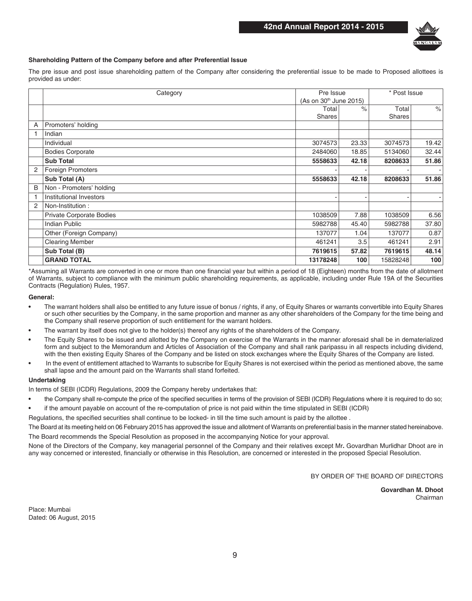

### **Shareholding Pattern of the Company before and after Preferential Issue**

The pre issue and post issue shareholding pattern of the Company after considering the preferential issue to be made to Proposed allottees is provided as under:

|   | Pre Issue<br>Category    |                                    |               | * Post Issue |       |
|---|--------------------------|------------------------------------|---------------|--------------|-------|
|   |                          | (As on 30 <sup>th</sup> June 2015) |               |              |       |
|   |                          | Total                              | $\frac{1}{2}$ | Total        | $\%$  |
|   |                          | <b>Shares</b>                      |               | Shares       |       |
| A | Promoters' holding       |                                    |               |              |       |
|   | Indian                   |                                    |               |              |       |
|   | Individual               | 3074573                            | 23.33         | 3074573      | 19.42 |
|   | <b>Bodies Corporate</b>  | 2484060                            | 18.85         | 5134060      | 32.44 |
|   | <b>Sub Total</b>         | 5558633                            | 42.18         | 8208633      | 51.86 |
| 2 | <b>Foreign Promoters</b> |                                    |               |              |       |
|   | Sub Total (A)            | 5558633                            | 42.18         | 8208633      | 51.86 |
| B | Non - Promoters' holding |                                    |               |              |       |
|   | Institutional Investors  |                                    |               |              |       |
| 2 | Non-Institution:         |                                    |               |              |       |
|   | Private Corporate Bodies | 1038509                            | 7.88          | 1038509      | 6.56  |
|   | <b>Indian Public</b>     | 5982788                            | 45.40         | 5982788      | 37.80 |
|   | Other (Foreign Company)  | 137077                             | 1.04          | 137077       | 0.87  |
|   | <b>Clearing Member</b>   | 461241                             | 3.5           | 461241       | 2.91  |
|   | Sub Total (B)            | 7619615                            | 57.82         | 7619615      | 48.14 |
|   | <b>GRAND TOTAL</b>       | 13178248                           | 100           | 15828248     | 100   |

\*Assuming all Warrants are converted in one or more than one financial year but within a period of 18 (Eighteen) months from the date of allotment of Warrants, subject to compliance with the minimum public shareholding requirements, as applicable, including under Rule 19A of the Securities Contracts (Regulation) Rules, 1957.

**General:**

- **•** The warrant holders shall also be entitled to any future issue of bonus / rights, if any, of Equity Shares or warrants convertible into Equity Shares or such other securities by the Company, in the same proportion and manner as any other shareholders of the Company for the time being and the Company shall reserve proportion of such entitlement for the warrant holders.
- **•** The warrant by itself does not give to the holder(s) thereof any rights of the shareholders of the Company.
- **•** The Equity Shares to be issued and allotted by the Company on exercise of the Warrants in the manner aforesaid shall be in dematerialized form and subject to the Memorandum and Articles of Association of the Company and shall rank paripassu in all respects including dividend, with the then existing Equity Shares of the Company and be listed on stock exchanges where the Equity Shares of the Company are listed.
- **•** In the event of entitlement attached to Warrants to subscribe for Equity Shares is not exercised within the period as mentioned above, the same shall lapse and the amount paid on the Warrants shall stand forfeited.

### **Undertaking**

In terms of SEBI (ICDR) Regulations, 2009 the Company hereby undertakes that:

- **•** the Company shall re-compute the price of the specified securities in terms of the provision of SEBI (ICDR) Regulations where it is required to do so;
- **•** if the amount payable on account of the re-computation of price is not paid within the time stipulated in SEBI (ICDR)

Regulations, the specified securities shall continue to be locked- in till the time such amount is paid by the allottee .

The Board at its meeting held on 06 February 2015 has approved the issue and allotment of Warrants on preferential basis in the manner stated hereinabove. The Board recommends the Special Resolution as proposed in the accompanying Notice for your approval.

None of the Directors of the Company, key managerial personnel of the Company and their relatives except Mr**.** Govardhan Murlidhar Dhoot are in any way concerned or interested, financially or otherwise in this Resolution, are concerned or interested in the proposed Special Resolution.

BY ORDER OF THE BOARD OF DIRECTORS

**Govardhan M. Dhoot** Chairman

Place: Mumbai Dated: 06 August, 2015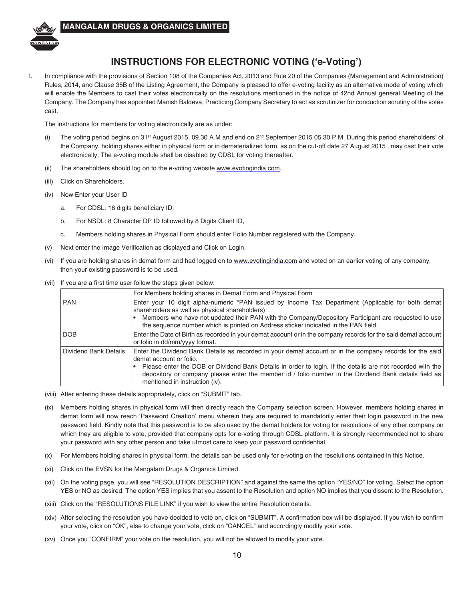

## **INSTRUCTIONS FOR ELECTRONIC VOTING ('e-Voting')**

I. In compliance with the provisions of Section 108 of the Companies Act, 2013 and Rule 20 of the Companies (Management and Administration) Rules, 2014, and Clause 35B of the Listing Agreement, the Company is pleased to offer e-voting facility as an alternative mode of voting which will enable the Members to cast their votes electronically on the resolutions mentioned in the notice of 42nd Annual general Meeting of the Company. The Company has appointed Manish Baldeva, Practicing Company Secretary to act as scrutinizer for conduction scrutiny of the votes cast.

The instructions for members for voting electronically are as under:

- (i) The voting period begins on 31<sup>st</sup> August 2015, 09.30 A.M and end on 2<sup>nd</sup> September 2015 05.30 P.M. During this period shareholders' of the Company, holding shares either in physical form or in dematerialized form, as on the cut-off date 27 August 2015 , may cast their vote electronically. The e-voting module shall be disabled by CDSL for voting thereafter.
- (ii) The shareholders should log on to the e-voting website www.evotingindia.com.
- (iii) Click on Shareholders.
- (iv) Now Enter your User ID
	- a. For CDSL: 16 digits beneficiary ID,
	- b. For NSDL: 8 Character DP ID followed by 8 Digits Client ID,
	- c. Members holding shares in Physical Form should enter Folio Number registered with the Company.
- (v) Next enter the Image Verification as displayed and Click on Login.
- (vi) If you are holding shares in demat form and had logged on to www.evotingindia.com and voted on an earlier voting of any company, then your existing password is to be used.
- (vii) If you are a first time user follow the steps given below:

|                       | For Members holding shares in Demat Form and Physical Form                                                                                                                                                                                                                                                                                                                                  |
|-----------------------|---------------------------------------------------------------------------------------------------------------------------------------------------------------------------------------------------------------------------------------------------------------------------------------------------------------------------------------------------------------------------------------------|
| <b>PAN</b>            | Enter your 10 digit alpha-numeric *PAN issued by Income Tax Department (Applicable for both demat<br>shareholders as well as physical shareholders)<br>Members who have not updated their PAN with the Company/Depository Participant are requested to use<br>the sequence number which is printed on Address sticker indicated in the PAN field.                                           |
| <b>DOB</b>            | Enter the Date of Birth as recorded in your demat account or in the company records for the said demat account<br>or folio in dd/mm/yyyy format.                                                                                                                                                                                                                                            |
| Dividend Bank Details | Enter the Dividend Bank Details as recorded in your demat account or in the company records for the said<br>demat account or folio.<br>Please enter the DOB or Dividend Bank Details in order to login. If the details are not recorded with the<br>depository or company please enter the member id / folio number in the Dividend Bank details field as<br>mentioned in instruction (iv). |

- (viii) After entering these details appropriately, click on "SUBMIT" tab.
- (ix) Members holding shares in physical form will then directly reach the Company selection screen. However, members holding shares in demat form will now reach 'Password Creation' menu wherein they are required to mandatorily enter their login password in the new password field. Kindly note that this password is to be also used by the demat holders for voting for resolutions of any other company on which they are eligible to vote, provided that company opts for e-voting through CDSL platform. It is strongly recommended not to share your password with any other person and take utmost care to keep your password confidential.
- (x) For Members holding shares in physical form, the details can be used only for e-voting on the resolutions contained in this Notice.
- (xi) Click on the EVSN for the Mangalam Drugs & Organics Limited.
- (xii) On the voting page, you will see "RESOLUTION DESCRIPTION" and against the same the option "YES/NO" for voting. Select the option YES or NO as desired. The option YES implies that you assent to the Resolution and option NO implies that you dissent to the Resolution.
- (xiii) Click on the "RESOLUTIONS FILE LINK" if you wish to view the entire Resolution details.
- (xiv) After selecting the resolution you have decided to vote on, click on "SUBMIT". A confirmation box will be displayed. If you wish to confirm your vote, click on "OK", else to change your vote, click on "CANCEL" and accordingly modify your vote.
- (xv) Once you "CONFIRM" your vote on the resolution, you will not be allowed to modify your vote.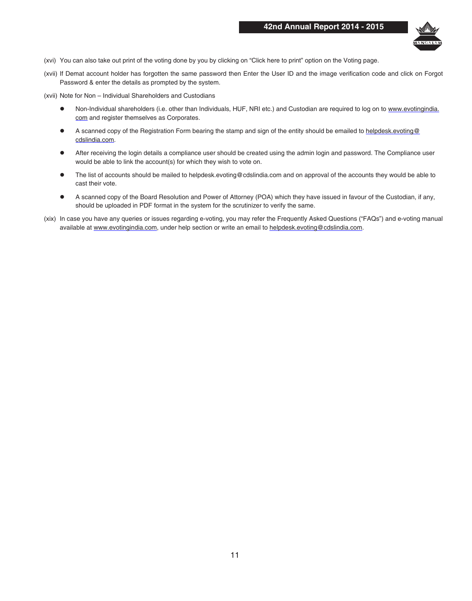

- (xvi) You can also take out print of the voting done by you by clicking on "Click here to print" option on the Voting page.
- (xvii) If Demat account holder has forgotten the same password then Enter the User ID and the image verification code and click on Forgot Password & enter the details as prompted by the system.
- (xvii) Note for Non Individual Shareholders and Custodians
	- Non-Individual shareholders (i.e. other than Individuals, HUF, NRI etc.) and Custodian are required to log on to www.evotingindia. com and register themselves as Corporates.
	- **A** scanned copy of the Registration Form bearing the stamp and sign of the entity should be emailed to helpdesk.evoting@ cdslindia.com.
	- l After receiving the login details a compliance user should be created using the admin login and password. The Compliance user would be able to link the account(s) for which they wish to vote on.
	- **•** The list of accounts should be mailed to helpdesk.evoting@cdslindia.com and on approval of the accounts they would be able to cast their vote.
	- **A** scanned copy of the Board Resolution and Power of Attorney (POA) which they have issued in favour of the Custodian, if any, should be uploaded in PDF format in the system for the scrutinizer to verify the same.
- (xix) In case you have any queries or issues regarding e-voting, you may refer the Frequently Asked Questions ("FAQs") and e-voting manual available at www.evotingindia.com, under help section or write an email to helpdesk.evoting@cdslindia.com.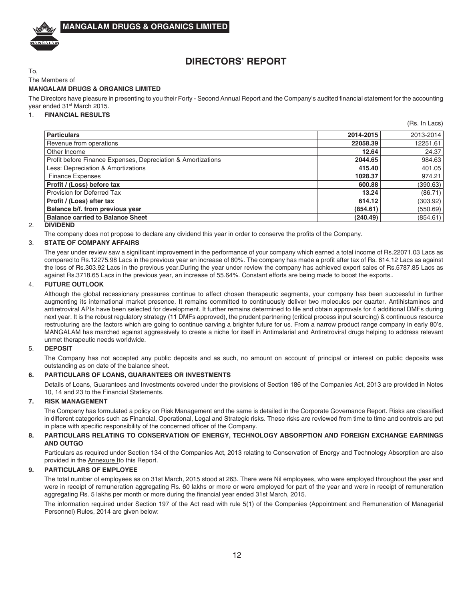

## **DIRECTORS' REPORT**

To, The Members of

### **MANGALAM DRUGS & ORGANICS LIMITED**

The Directors have pleasure in presenting to you their Forty - Second Annual Report and the Company's audited financial statement for the accounting year ended 31<sup>st</sup> March 2015.

1. **FINANCIAL RESULTS**

|                                                              |           | (Rs. In Lacs) |
|--------------------------------------------------------------|-----------|---------------|
| <b>Particulars</b>                                           | 2014-2015 | 2013-2014     |
| Revenue from operations                                      | 22058.39  | 12251.61      |
| Other Income                                                 | 12.64     | 24.37         |
| Profit before Finance Expenses, Depreciation & Amortizations | 2044.65   | 984.63        |
| Less: Depreciation & Amortizations                           | 415.40    | 401.05        |
| <b>Finance Expenses</b>                                      | 1028.37   | 974.21        |
| Profit / (Loss) before tax                                   | 600.88    | (390.63)      |
| Provision for Deferred Tax                                   | 13.24     | (86.71)       |
| Profit / (Loss) after tax                                    | 614.12    | (303.92)      |
| Balance b/f. from previous year                              | (854.61)  | (550.69)      |
| <b>Balance carried to Balance Sheet</b>                      | (240.49)  | (854.61)      |

2. **DIVIDEND**

The company does not propose to declare any dividend this year in order to conserve the profits of the Company.

### 3. **STATE OF COMPANY AFFAIRS**

The year under review saw a significant improvement in the performance of your company which earned a total income of Rs.22071.03 Lacs as compared to Rs.12275.98 Lacs in the previous year an increase of 80%. The company has made a profit after tax of Rs. 614.12 Lacs as against the loss of Rs.303.92 Lacs in the previous year.During the year under review the company has achieved export sales of Rs.5787.85 Lacs as against Rs.3718.65 Lacs in the previous year, an increase of 55.64%. Constant efforts are being made to boost the exports..

### 4. **FUTURE OUTLOOK**

Although the global recessionary pressures continue to affect chosen therapeutic segments, your company has been successful in further augmenting its international market presence. It remains committed to continuously deliver two molecules per quarter. Antihistamines and antiretroviral APIs have been selected for development. It further remains determined to file and obtain approvals for 4 additional DMFs during next year. It is the robust regulatory strategy (11 DMFs approved), the prudent partnering (critical process input sourcing) & continuous resource restructuring are the factors which are going to continue carving a brighter future for us. From a narrow product range company in early 80's, MANGALAM has marched against aggressively to create a niche for itself in Antimalarial and Antiretroviral drugs helping to address relevant unmet therapeutic needs worldwide.

### 5. **DEPOSIT**

The Company has not accepted any public deposits and as such, no amount on account of principal or interest on public deposits was outstanding as on date of the balance sheet.

### **6. PARTICULARS OF LOANS, GUARANTEES OR INVESTMENTS**

Details of Loans, Guarantees and Investments covered under the provisions of Section 186 of the Companies Act, 2013 are provided in Notes 10, 14 and 23 to the Financial Statements.

### **7. RISK MANAGEMENT**

The Company has formulated a policy on Risk Management and the same is detailed in the Corporate Governance Report. Risks are classified in different categories such as Financial, Operational, Legal and Strategic risks. These risks are reviewed from time to time and controls are put in place with specific responsibility of the concerned officer of the Company.

### **8. PARTICULARS RELATING TO CONSERVATION OF ENERGY, TECHNOLOGY ABSORPTION AND FOREIGN EXCHANGE EARNINGS AND OUTGO**

Particulars as required under Section 134 of the Companies Act, 2013 relating to Conservation of Energy and Technology Absorption are also provided in the Annexure Ito this Report.

### **9. PARTICULARS OF EMPLOYEE**

The total number of employees as on 31st March, 2015 stood at 263. There were Nil employees, who were employed throughout the year and were in receipt of remuneration aggregating Rs. 60 lakhs or more or were employed for part of the year and were in receipt of remuneration aggregating Rs. 5 lakhs per month or more during the financial year ended 31st March, 2015.

The information required under Section 197 of the Act read with rule 5(1) of the Companies (Appointment and Remuneration of Managerial Personnel) Rules, 2014 are given below: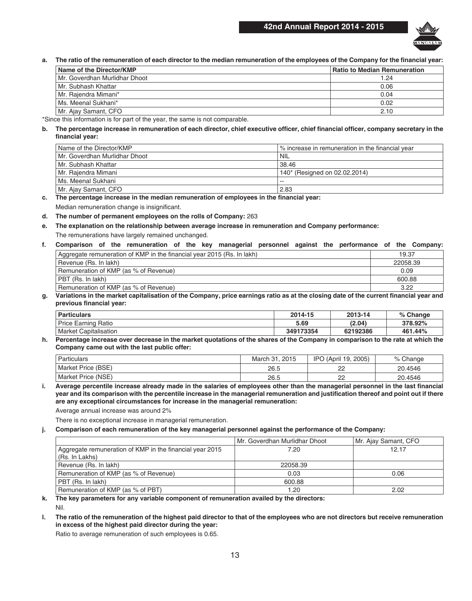### **42nd Annual Report 2014 - 2015**



**a. The ratio of the remuneration of each director to the median remuneration of the employees of the Company for the financial year:**

| Name of the Director/KMP        | <b>Ratio to Median Remuneration</b> |
|---------------------------------|-------------------------------------|
| l Mr. Goverdhan Murlidhar Dhoot | 1.24                                |
| Mr. Subhash Khattar             | 0.06                                |
| Mr. Rajendra Mimani*            | 0.04                                |
| Ms. Meenal Sukhani*             | 0.02                                |
| Mr. Ajay Samant, CFO            | 2.10                                |

\*Since this information is for part of the year, the same is not comparable.

### **b. The percentage increase in remuneration of each director, chief executive officer, chief financial officer, company secretary in the financial year:**

| Name of the Director/KMP      | √ increase in remuneration in the financial year |
|-------------------------------|--------------------------------------------------|
| Mr. Goverdhan Murlidhar Dhoot | ' NIL                                            |
| Mr. Subhash Khattar           | 38.46                                            |
| Mr. Rajendra Mimani           | 140* (Resigned on 02.02.2014)                    |
| Ms. Meenal Sukhani            | --                                               |
| Mr. Ajay Samant, CFO          | 2.83                                             |

**c. The percentage increase in the median remuneration of employees in the financial year:** Median remuneration change is insignificant.

### **d. The number of permanent employees on the rolls of Company:** 263

**e. The explanation on the relationship between average increase in remuneration and Company performance:** The remunerations have largely remained unchanged.

### **f. Comparison of the remuneration of the key managerial personnel against the performance of the Company:**

| Aggregate remuneration of KMP in the financial year 2015 (Rs. In lakh) | 19.37    |
|------------------------------------------------------------------------|----------|
| Revenue (Rs. In lakh)                                                  | 22058.39 |
| Remuneration of KMP (as % of Revenue)                                  | 0.09     |
| PBT (Rs. In lakh)                                                      | 600.88   |
| Remuneration of KMP (as % of Revenue)                                  | 3.22     |

### **g. Variations in the market capitalisation of the Company, price earnings ratio as at the closing date of the current financial year and previous financial year:**

| <b>Particulars</b>           | 2014-15   | 2013-14  | % Change |
|------------------------------|-----------|----------|----------|
| Price Earning<br>Ratio       | 5.69      | (2.04)   | 378.92%  |
| Market (<br>: Capitalisation | 349173354 | 62192386 | 461.44%  |

#### **h. Percentage increase over decrease in the market quotations of the shares of the Company in comparison to the rate at which the Company came out with the last public offer:**

| Particulars        | 2015<br>March 31. | 2005)<br>(April 19.<br><b>IPO</b> | Change  |
|--------------------|-------------------|-----------------------------------|---------|
| Market Price (BSE) | 26.5              | nn<br>__                          | 20.4546 |
| Market Price (NSE) | 26.5              | nn<br>__                          | 20.4546 |

**i. Average percentile increase already made in the salaries of employees other than the managerial personnel in the last financial year and its comparison with the percentile increase in the managerial remuneration and justification thereof and point out if there are any exceptional circumstances for increase in the managerial remuneration:**

Average annual increase was around 2%

There is no exceptional increase in managerial remuneration.

### **j. Comparison of each remuneration of the key managerial personnel against the performance of the Company:**

|                                                          | Mr. Goverdhan Murlidhar Dhoot | Mr. Ajay Samant, CFO |
|----------------------------------------------------------|-------------------------------|----------------------|
| Aggregate remuneration of KMP in the financial year 2015 | 7.20                          | 12.17                |
| (Rs. In Lakhs)                                           |                               |                      |
| Revenue (Rs. In lakh)                                    | 22058.39                      |                      |
| Remuneration of KMP (as % of Revenue)                    | 0.03                          | 0.06                 |
| PBT (Rs. In lakh)                                        | 600.88                        |                      |
| Remuneration of KMP (as % of PBT)                        | 1.20                          | 2.02                 |

**k. The key parameters for any variable component of remuneration availed by the directors:**

Nil.

**l. The ratio of the remuneration of the highest paid director to that of the employees who are not directors but receive remuneration in excess of the highest paid director during the year:**

Ratio to average remuneration of such employees is 0.65.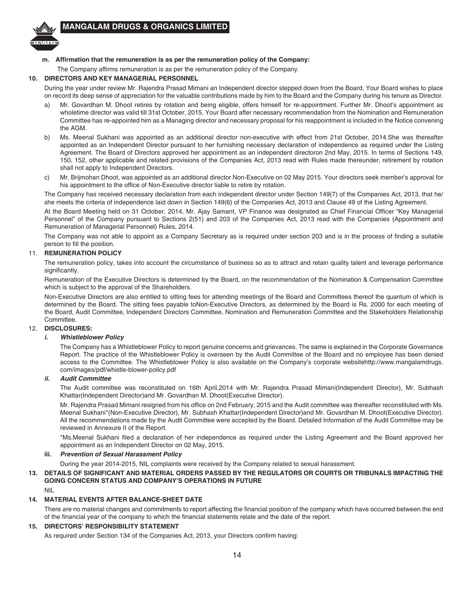

### **m. Affirmation that the remuneration is as per the remuneration policy of the Company:**

The Company affirms remuneration is as per the remuneration policy of the Company.

### **10. DIRECTORS AND KEY MANAGERIAL PERSONNEL**

During the year under review Mr. Rajendra Prasad Mimani an Independent director stepped down from the Board. Your Board wishes to place on record its deep sense of appreciation for the valuable contributions made by him to the Board and the Company during his tenure as Director.

- a) Mr. Govardhan M. Dhoot retires by rotation and being eligible, offers himself for re-appointment. Further Mr. Dhoot's appointment as wholetime director was valid till 31st October, 2015. Your Board after necessary recommendation from the Nomination and Remuneration Committee has re-appointed him as a Managing director and necessary proposal for his reappointment is included in the Notice convening the AGM.
- b) Ms. Meenal Sukhani was appointed as an additional director non-executive with effect from 21st October, 2014.She was thereafter appointed as an Independent Director pursuant to her furnishing necessary declaration of independence as required under the Listing Agreement. The Board of Directors approved her appointment as an independent directoron 2nd May, 2015. In terms of Sections 149, 150, 152, other applicable and related provisions of the Companies Act, 2013 read with Rules made thereunder, retirement by rotation shall not apply to Independent Directors.
- c) Mr. Brijmohan Dhoot, was appointed as an additional director Non-Executive on 02 May 2015. Your directors seek member's approval for his appointment to the office of Non-Executive director liable to retire by rotation.

The Company has received necessary declaration from each independent director under Section 149(7) of the Companies Act, 2013, that he/ she meets the criteria of independence laid down in Section 149(6) of the Companies Act, 2013 and Clause 49 of the Listing Agreement.

At the Board Meeting held on 31 October, 2014, Mr. Ajay Samant, VP Finance was designated as Chief Financial Officer "Key Managerial Personnel" of the Company pursuant to Sections 2(51) and 203 of the Companies Act, 2013 read with the Companies (Appointment and Remuneration of Managerial Personnel) Rules, 2014.

The Company was not able to appoint as a Company Secretary as is required under section 203 and is in the process of finding a suitable person to fill the position.

### 11. **REMUNERATION POLICY**

The remuneration policy, takes into account the circumstance of business so as to attract and retain quality talent and leverage performance significantly.

Remuneration of the Executive Directors is determined by the Board, on the recommendation of the Nomination & Compensation Committee which is subject to the approval of the Shareholders.

Non-Executive Directors are also entitled to sitting fees for attending meetings of the Board and Committees thereof the quantum of which is determined by the Board. The sitting fees payable toNon-Executive Directors, as determined by the Board is Rs. 2000 for each meeting of the Board, Audit Committee, Independent Directors Committee, Nomination and Remuneration Committee and the Stakeholders Relationship Committee.

### 12. **DISCLOSURES:**

### *i. Whistleblower Policy*

The Company has a Whistleblower Policy to report genuine concerns and grievances. The same is explained in the Corporate Governance Report. The practice of the Whistleblower Policy is overseen by the Audit Committee of the Board and no employee has been denied access to the Committee. The Whistleblower Policy is also available on the Company's corporate websitehttp://www.mangalamdrugs. com/images/pdf/whistle-blower-policy.pdf

### *ii. Audit Committee*

The Audit committee was reconstituted on 16th April,2014 with Mr. Rajendra Prasad Mimani(Independent Director), Mr. Subhash Khattar(Independent Director)and Mr. Govardhan M. Dhoot(Executive Director).

Mr. Rajendra Prasad Mimani resigned from his office on 2nd February, 2015 and the Audit committee was thereafter reconstituted with Ms. Meenal Sukhani\*(Non-Executive Director), Mr. Subhash Khattar(Independent Director)and Mr. Govardhan M. Dhoot(Executive Director). All the recommendations made by the Audit Committee were accepted by the Board. Detailed Information of the Audit Committee may be reviewed in Annexure II of the Report.

\*Ms.Meenal Sukhani filed a declaration of her independence as required under the Listing Agreement and the Board approved her appointment as an Independent Director on 02 May, 2015.

### **iii.** *Prevention of Sexual Harassment Policy*

During the year 2014-2015, NIL complaints were received by the Company related to sexual harassment.

### **13. DETAILS OF SIGNIFICANT AND MATERIAL ORDERS PASSED BY THE REGULATORS OR COURTS OR TRIBUNALS IMPACTING THE GOING CONCERN STATUS AND COMPANY'S OPERATIONS IN FUTURE**

NIL

### **14. MATERIAL EVENTS AFTER BALANCE-SHEET DATE**

There are no material changes and commitments to report affecting the financial position of the company which have occurred between the end of the financial year of the company to which the financial statements relate and the date of the report.

### **15. DIRECTORS' RESPONSIBILITY STATEMENT**

As required under Section 134 of the Companies Act, 2013, your Directors confirm having: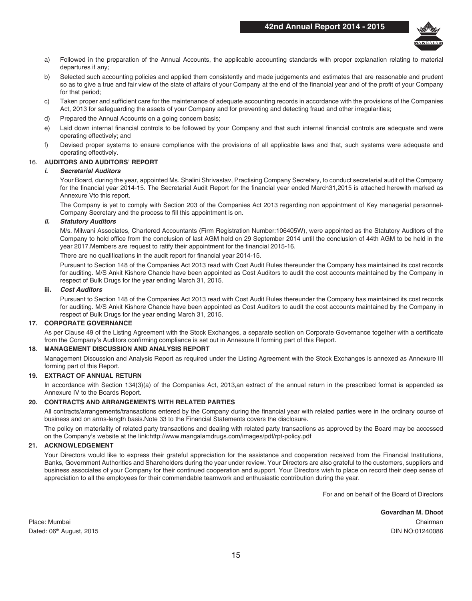

- a) Followed in the preparation of the Annual Accounts, the applicable accounting standards with proper explanation relating to material departures if any;
- b) Selected such accounting policies and applied them consistently and made judgements and estimates that are reasonable and prudent so as to give a true and fair view of the state of affairs of your Company at the end of the financial year and of the profit of your Company for that period;
- c) Taken proper and sufficient care for the maintenance of adequate accounting records in accordance with the provisions of the Companies Act, 2013 for safeguarding the assets of your Company and for preventing and detecting fraud and other irregularities;
- d) Prepared the Annual Accounts on a going concern basis;
- e) Laid down internal financial controls to be followed by your Company and that such internal financial controls are adequate and were operating effectively; and
- f) Devised proper systems to ensure compliance with the provisions of all applicable laws and that, such systems were adequate and operating effectively.

### 16. **AUDITORS AND AUDITORS' REPORT**

### *i. Secretarial Auditors*

Your Board, during the year, appointed Ms. Shalini Shrivastav, Practising Company Secretary, to conduct secretarial audit of the Company for the financial year 2014-15. The Secretarial Audit Report for the financial year ended March31,2015 is attached herewith marked as Annexure Vto this report.

The Company is yet to comply with Section 203 of the Companies Act 2013 regarding non appointment of Key managerial personnel-Company Secretary and the process to fill this appointment is on.

### *ii. Statutory Auditors*

M/s. Milwani Associates, Chartered Accountants (Firm Registration Number:106405W), were appointed as the Statutory Auditors of the Company to hold office from the conclusion of last AGM held on 29 September 2014 until the conclusion of 44th AGM to be held in the year 2017.Members are request to ratify their appointment for the financial 2015-16.

There are no qualifications in the audit report for financial year 2014-15.

Pursuant to Section 148 of the Companies Act 2013 read with Cost Audit Rules thereunder the Company has maintained its cost records for auditing. M/S Ankit Kishore Chande have been appointed as Cost Auditors to audit the cost accounts maintained by the Company in respect of Bulk Drugs for the year ending March 31, 2015.

#### **iii.** *Cost Auditors*

Pursuant to Section 148 of the Companies Act 2013 read with Cost Audit Rules thereunder the Company has maintained its cost records for auditing. M/S Ankit Kishore Chande have been appointed as Cost Auditors to audit the cost accounts maintained by the Company in respect of Bulk Drugs for the year ending March 31, 2015.

### **17. CORPORATE GOVERNANCE**

As per Clause 49 of the Listing Agreement with the Stock Exchanges, a separate section on Corporate Governance together with a certificate from the Company's Auditors confirming compliance is set out in Annexure II forming part of this Report.

### **18**. **MANAGEMENT DISCUSSION AND ANALYSIS REPORT**

Management Discussion and Analysis Report as required under the Listing Agreement with the Stock Exchanges is annexed as Annexure III forming part of this Report.

### **19. EXTRACT OF ANNUAL RETURN**

In accordance with Section 134(3)(a) of the Companies Act, 2013,an extract of the annual return in the prescribed format is appended as Annexure IV to the Boards Report.

### **20. CONTRACTS AND ARRANGEMENTS WITH RELATED PARTIES**

All contracts/arrangements/transactions entered by the Company during the financial year with related parties were in the ordinary course of business and on arms-length basis.Note 33 to the Financial Statements covers the disclosure.

The policy on materiality of related party transactions and dealing with related party transactions as approved by the Board may be accessed on the Company's website at the link:http://www.mangalamdrugs.com/images/pdf/rpt-policy.pdf

### **21. ACKNOWLEDGEMENT**

Your Directors would like to express their grateful appreciation for the assistance and cooperation received from the Financial Institutions, Banks, Government Authorities and Shareholders during the year under review. Your Directors are also grateful to the customers, suppliers and business associates of your Company for their continued cooperation and support. Your Directors wish to place on record their deep sense of appreciation to all the employees for their commendable teamwork and enthusiastic contribution during the year.

For and on behalf of the Board of Directors

**Govardhan M. Dhoot**

Place: Mumbai Chairman Dated: 06th August, 2015 DIN NO:01240086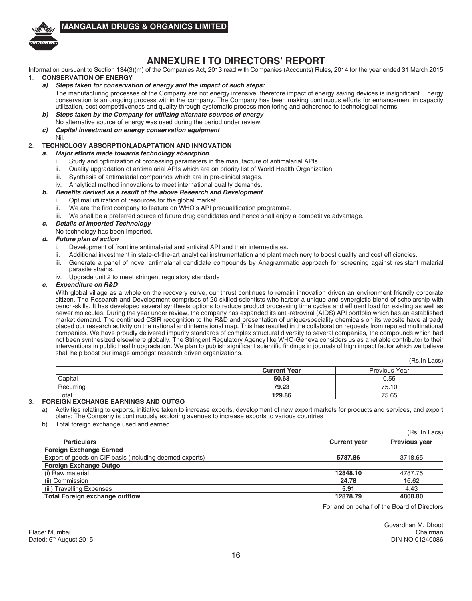

### **ANNEXURE I TO DIRECTORS' REPORT**

Information pursuant to Section 134(3)(m) of the Companies Act, 2013 read with Companies (Accounts) Rules, 2014 for the year ended 31 March 2015 1. **CONSERVATION OF ENERGY**

### *a) Steps taken for conservation of energy and the impact of such steps:*

The manufacturing processes of the Company are not energy intensive; therefore impact of energy saving devices is insignificant. Energy conservation is an ongoing process within the company. The Company has been making continuous efforts for enhancement in capacity utilization, cost competitiveness and quality through systematic process monitoring and adherence to technological norms.

- *b) Steps taken by the Company for utilizing alternate sources of energy* No alternative source of energy was used during the period under review.
- *c) Capital investment on energy conservation equipment* Nil.
- 

### 2. **TECHNOLOGY ABSORPTION,ADAPTATION AND INNOVATION**

### *a. Major efforts made towards technology absorption*

- i. Study and optimization of processing parameters in the manufacture of antimalarial APIs.
- ii. Quality upgradation of antimalarial APIs which are on priority list of World Health Organization.
- iii. Synthesis of antimalarial compounds which are in pre-clinical stages.
- iv. Analytical method innovations to meet international quality demands.

### *b.* **Benefits** *derived as a result of the above Research and Development*

- i. Optimal utilization of resources for the global market.
- ii. We are the first company to feature on WHO's API prequalification programme.
- iii. We shall be a preferred source of future drug candidates and hence shall enjoy a competitive advantage.
- *c. Details of imported Technology*
- No technology has been imported.

### *d. Future plan of action*

- i. Development of frontline antimalarial and antiviral API and their intermediates.
- ii. Additional investment in state-of-the-art analytical instrumentation and plant machinery to boost quality and cost efficiencies.
- iii. Generate a panel of novel antimalarial candidate compounds by Anagrammatic approach for screening against resistant malarial parasite strains.
- iv. Upgrade unit 2 to meet stringent regulatory standards

### *e. Expenditure on R&D*

With global village as a whole on the recovery curve, our thrust continues to remain innovation driven an environment friendly corporate citizen. The Research and Development comprises of 20 skilled scientists who harbor a unique and synergistic blend of scholarship with bench-skills. It has developed several synthesis options to reduce product processing time cycles and effluent load for existing as well as newer molecules. During the year under review, the company has expanded its anti-retroviral (AIDS) API portfolio which has an established market demand. The continued CSIR recognition to the R&D and presentation of unique/speciality chemicals on its website have already placed our research activity on the national and international map. This has resulted in the collaboration requests from reputed multinational companies. We have proudly delivered impurity standards of complex structural diversity to several companies, the compounds which had not been synthesized elsewhere globally. The Stringent Regulatory Agency like WHO-Geneva considers us as a reliable contributor to their interventions in public health upgradation. We plan to publish significant scientific findings in journals of high impact factor which we believe shall help boost our image amongst research driven organizations.

(Rs.In Lacs)

|                                                          | <b>Current Year</b> | <b>Previous Year</b> |
|----------------------------------------------------------|---------------------|----------------------|
| Capital                                                  | 50.63               | 0.55                 |
| Recurring                                                | 79.23               | 75.10                |
| Total<br>-- <del>---------------------------------</del> | 129.86              | 75.65                |

### 3. **FOREIGN EXCHANGE EARNINGS AND OUTGO**

- a) Activities relating to exports, initiative taken to increase exports, development of new export markets for products and services, and export plans: The Company is continuously exploring avenues to increase exports to various countries
- b) Total foreign exchange used and earned

|                                                         |                     | (Rs. In Lacs)        |
|---------------------------------------------------------|---------------------|----------------------|
| <b>Particulars</b>                                      | <b>Current year</b> | <b>Previous year</b> |
| <b>Foreign Exchange Earned</b>                          |                     |                      |
| Export of goods on CIF basis (including deemed exports) | 5787.86             | 3718.65              |
| <b>Foreign Exchange Outgo</b>                           |                     |                      |
| <b>Raw material</b>                                     | 12848.10            | 4787.75              |
| (ii) Commission                                         | 24.78               | 16.62                |
| (iii) Travelling Expenses                               | 5.91                | 4.43                 |
| <b>Total Foreign exchange outflow</b>                   | 12878.79            | 4808.80              |

For and on behalf of the Board of Directors

Govardhan M. Dhoot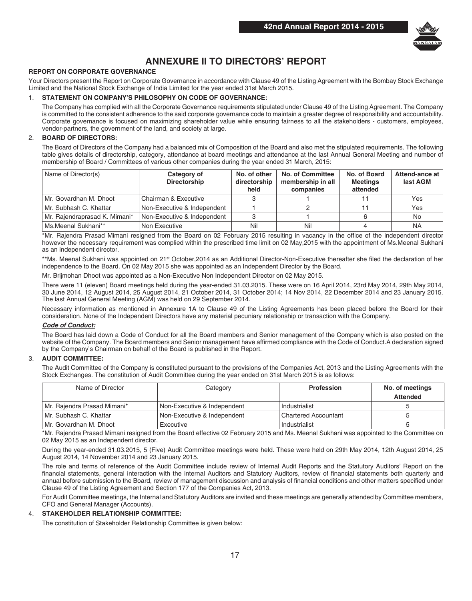

## **ANNEXURE II TO DIRECTORS' REPORT**

### **REPORT ON CORPORATE GOVERNANCE**

Your Directors present the Report on Corporate Governance in accordance with Clause 49 of the Listing Agreement with the Bombay Stock Exchange Limited and the National Stock Exchange of India Limited for the year ended 31st March 2015.

### 1. **STATEMENT ON COMPANY'S PHILOSOPHY ON CODE OF GOVERNANCE:**

The Company has complied with all the Corporate Governance requirements stipulated under Clause 49 of the Listing Agreement. The Company is committed to the consistent adherence to the said corporate governance code to maintain a greater degree of responsibility and accountability. Corporate governance is focused on maximizing shareholder value while ensuring fairness to all the stakeholders - customers, employees, vendor-partners, the government of the land, and society at large.

### 2. **BOARD OF DIRECTORS:**

The Board of Directors of the Company had a balanced mix of Composition of the Board and also met the stipulated requirements. The following table gives details of directorship, category, attendance at board meetings and attendance at the last Annual General Meeting and number of membership of Board / Committees of various other companies during the year ended 31 March, 2015:

| Name of Director(s)           | Category of<br><b>Directorship</b> | No. of other<br>directorship<br>held | No. of Committee<br>membership in all<br>companies | No. of Board<br><b>Meetings</b><br>attended | Attend-ance at<br>last AGM |
|-------------------------------|------------------------------------|--------------------------------------|----------------------------------------------------|---------------------------------------------|----------------------------|
| l Mr. Govardhan M. Dhoot      | Chairman & Executive               |                                      |                                                    |                                             | Yes                        |
| l Mr. Subhash C. Khattar      | Non-Executive & Independent        |                                      |                                                    |                                             | Yes                        |
| Mr. Rajendraprasad K. Mimani* | Non-Executive & Independent        |                                      |                                                    |                                             | No                         |
| Ms.Meenal Sukhani**           | Non Executive                      | Nil                                  | Nil                                                |                                             | <b>NA</b>                  |

\*Mr. Rajendra Prasad Mimani resigned from the Board on 02 February 2015 resulting in vacancy in the office of the independent director however the necessary requirement was complied within the prescribed time limit on 02 May,2015 with the appointment of Ms.Meenal Sukhani as an independent director.

\*\*Ms. Meenal Sukhani was appointed on 21<sup>st</sup> October,2014 as an Additional Director-Non-Executive thereafter she filed the declaration of her independence to the Board. On 02 May 2015 she was appointed as an Independent Director by the Board.

Mr. Brijmohan Dhoot was appointed as a Non-Executive Non Independent Director on 02 May 2015.

There were 11 (eleven) Board meetings held during the year-ended 31.03.2015. These were on 16 April 2014, 23rd May 2014, 29th May 2014, 30 June 2014, 12 August 2014, 25 August 2014, 21 October 2014, 31 October 2014; 14 Nov 2014, 22 December 2014 and 23 January 2015. The last Annual General Meeting (AGM) was held on 29 September 2014.

Necessary information as mentioned in Annexure 1A to Clause 49 of the Listing Agreements has been placed before the Board for their consideration. None of the Independent Directors have any material pecuniary relationship or transaction with the Company.

### *Code of Conduct:*

The Board has laid down a Code of Conduct for all the Board members and Senior management of the Company which is also posted on the website of the Company. The Board members and Senior management have affirmed compliance with the Code of Conduct.A declaration signed by the Company's Chairman on behalf of the Board is published in the Report.

### 3. **AUDIT COMMITTEE:**

The Audit Committee of the Company is constituted pursuant to the provisions of the Companies Act, 2013 and the Listing Agreements with the Stock Exchanges. The constitution of Audit Committee during the year ended on 31st March 2015 is as follows:

| Name of Director            | Category                    | <b>Profession</b>           | No. of meetings |
|-----------------------------|-----------------------------|-----------------------------|-----------------|
|                             |                             |                             | <b>Attended</b> |
| Mr. Rajendra Prasad Mimani* | Non-Executive & Independent | Industrialist               |                 |
| Mr. Subhash C. Khattar      | Non-Executive & Independent | <b>Chartered Accountant</b> |                 |
| Mr. Govardhan M. Dhoot      | Executive                   | Industrialist               |                 |

\*Mr. Rajendra Prasad Mimani resigned from the Board effective 02 February 2015 and Ms. Meenal Sukhani was appointed to the Committee on 02 May 2015 as an Independent director.

During the year-ended 31.03.2015, 5 (Five) Audit Committee meetings were held. These were held on 29th May 2014, 12th August 2014, 25 August 2014, 14 November 2014 and 23 January 2015.

The role and terms of reference of the Audit Committee include review of Internal Audit Reports and the Statutory Auditors' Report on the financial statements, general interaction with the internal Auditors and Statutory Auditors, review of financial statements both quarterly and annual before submission to the Board, review of management discussion and analysis of financial conditions and other matters specified under Clause 49 of the Listing Agreement and Section 177 of the Companies Act, 2013.

For Audit Committee meetings, the Internal and Statutory Auditors are invited and these meetings are generally attended by Committee members, CFO and General Manager (Accounts).

### 4. **STAKEHOLDER RELATIONSHIP COMMITTEE:**

The constitution of Stakeholder Relationship Committee is given below: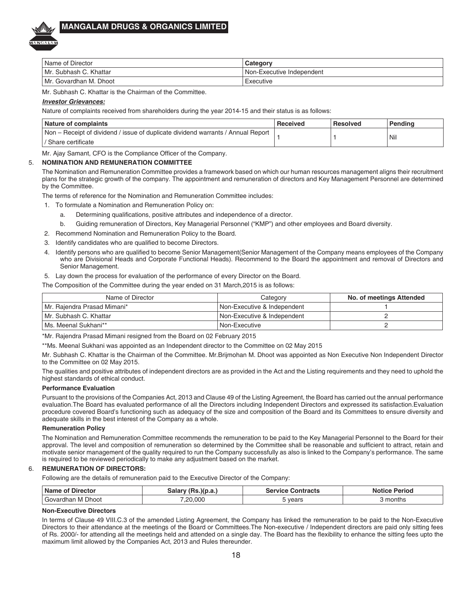

| Name of Director       | Categorv                         |
|------------------------|----------------------------------|
| Mr. Subhash C. Khattar | <b>Non-Executive Independent</b> |
| Mr. Govardhan M. Dhoot | Executive                        |

Mr. Subhash C. Khattar is the Chairman of the Committee.

### *Investor Grievances:*

Nature of complaints received from shareholders during the year 2014-15 and their status is as follows:

| <b>Nature of complaints</b>                                                      | Received | Resolved | Pendina |
|----------------------------------------------------------------------------------|----------|----------|---------|
| Non – Receipt of dividend / issue of duplicate dividend warrants / Annual Report |          |          | Nil     |
| ' Share certificate                                                              |          |          |         |

Mr. Ajay Samant, CFO is the Compliance Officer of the Company.

### 5. **NOMINATION AND REMUNERATION COMMITTEE**

The Nomination and Remuneration Committee provides a framework based on which our human resources management aligns their recruitment plans for the strategic growth of the company. The appointment and remuneration of directors and Key Management Personnel are determined by the Committee.

The terms of reference for the Nomination and Remuneration Committee includes:

1. To formulate a Nomination and Remuneration Policy on:

- a. Determining qualifications, positive attributes and independence of a director.
- b. Guiding remuneration of Directors, Key Managerial Personnel ("KMP") and other employees and Board diversity.
- 2. Recommend Nomination and Remuneration Policy to the Board.
- 3. Identify candidates who are qualified to become Directors.
- 4. Identify persons who are qualified to become Senior Management(Senior Management of the Company means employees of the Company who are Divisional Heads and Corporate Functional Heads). Recommend to the Board the appointment and removal of Directors and Senior Management.
- 5. Lay down the process for evaluation of the performance of every Director on the Board.
- The Composition of the Committee during the year ended on 31 March,2015 is as follows:

| Name of Director            | Category                      | No. of meetings Attended |
|-----------------------------|-------------------------------|--------------------------|
| Mr. Rajendra Prasad Mimani* | l Non-Executive & Independent |                          |
| Mr. Subhash C. Khattar      | l Non-Executive & Independent |                          |
| Ms. Meenal Sukhani**        | l Non-Executive               |                          |

\*Mr. Rajendra Prasad Mimani resigned from the Board on 02 February 2015

\*\*Ms. Meenal Sukhani was appointed as an Independent director to the Committee on 02 May 2015

Mr. Subhash C. Khattar is the Chairman of the Committee. Mr.Brijmohan M. Dhoot was appointed as Non Executive Non Independent Director to the Committee on 02 May 2015.

The qualities and positive attributes of independent directors are as provided in the Act and the Listing requirements and they need to uphold the highest standards of ethical conduct.

### **Performance Evaluation**

Pursuant to the provisions of the Companies Act, 2013 and Clause 49 of the Listing Agreement, the Board has carried out the annual performance evaluation.The Board has evaluated performance of all the Directors including Independent Directors and expressed its satisfaction.Evaluation procedure covered Board's functioning such as adequacy of the size and composition of the Board and its Committees to ensure diversity and adequate skills in the best interest of the Company as a whole.

### **Remuneration Policy**

The Nomination and Remuneration Committee recommends the remuneration to be paid to the Key Managerial Personnel to the Board for their approval. The level and composition of remuneration so determined by the Committee shall be reasonable and sufficient to attract, retain and motivate senior management of the quality required to run the Company successfully as also is linked to the Company's performance. The same is required to be reviewed periodically to make any adjustment based on the market.

### 6. **REMUNERATION OF DIRECTORS:**

Following are the details of remuneration paid to the Executive Director of the Company:

| <b>Name of Director</b> | Salary (Rs.)(p.a.) | <b>Service Contracts</b> | Period<br>Notice . |
|-------------------------|--------------------|--------------------------|--------------------|
| ' Govardhan M Dhoot     | .20.000            | years                    | months             |

### **Non-Executive Directors**

In terms of Clause 49 VIII.C.3 of the amended Listing Agreement, the Company has linked the remuneration to be paid to the Non-Executive Directors to their attendance at the meetings of the Board or Committees.The Non-executive / Independent directors are paid only sitting fees of Rs. 2000/- for attending all the meetings held and attended on a single day. The Board has the flexibility to enhance the sitting fees upto the maximum limit allowed by the Companies Act, 2013 and Rules thereunder.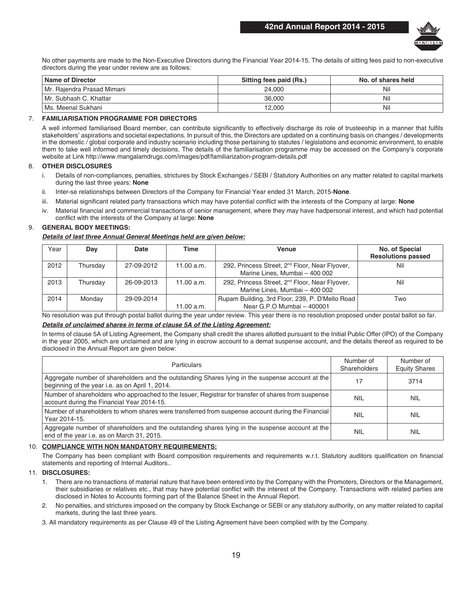

No other payments are made to the Non-Executive Directors during the Financial Year 2014-15. The details of sitting fees paid to non-executive directors during the year under review are as follows:

| <b>Name of Director</b>    | Sitting fees paid (Rs.) | No. of shares held |
|----------------------------|-------------------------|--------------------|
| Mr. Raiendra Prasad Mimani | 24.000                  | Nil                |
| Mr. Subhash C. Khattar     | 36,000                  | Nil                |
| I Ms. Meenal Sukhani       | 12.000                  | Nil                |

### 7. **FAMILIARISATION PROGRAMME FOR DIRECTORS**

A well informed familiarised Board member, can contribute significantly to effectively discharge its role of trusteeship in a manner that fulfils stakeholders' aspirations and societal expectations. In pursuit of this, the Directors are updated on a continuing basis on changes / developments in the domestic / global corporate and industry scenario including those pertaining to statutes / legislations and economic environment, to enable them to take well informed and timely decisions. The details of the familiarisation programme may be accessed on the Company's corporate website at Link http://www.mangalamdrugs.com/images/pdf/familiarization-program-details.pdf

### 8. **OTHER DISCLOSURES**

- i. Details of non-compliances, penalties, strictures by Stock Exchanges / SEBI / Statutory Authorities on any matter related to capital markets during the last three years: **None**
- ii. Inter-se relationships between Directors of the Company for Financial Year ended 31 March, 2015-**None**.
- iii. Material significant related party transactions which may have potential conflict with the interests of the Company at large: **None**
- iv. Material financial and commercial transactions of senior management, where they may have hadpersonal interest, and which had potential conflict with the interests of the Company at large: **None**

### 9. **GENERAL BODY MEETINGS:**

#### *Details of last three Annual General Meetings held are given below:*

| Year | Dav      | Date       | Time       | Venue                                                                                        | No. of Special<br><b>Resolutions passed</b> |
|------|----------|------------|------------|----------------------------------------------------------------------------------------------|---------------------------------------------|
| 2012 | Thursdav | 27-09-2012 | 11.00 a.m. | 292, Princess Street, 2 <sup>nd</sup> Floor, Near Flyover,<br>Marine Lines, Mumbai - 400 002 | Nil                                         |
| 2013 | Thursdav | 26-09-2013 | 11.00 a.m. | 292, Princess Street, 2 <sup>nd</sup> Floor, Near Flyover,<br>Marine Lines, Mumbai - 400 002 | Nil                                         |
| 2014 | Mondav   | 29-09-2014 | 11.00 a.m. | Rupam Building, 3rd Floor, 239, P. D'Mello Road<br>Near G.P.O Mumbai - 400001                | Two                                         |

No resolution was put through postal ballot during the year under review. This year there is no resolution proposed under postal ballot so far.

### *Details of unclaimed shares in terms of clause 5A of the Listing Agreement:*

In terms of clause 5A of Listing Agreement, the Company shall credit the shares allotted pursuant to the Initial Public Offer (IPO) of the Company in the year 2005, which are unclaimed and are lying in escrow account to a demat suspense account, and the details thereof as required to be disclosed in the Annual Report are given below:

| <b>Particulars</b>                                                                                                                                  | Number of<br>Shareholders | Number of<br><b>Equity Shares</b> |
|-----------------------------------------------------------------------------------------------------------------------------------------------------|---------------------------|-----------------------------------|
| Aggregate number of shareholders and the outstanding Shares lying in the suspense account at the<br>beginning of the year i.e. as on April 1, 2014. | 17                        | 3714                              |
| Number of shareholders who approached to the Issuer, Registrar for transfer of shares from suspense<br>account during the Financial Year 2014-15.   | <b>NIL</b>                | NIL                               |
| Number of shareholders to whom shares were transferred from suspense account during the Financial<br>Year 2014-15.                                  | <b>NIL</b>                | <b>NIL</b>                        |
| Aggregate number of shareholders and the outstanding shares lying in the suspense account at the<br>end of the year i.e. as on March 31, 2015.      | <b>NIL</b>                | <b>NIL</b>                        |

### 10. **COMPLIANCE WITH NON MANDATORY REQUIREMENTS:**

The Company has been compliant with Board composition requirements and requirements w.r.t. Statutory auditors qualification on financial statements and reporting of Internal Auditors..

### 11. **DISCLOSURES:**

- 1. There are no transactions of material nature that have been entered into by the Company with the Promoters, Directors or the Management, their subsidiaries or relatives etc., that may have potential conflict with the interest of the Company. Transactions with related parties are disclosed in Notes to Accounts forming part of the Balance Sheet in the Annual Report.
- 2. No penalties, and strictures imposed on the company by Stock Exchange or SEBI or any statutory authority, on any matter related to capital markets, during the last three years.

3. All mandatory requirements as per Clause 49 of the Listing Agreement have been complied with by the Company.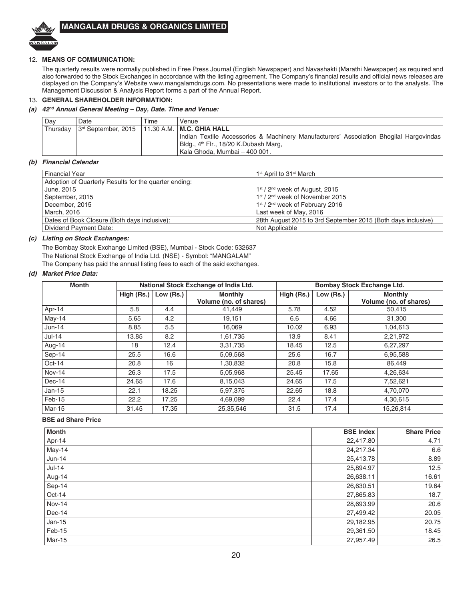

### 12. **MEANS OF COMMUNICATION:**

The quarterly results were normally published in Free Press Journal (English Newspaper) and Navashakti (Marathi Newspaper) as required and also forwarded to the Stock Exchanges in accordance with the listing agreement. The Company's financial results and official news releases are displayed on the Company's Website www.mangalamdrugs.com. No presentations were made to institutional investors or to the analysts. The Management Discussion & Analysis Report forms a part of the Annual Report.

### 13. **GENERAL SHAREHOLDER INFORMATION:**

### *(a) 42nd Annual General Meeting – Day, Date. Time and Venue:*

| Dav        | Date                                                | Time | Venue                                                                                  |
|------------|-----------------------------------------------------|------|----------------------------------------------------------------------------------------|
| l Thursdav | $3rd$ September, 2015   11.30 A.M.   M.C. GHIA HALL |      |                                                                                        |
|            |                                                     |      | Indian Textile Accessories & Machinery Manufacturers' Association Bhogilal Hargovindas |
|            |                                                     |      | Bldg., 4 <sup>th</sup> Flr., 18/20 K.Dubash Marg,                                      |
|            |                                                     |      | Kala Ghoda. Mumbai – 400 001.                                                          |

### *(b) Financial Calendar*

| <b>Financial Year</b>                                 | 1 <sup>st</sup> April to 31 <sup>st</sup> March              |
|-------------------------------------------------------|--------------------------------------------------------------|
| Adoption of Quarterly Results for the quarter ending: |                                                              |
| June, 2015                                            | $1st$ / 2 <sup>nd</sup> week of August, 2015                 |
| September, 2015                                       | 1st / 2 <sup>nd</sup> week of November 2015                  |
| December, 2015                                        | 1 <sup>st</sup> / 2 <sup>nd</sup> week of February 2016      |
| March, 2016                                           | Last week of May, 2016                                       |
| Dates of Book Closure (Both days inclusive):          | 28th August 2015 to 3rd September 2015 (Both days inclusive) |
| Dividend Payment Date:                                | Not Applicable                                               |

### *(c) Listing on Stock Exchanges:*

The Bombay Stock Exchange Limited (BSE), Mumbai - Stock Code: 532637 The National Stock Exchange of India Ltd. (NSE) - Symbol: "MANGALAM" The Company has paid the annual listing fees to each of the said exchanges.

### *(d) Market Price Data:*

| <b>Month</b> |            |           | National Stock Exchange of India Ltd.    | Bombay Stock Exchange Ltd. |           |                                          |  |
|--------------|------------|-----------|------------------------------------------|----------------------------|-----------|------------------------------------------|--|
|              | High (Rs.) | Low (Rs.) | <b>Monthly</b><br>Volume (no. of shares) | High (Rs.)                 | Low (Rs.) | <b>Monthly</b><br>Volume (no. of shares) |  |
| Apr-14       | 5.8        | 4.4       | 41.449                                   | 5.78                       | 4.52      | 50,415                                   |  |
| May-14       | 5.65       | 4.2       | 19,151                                   | 6.6                        | 4.66      | 31,300                                   |  |
| Jun-14       | 8.85       | 5.5       | 16,069                                   | 10.02                      | 6.93      | 1,04,613                                 |  |
| $Jul-14$     | 13.85      | 8.2       | 1,61,735                                 | 13.9                       | 8.41      | 2,21,972                                 |  |
| Aug-14       | 18         | 12.4      | 3,31,735                                 | 18.45                      | 12.5      | 6,27,297                                 |  |
| Sep-14       | 25.5       | 16.6      | 5,09,568                                 | 25.6                       | 16.7      | 6,95,588                                 |  |
| $Oct-14$     | 20.8       | 16        | 1,30,832                                 | 20.8                       | 15.8      | 86,449                                   |  |
| Nov-14       | 26.3       | 17.5      | 5,05,968                                 | 25.45                      | 17.65     | 4,26,634                                 |  |
| Dec-14       | 24.65      | 17.6      | 8,15,043                                 | 24.65                      | 17.5      | 7,52,621                                 |  |
| $Jan-15$     | 22.1       | 18.25     | 5,97,375                                 | 22.65                      | 18.8      | 4,70,070                                 |  |
| Feb-15       | 22.2       | 17.25     | 4,69,099                                 | 22.4                       | 17.4      | 4,30,615                                 |  |
| Mar-15       | 31.45      | 17.35     | 25,35,546                                | 31.5                       | 17.4      | 15,26,814                                |  |

### **BSE ad Share Price**

| <b>Month</b> | <b>BSE Index</b> | Share Price |
|--------------|------------------|-------------|
| Apr-14       | 22,417.80        | 4.71        |
| May-14       | 24,217.34        | 6.6         |
| $Jun-14$     | 25,413.78        | 8.89        |
| $Jul-14$     | 25,894.97        | 12.5        |
| Aug-14       | 26,638.11        | 16.61       |
| Sep-14       | 26,630.51        | 19.64       |
| Oct-14       | 27,865.83        | 18.7        |
| Nov-14       | 28,693.99        | 20.6        |
| Dec-14       | 27,499.42        | 20.05       |
| $Jan-15$     | 29,182.95        | 20.75       |
| Feb-15       | 29,361.50        | 18.45       |
| Mar-15       | 27,957.49        | 26.5        |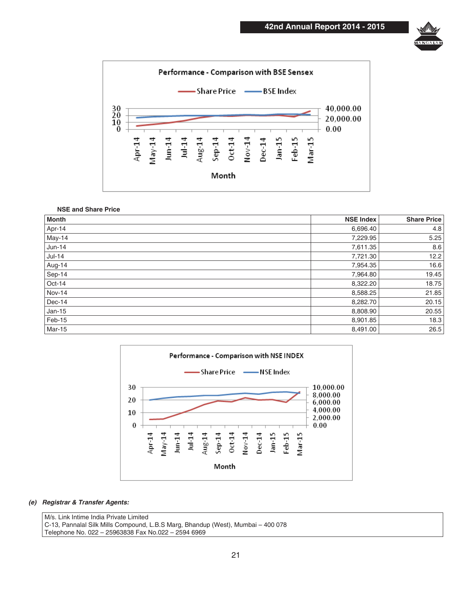



### **NSE and Share Price**

| <b>Month</b> | <b>NSE Index</b> | <b>Share Price</b> |
|--------------|------------------|--------------------|
| Apr-14       | 6,696.40         | 4.8                |
| May-14       | 7,229.95         | 5.25               |
| $Jun-14$     | 7,611.35         | 8.6                |
| $Jul-14$     | 7,721.30         | 12.2               |
| Aug-14       | 7,954.35         | 16.6               |
| Sep-14       | 7,964.80         | 19.45              |
| Oct-14       | 8,322.20         | 18.75              |
| Nov-14       | 8,588.25         | 21.85              |
| Dec-14       | 8,282.70         | 20.15              |
| $Jan-15$     | 8,808.90         | 20.55              |
| Feb-15       | 8,901.85         | 18.3               |
| Mar-15       | 8,491.00         | 26.5               |



### *(e) Registrar & Transfer Agents:*

M/s. Link Intime India Private Limited C-13, Pannalal Silk Mills Compound, L.B.S Marg, Bhandup (West), Mumbai – 400 078 Telephone No. 022 – 25963838 Fax No.022 – 2594 6969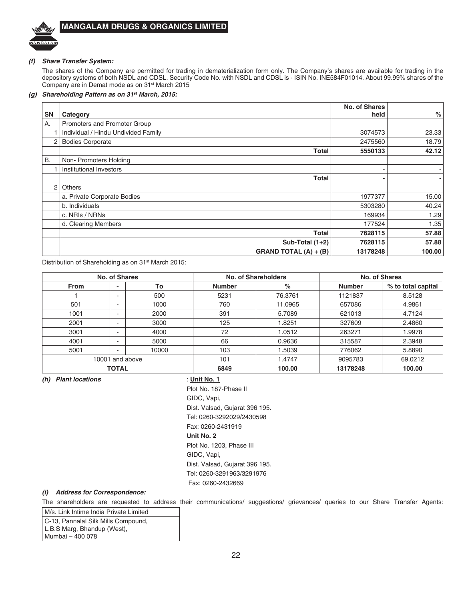

### *(f) Share Transfer System:*

The shares of the Company are permitted for trading in dematerialization form only. The Company's shares are available for trading in the depository systems of both NSDL and CDSL. Security Code No. with NSDL and CDSL is - ISIN No. INE584F01014. About 99.99% shares of the Company are in Demat mode as on 31<sup>st</sup> March 2015

### *(g) Shareholding Pattern as on 31st March, 2015:*

|           |                                     | No. of Shares | %      |
|-----------|-------------------------------------|---------------|--------|
| <b>SN</b> | Category                            | held          |        |
| Α.        | Promoters and Promoter Group        |               |        |
|           | Individual / Hindu Undivided Family | 3074573       | 23.33  |
| 2         | <b>Bodies Corporate</b>             | 2475560       | 18.79  |
|           | <b>Total</b>                        | 5550133       | 42.12  |
| <b>B.</b> | Non-Promoters Holding               |               |        |
| 1         | Institutional Investors             |               |        |
|           | Total                               |               | ۰      |
| 2         | <b>Others</b>                       |               |        |
|           | a. Private Corporate Bodies         | 1977377       | 15.00  |
|           | b. Individuals                      | 5303280       | 40.24  |
|           | c. NRIs / NRNs                      | 169934        | 1.29   |
|           | d. Clearing Members                 | 177524        | 1.35   |
|           | Total                               | 7628115       | 57.88  |
|           | Sub-Total $(1+2)$                   | 7628115       | 57.88  |
|           | <b>GRAND TOTAL (A) + (B)</b>        | 13178248      | 100.00 |

Distribution of Shareholding as on 31<sup>st</sup> March 2015:

| No. of Shares   |                       |       |               | No. of Shareholders | No. of Shares |                    |  |
|-----------------|-----------------------|-------|---------------|---------------------|---------------|--------------------|--|
| <b>From</b>     |                       | To    | <b>Number</b> | %                   | <b>Number</b> | % to total capital |  |
|                 | ۰                     | 500   | 5231          | 76.3761             | 1121837       | 8.5128             |  |
| 501             | -                     | 1000  | 760           | 11.0965             | 657086        | 4.9861             |  |
| 1001            |                       | 2000  | 391           | 5.7089              | 621013        | 4.7124             |  |
| 2001            | -                     | 3000  | 125           | 1.8251              | 327609        | 2.4860             |  |
| 3001            | $\sim$                | 4000  | 72            | 1.0512              | 263271        | 1.9978             |  |
| 4001            | $\tilde{\phantom{a}}$ | 5000  | 66            | 0.9636              | 315587        | 2.3948             |  |
| 5001            | -                     | 10000 | 103           | 1.5039              | 776062        | 5.8890             |  |
| 10001 and above |                       | 101   | 1.4747        | 9095783             | 69.0212       |                    |  |
|                 | <b>TOTAL</b>          |       | 6849          | 100.00              | 13178248      | 100.00             |  |

*(h) Plant locations* : **Unit No. 1**

 Plot No. 187-Phase II GIDC, Vapi, Dist. Valsad, Gujarat 396 195. Tel: 0260-3292029/2430598 Fax: 0260-2431919

### **Unit No. 2**

 Plot No. 1203, Phase III GIDC, Vapi, Dist. Valsad, Gujarat 396 195. Tel: 0260-3291963/3291976 Fax: 0260-2432669

### *(i) Address for Correspondence:*

The shareholders are requested to address their communications/ suggestions/ grievances/ queries to our Share Transfer Agents:

M/s. Link Intime India Private Limited C-13, Pannalal Silk Mills Compound, L.B.S Marg, Bhandup (West), Mumbai – 400 078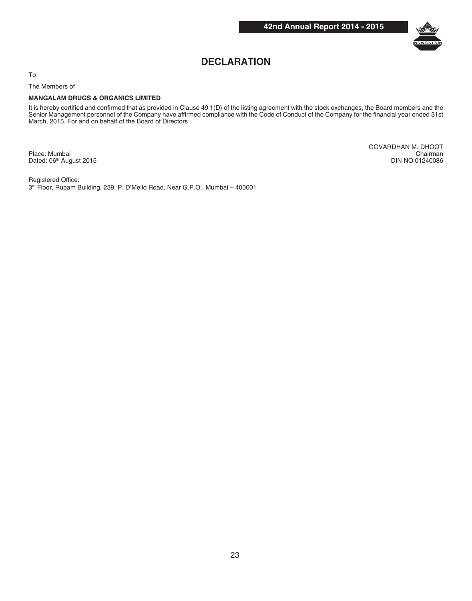

## **DECLARATION**

To

The Members of

### **MANGALAM DRUGS & ORGANICS LIMITED**

It is hereby certified and confirmed that as provided in Clause 49 1(D) of the listing agreement with the stock exchanges, the Board members and the Senior Management personnel of the Company have affirmed compliance with the Code of Conduct of the Company for the financial year ended 31st March, 2015. For and on behalf of the Board of Directors

GOVARDHAN M. DHOOT Place: Mumbai Chairman Dated: 06<sup>th</sup> August 2015 **Din NO:01240086** Din NO:01240086

Registered Office:

3rd Floor, Rupam Building, 239, P. D'Mello Road, Near G.P.O., Mumbai – 400001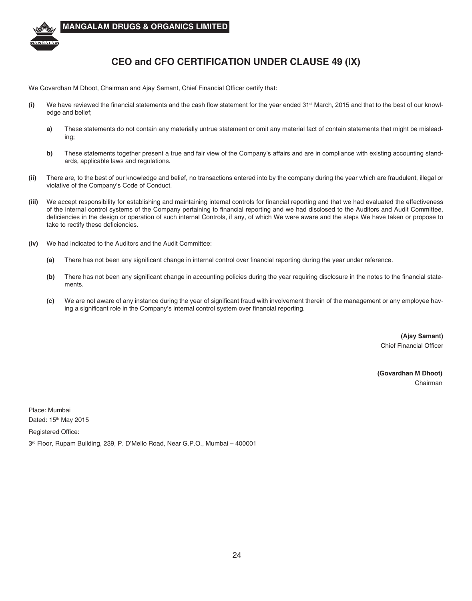

## **CEO and CFO CERTIFICATION UNDER CLAUSE 49 (IX)**

We Govardhan M Dhoot, Chairman and Ajay Samant, Chief Financial Officer certify that:

- **(i)** We have reviewed the financial statements and the cash flow statement for the year ended 31st March, 2015 and that to the best of our knowledge and belief;
	- **a)** These statements do not contain any materially untrue statement or omit any material fact of contain statements that might be misleading;
	- **b)** These statements together present a true and fair view of the Company's affairs and are in compliance with existing accounting standards, applicable laws and regulations.
- **(ii)** There are, to the best of our knowledge and belief, no transactions entered into by the company during the year which are fraudulent, illegal or violative of the Company's Code of Conduct.
- **(iii)** We accept responsibility for establishing and maintaining internal controls for financial reporting and that we had evaluated the effectiveness of the internal control systems of the Company pertaining to financial reporting and we had disclosed to the Auditors and Audit Committee, deficiencies in the design or operation of such internal Controls, if any, of which We were aware and the steps We have taken or propose to take to rectify these deficiencies.
- **(iv)** We had indicated to the Auditors and the Audit Committee:
	- **(a)** There has not been any significant change in internal control over financial reporting during the year under reference.
	- **(b)** There has not been any significant change in accounting policies during the year requiring disclosure in the notes to the financial statements.
	- **(c)** We are not aware of any instance during the year of significant fraud with involvement therein of the management or any employee having a significant role in the Company's internal control system over financial reporting.

**(Ajay Samant)** Chief Financial Officer

 **(Govardhan M Dhoot)** Chairman

Place: Mumbai Dated: 15<sup>th</sup> May 2015

Registered Office:

3rd Floor, Rupam Building, 239, P. D'Mello Road, Near G.P.O., Mumbai – 400001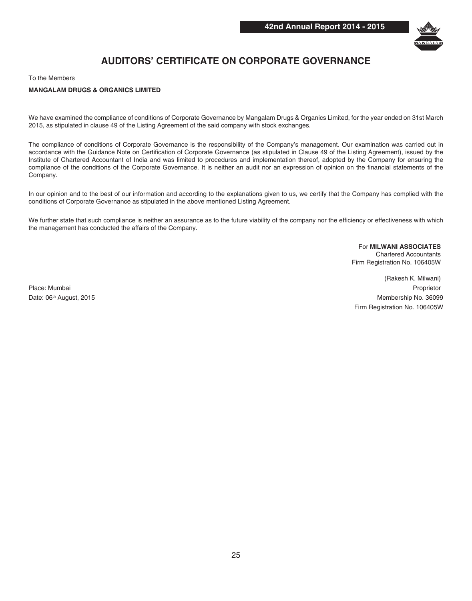

## **AUDITORS' CERTIFICATE ON CORPORATE GOVERNANCE**

To the Members

### **MANGALAM DRUGS & ORGANICS LIMITED**

We have examined the compliance of conditions of Corporate Governance by Mangalam Drugs & Organics Limited, for the year ended on 31st March 2015, as stipulated in clause 49 of the Listing Agreement of the said company with stock exchanges.

The compliance of conditions of Corporate Governance is the responsibility of the Company's management. Our examination was carried out in accordance with the Guidance Note on Certification of Corporate Governance (as stipulated in Clause 49 of the Listing Agreement), issued by the Institute of Chartered Accountant of India and was limited to procedures and implementation thereof, adopted by the Company for ensuring the compliance of the conditions of the Corporate Governance. It is neither an audit nor an expression of opinion on the financial statements of the Company.

In our opinion and to the best of our information and according to the explanations given to us, we certify that the Company has complied with the conditions of Corporate Governance as stipulated in the above mentioned Listing Agreement.

We further state that such compliance is neither an assurance as to the future viability of the company nor the efficiency or effectiveness with which the management has conducted the affairs of the Company.

> For **MILWANI ASSOCIATES** Chartered Accountants Firm Registration No. 106405W

(Rakesh K. Milwani) Place: Mumbai Proprietor Date: 06<sup>th</sup> August, 2015 Membership No. 36099 Firm Registration No. 106405W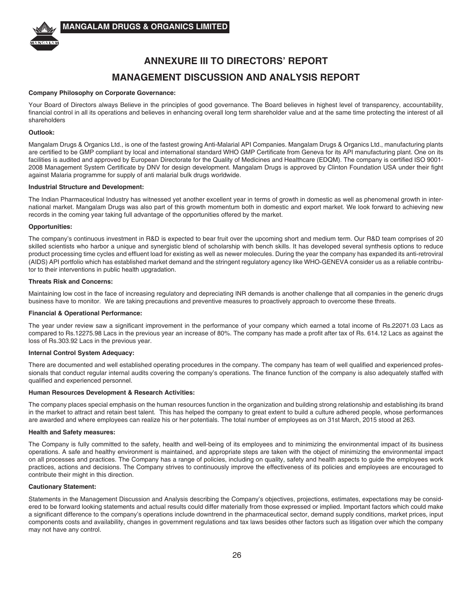

## **ANNEXURE III TO DIRECTORS' REPORT MANAGEMENT DISCUSSION AND ANALYSIS REPORT**

### **Company Philosophy on Corporate Governance:**

Your Board of Directors always Believe in the principles of good governance. The Board believes in highest level of transparency, accountability, financial control in all its operations and believes in enhancing overall long term shareholder value and at the same time protecting the interest of all shareholders

### **Outlook:**

Mangalam Drugs & Organics Ltd., is one of the fastest growing Anti-Malarial API Companies. Mangalam Drugs & Organics Ltd., manufacturing plants are certified to be GMP compliant by local and international standard WHO GMP Certificate from Geneva for its API manufacturing plant. One on its facilities is audited and approved by European Directorate for the Quality of Medicines and Healthcare (EDQM). The company is certified ISO 9001-2008 Management System Certificate by DNV for design development. Mangalam Drugs is approved by Clinton Foundation USA under their fight against Malaria programme for supply of anti malarial bulk drugs worldwide.

### **Industrial Structure and Development:**

The Indian Pharmaceutical Industry has witnessed yet another excellent year in terms of growth in domestic as well as phenomenal growth in international market. Mangalam Drugs was also part of this growth momentum both in domestic and export market. We look forward to achieving new records in the coming year taking full advantage of the opportunities offered by the market.

### **Opportunities:**

The company's continuous investment in R&D is expected to bear fruit over the upcoming short and medium term. Our R&D team comprises of 20 skilled scientists who harbor a unique and synergistic blend of scholarship with bench skills. It has developed several synthesis options to reduce product processing time cycles and effluent load for existing as well as newer molecules. During the year the company has expanded its anti-retroviral (AIDS) API portfolio which has established market demand and the stringent regulatory agency like WHO-GENEVA consider us as a reliable contributor to their interventions in public health upgradation.

### **Threats Risk and Concerns:**

Maintaining low cost in the face of increasing regulatory and depreciating INR demands is another challenge that all companies in the generic drugs business have to monitor. We are taking precautions and preventive measures to proactively approach to overcome these threats.

#### **Financial & Operational Performance:**

The year under review saw a significant improvement in the performance of your company which earned a total income of Rs.22071.03 Lacs as compared to Rs.12275.98 Lacs in the previous year an increase of 80%. The company has made a profit after tax of Rs. 614.12 Lacs as against the loss of Rs.303.92 Lacs in the previous year.

#### **Internal Control System Adequacy:**

There are documented and well established operating procedures in the company. The company has team of well qualified and experienced professionals that conduct regular internal audits covering the company's operations. The finance function of the company is also adequately staffed with qualified and experienced personnel.

### **Human Resources Development & Research Activities:**

The company places special emphasis on the human resources function in the organization and building strong relationship and establishing its brand in the market to attract and retain best talent. This has helped the company to great extent to build a culture adhered people, whose performances are awarded and where employees can realize his or her potentials. The total number of employees as on 31st March, 2015 stood at 263.

#### **Health and Safety measures:**

The Company is fully committed to the safety, health and well-being of its employees and to minimizing the environmental impact of its business operations. A safe and healthy environment is maintained, and appropriate steps are taken with the object of minimizing the environmental impact on all processes and practices. The Company has a range of policies, including on quality, safety and health aspects to guide the employees work practices, actions and decisions. The Company strives to continuously improve the effectiveness of its policies and employees are encouraged to contribute their might in this direction.

### **Cautionary Statement:**

Statements in the Management Discussion and Analysis describing the Company's objectives, projections, estimates, expectations may be considered to be forward looking statements and actual results could differ materially from those expressed or implied. Important factors which could make a significant difference to the company's operations include downtrend in the pharmaceutical sector, demand supply conditions, market prices, input components costs and availability, changes in government regulations and tax laws besides other factors such as litigation over which the company may not have any control.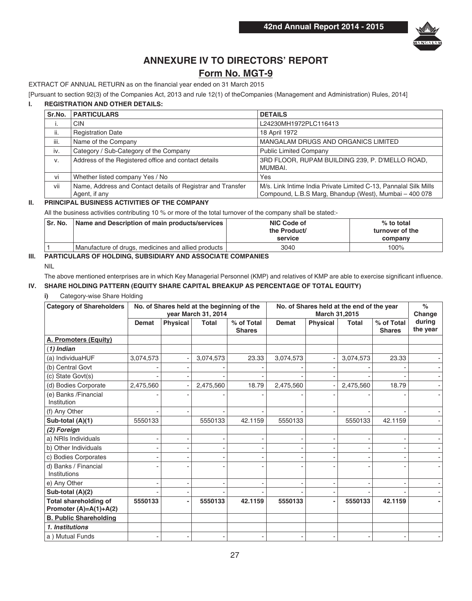

## **ANNEXURE IV TO DIRECTORS' REPORT**

## **Form No. MGT-9**

EXTRACT OF ANNUAL RETURN as on the financial year ended on 31 March 2015

[Pursuant to section 92(3) of the Companies Act, 2013 and rule 12(1) of theCompanies (Management and Administration) Rules, 2014]

### **I. REGISTRATION AND OTHER DETAILS:**

| Sr.No. | <b>PARTICULARS</b>                                                           | <b>DETAILS</b>                                                                                                             |
|--------|------------------------------------------------------------------------------|----------------------------------------------------------------------------------------------------------------------------|
| ۱.     | <b>CIN</b>                                                                   | L24230MH1972PLC116413                                                                                                      |
| ii.    | <b>Registration Date</b>                                                     | 18 April 1972                                                                                                              |
| iii.   | Name of the Company                                                          | MANGALAM DRUGS AND ORGANICS LIMITED                                                                                        |
| iv.    | Category / Sub-Category of the Company                                       | <b>Public Limited Company</b>                                                                                              |
| v.     | Address of the Registered office and contact details                         | 3RD FLOOR, RUPAM BUILDING 239, P. D'MELLO ROAD,<br>MUMBAI.                                                                 |
| vi     | Whether listed company Yes / No                                              | Yes                                                                                                                        |
| vii    | Name, Address and Contact details of Registrar and Transfer<br>Agent, if any | M/s. Link Intime India Private Limited C-13, Pannalal Silk Mills<br>Compound, L.B.S Marg, Bhandup (West), Mumbai - 400 078 |

### **II. PRINCIPAL BUSINESS ACTIVITIES OF THE COMPANY**

All the business activities contributing 10 % or more of the total turnover of the company shall be stated:-

| l Sr. No. | Name and Description of main products/services      | NIC Code of<br>the Product/<br>service | $%$ to total<br>turnover of the<br>company |
|-----------|-----------------------------------------------------|----------------------------------------|--------------------------------------------|
|           | Manufacture of drugs, medicines and allied products | 3040                                   | 100%                                       |

### **III. PARTICULARS OF HOLDING, SUBSIDIARY AND ASSOCIATE COMPANIES**

NIL

The above mentioned enterprises are in which Key Managerial Personnel (KMP) and relatives of KMP are able to exercise significant influence.

### **IV. SHARE HOLDING PATTERN (EQUITY SHARE CAPITAL BREAKUP AS PERCENTAGE OF TOTAL EQUITY)**

**i)** Category-wise Share Holding

| <b>Category of Shareholders</b>      | No. of Shares held at the beginning of the<br>year March 31, 2014 |                 |              |                             | No. of Shares held at the end of the year<br>March 31,2015 |                 |              |                             | $\frac{6}{6}$<br>Change |
|--------------------------------------|-------------------------------------------------------------------|-----------------|--------------|-----------------------------|------------------------------------------------------------|-----------------|--------------|-----------------------------|-------------------------|
|                                      | Demat                                                             | <b>Physical</b> | <b>Total</b> | % of Total<br><b>Shares</b> | Demat                                                      | <b>Physical</b> | <b>Total</b> | % of Total<br><b>Shares</b> | during<br>the year      |
| A. Promoters (Equity)                |                                                                   |                 |              |                             |                                                            |                 |              |                             |                         |
| (1) Indian                           |                                                                   |                 |              |                             |                                                            |                 |              |                             |                         |
| (a) IndividuaHUF                     | 3,074,573                                                         |                 | 3,074,573    | 23.33                       | 3,074,573                                                  |                 | 3,074,573    | 23.33                       |                         |
| (b) Central Govt                     |                                                                   |                 |              |                             |                                                            |                 |              |                             |                         |
| (c) State Govt(s)                    |                                                                   |                 |              |                             |                                                            |                 |              |                             |                         |
| (d) Bodies Corporate                 | 2,475,560                                                         |                 | 2,475,560    | 18.79                       | 2,475,560                                                  |                 | 2,475,560    | 18.79                       |                         |
| (e) Banks / Financial<br>Institution |                                                                   |                 |              |                             |                                                            |                 |              |                             |                         |
| (f) Any Other                        |                                                                   |                 |              |                             |                                                            |                 |              |                             |                         |
| Sub-total (A)(1)                     | 5550133                                                           |                 | 5550133      | 42.1159                     | 5550133                                                    |                 | 5550133      | 42.1159                     |                         |
| (2) Foreign                          |                                                                   |                 |              |                             |                                                            |                 |              |                             |                         |
| a) NRIs Individuals                  |                                                                   |                 |              |                             |                                                            |                 |              |                             |                         |
| b) Other Individuals                 |                                                                   |                 |              |                             |                                                            |                 |              |                             |                         |
| c) Bodies Corporates                 |                                                                   |                 |              |                             |                                                            |                 |              |                             |                         |
| d) Banks / Financial<br>Institutions |                                                                   |                 |              |                             |                                                            |                 |              |                             |                         |
| e) Any Other                         |                                                                   |                 |              |                             |                                                            |                 |              |                             |                         |
| Sub-total (A)(2)                     |                                                                   |                 |              |                             |                                                            |                 |              |                             |                         |
| Total shareholding of                | 5550133                                                           |                 | 5550133      | 42.1159                     | 5550133                                                    | $\overline{a}$  | 5550133      | 42.1159                     |                         |
| Promoter $(A)=A(1)+A(2)$             |                                                                   |                 |              |                             |                                                            |                 |              |                             |                         |
| <b>B. Public Shareholding</b>        |                                                                   |                 |              |                             |                                                            |                 |              |                             |                         |
| 1. Institutions                      |                                                                   |                 |              |                             |                                                            |                 |              |                             |                         |
| a) Mutual Funds                      |                                                                   |                 |              |                             |                                                            |                 |              |                             |                         |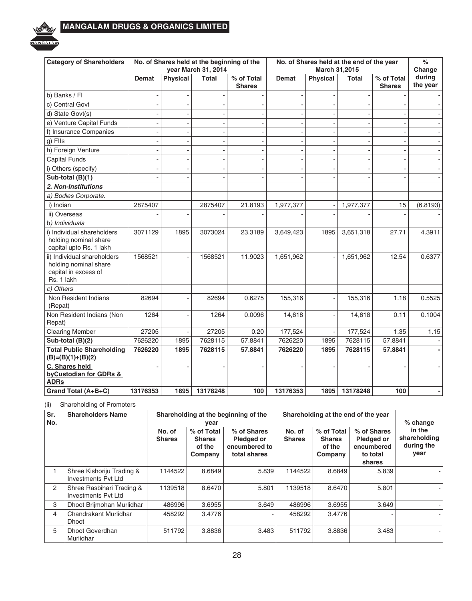

| <b>Category of Shareholders</b>                                                            | No. of Shares held at the beginning of the<br>year March 31, 2014 |                 |              |                             | No. of Shares held at the end of the year<br>March 31,2015 |                 |              |                             | $\frac{1}{2}$<br>Change |
|--------------------------------------------------------------------------------------------|-------------------------------------------------------------------|-----------------|--------------|-----------------------------|------------------------------------------------------------|-----------------|--------------|-----------------------------|-------------------------|
|                                                                                            | Demat                                                             | <b>Physical</b> | <b>Total</b> | % of Total<br><b>Shares</b> | Demat                                                      | <b>Physical</b> | <b>Total</b> | % of Total<br><b>Shares</b> | during<br>the year      |
| b) Banks / Fl                                                                              | $\overline{a}$                                                    |                 |              |                             | $\sim$                                                     | $\blacksquare$  |              |                             |                         |
| c) Central Govt                                                                            |                                                                   |                 |              |                             |                                                            | ÷               |              |                             |                         |
| d) State Govt(s)                                                                           |                                                                   |                 |              |                             | ÷                                                          | $\sim$          |              |                             |                         |
| e) Venture Capital Funds                                                                   |                                                                   |                 |              |                             |                                                            | $\blacksquare$  |              |                             |                         |
| f) Insurance Companies                                                                     |                                                                   |                 |              |                             |                                                            | $\blacksquare$  |              | ä,                          |                         |
| g) Flls                                                                                    |                                                                   |                 |              |                             |                                                            |                 |              |                             |                         |
| h) Foreign Venture                                                                         |                                                                   |                 |              |                             | ÷                                                          | $\blacksquare$  |              | ä,                          |                         |
| <b>Capital Funds</b>                                                                       |                                                                   |                 |              |                             |                                                            | ÷               |              | ÷                           |                         |
| i) Others (specify)                                                                        |                                                                   |                 |              |                             |                                                            |                 |              |                             |                         |
| Sub-total (B)(1)                                                                           |                                                                   |                 |              |                             |                                                            |                 |              |                             |                         |
| 2. Non-Institutions                                                                        |                                                                   |                 |              |                             |                                                            |                 |              |                             |                         |
| a) Bodies Corporate.                                                                       |                                                                   |                 |              |                             |                                                            |                 |              |                             |                         |
| i) Indian                                                                                  | 2875407                                                           |                 | 2875407      | 21.8193                     | 1,977,377                                                  |                 | 1,977,377    | 15                          | (6.8193)                |
| ii) Overseas                                                                               |                                                                   |                 |              |                             |                                                            |                 |              |                             |                         |
| b) Individuals                                                                             |                                                                   |                 |              |                             |                                                            |                 |              |                             |                         |
| i) Individual shareholders<br>holding nominal share<br>capital upto Rs. 1 lakh             | 3071129                                                           | 1895            | 3073024      | 23.3189                     | 3,649,423                                                  | 1895            | 3,651,318    | 27.71                       | 4.3911                  |
| ii) Individual shareholders<br>holding nominal share<br>capital in excess of<br>Rs. 1 lakh | 1568521                                                           |                 | 1568521      | 11.9023                     | 1,651,962                                                  |                 | 1,651,962    | 12.54                       | 0.6377                  |
| c) Others                                                                                  |                                                                   |                 |              |                             |                                                            |                 |              |                             |                         |
| Non Resident Indians<br>(Repat)                                                            | 82694                                                             |                 | 82694        | 0.6275                      | 155,316                                                    |                 | 155,316      | 1.18                        | 0.5525                  |
| Non Resident Indians (Non<br>Repat)                                                        | 1264                                                              |                 | 1264         | 0.0096                      | 14,618                                                     |                 | 14,618       | 0.11                        | 0.1004                  |
| <b>Clearing Member</b>                                                                     | 27205                                                             |                 | 27205        | 0.20                        | 177,524                                                    | $\blacksquare$  | 177,524      | 1.35                        | 1.15                    |
| Sub-total (B)(2)                                                                           | 7626220                                                           | 1895            | 7628115      | 57.8841                     | 7626220                                                    | 1895            | 7628115      | 57.8841                     |                         |
| <b>Total Public Shareholding</b><br>$(B)=(B)(1)+(B)(2)$                                    | 7626220                                                           | 1895            | 7628115      | 57.8841                     | 7626220                                                    | 1895            | 7628115      | 57.8841                     |                         |
| C. Shares held<br>byCustodian for GDRs &<br><b>ADRs</b>                                    |                                                                   |                 |              |                             |                                                            |                 |              |                             |                         |
| Grand Total (A+B+C)                                                                        | 13176353                                                          | 1895            | 13178248     | 100                         | 13176353                                                   | 1895            | 13178248     | 100                         |                         |

(ii) Shareholding of Promoters

| Sr.<br>No. | <b>Shareholders Name</b>                                |                         | vear                                             | Shareholding at the beginning of the                       | Shareholding at the end of the year | % change                                         |                                                               |                                              |
|------------|---------------------------------------------------------|-------------------------|--------------------------------------------------|------------------------------------------------------------|-------------------------------------|--------------------------------------------------|---------------------------------------------------------------|----------------------------------------------|
|            |                                                         | No. of<br><b>Shares</b> | % of Total<br><b>Shares</b><br>of the<br>Company | % of Shares<br>Pledged or<br>encumbered to<br>total shares | No. of<br><b>Shares</b>             | % of Total<br><b>Shares</b><br>of the<br>Company | % of Shares<br>Pledged or<br>encumbered<br>to total<br>shares | in the<br>shareholding<br>during the<br>year |
|            | Shree Kishoriju Trading &<br><b>Investments Pyt Ltd</b> | 1144522                 | 8.6849                                           | 5.839                                                      | 1144522                             | 8.6849                                           | 5.839                                                         |                                              |
| 2          | Shree Rasbihari Trading &<br>Investments Pyt Ltd        | 1139518                 | 8.6470                                           | 5.801                                                      | 1139518                             | 8.6470                                           | 5.801                                                         |                                              |
| 3          | Dhoot Brijmohan Murlidhar                               | 486996                  | 3.6955                                           | 3.649                                                      | 486996                              | 3.6955                                           | 3.649                                                         |                                              |
| 4          | Chandrakant Murlidhar<br><b>Dhoot</b>                   | 458292                  | 3.4776                                           |                                                            | 458292                              | 3.4776                                           |                                                               |                                              |
| 5          | <b>Dhoot Goverdhan</b><br>Murlidhar                     | 511792                  | 3.8836                                           | 3.483                                                      | 511792                              | 3.8836                                           | 3.483                                                         |                                              |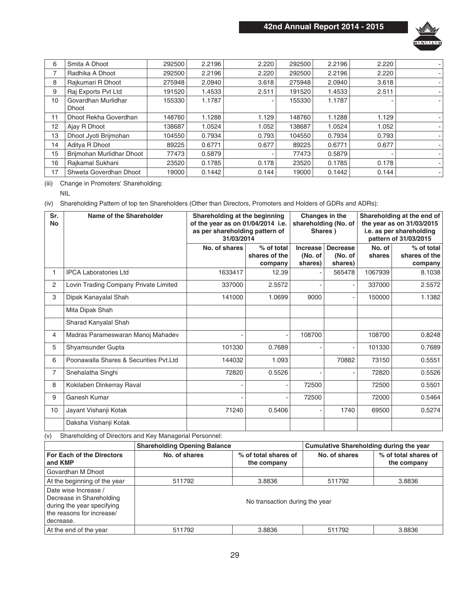

| 6  | Smita A Dhoot                       | 292500 | 2.2196 | 2.220 | 292500 | 2.2196 | 2.220 |  |
|----|-------------------------------------|--------|--------|-------|--------|--------|-------|--|
| 7  | Radhika A Dhoot                     | 292500 | 2.2196 | 2.220 | 292500 | 2.2196 | 2.220 |  |
| 8  | Rajkumari R Dhoot                   | 275948 | 2.0940 | 3.618 | 275948 | 2.0940 | 3.618 |  |
| 9  | Raj Exports Pvt Ltd                 | 191520 | 1.4533 | 2.511 | 191520 | 1.4533 | 2.511 |  |
| 10 | Govardhan Murlidhar<br><b>Dhoot</b> | 155330 | 1.1787 |       | 155330 | 1.1787 |       |  |
|    |                                     |        |        |       |        |        |       |  |
| 11 | Dhoot Rekha Goverdhan               | 148760 | 1.1288 | 1.129 | 148760 | 1.1288 | 1.129 |  |
| 12 | Ajay R Dhoot                        | 138687 | 1.0524 | 1.052 | 138687 | 1.0524 | 1.052 |  |
| 13 | Dhoot Jyoti Brijmohan               | 104550 | 0.7934 | 0.793 | 104550 | 0.7934 | 0.793 |  |
| 14 | Aditya R Dhoot                      | 89225  | 0.6771 | 0.677 | 89225  | 0.6771 | 0.677 |  |
| 15 | Brijmohan Murlidhar Dhoot           | 77473  | 0.5879 |       | 77473  | 0.5879 |       |  |
| 16 | Rajkamal Sukhani                    | 23520  | 0.1785 | 0.178 | 23520  | 0.1785 | 0.178 |  |
| 17 | Shweta Goverdhan Dhoot              | 19000  | 0.1442 | 0.144 | 19000  | 0.1442 | 0.144 |  |

(iii) Change in Promoters' Shareholding:

NIL

(iv) Shareholding Pattern of top ten Shareholders (Other than Directors, Promoters and Holders of GDRs and ADRs):

| Sr.<br><b>No</b> | Name of the Shareholder                                 | Shareholding at the beginning<br>of the year as on 01/04/2014 i.e.<br>as per shareholding pattern of<br>31/03/2014 |                          | Changes in the<br>Shares) | shareholding (No. of | Shareholding at the end of<br>the year as on 31/03/2015<br>i.e. as per shareholding<br>pattern of 31/03/2015 |                          |  |
|------------------|---------------------------------------------------------|--------------------------------------------------------------------------------------------------------------------|--------------------------|---------------------------|----------------------|--------------------------------------------------------------------------------------------------------------|--------------------------|--|
|                  |                                                         | No. of shares                                                                                                      | % of total               | Increase                  | <b>Decrease</b>      | No. of                                                                                                       | % of total               |  |
|                  |                                                         |                                                                                                                    | shares of the<br>company | (No. of<br>shares)        | (No. of<br>shares)   | shares                                                                                                       | shares of the<br>company |  |
| 1.               | <b>IPCA Laboratories Ltd</b>                            | 1633417                                                                                                            | 12.39                    |                           | 565478               | 1067939                                                                                                      | 8.1038                   |  |
| 2                | Lovin Trading Company Private Limited                   | 337000                                                                                                             | 2.5572                   |                           | ٠                    | 337000                                                                                                       | 2.5572                   |  |
| 3                | Dipak Kanayalal Shah                                    | 141000                                                                                                             | 1.0699                   | 9000                      |                      | 150000                                                                                                       | 1.1382                   |  |
|                  | Mita Dipak Shah                                         |                                                                                                                    |                          |                           |                      |                                                                                                              |                          |  |
|                  | Sharad Kanyalal Shah                                    |                                                                                                                    |                          |                           |                      |                                                                                                              |                          |  |
| 4                | Madras Parameswaran Manoj Mahadev                       |                                                                                                                    |                          | 108700                    |                      | 108700                                                                                                       | 0.8248                   |  |
| 5                | Shyamsunder Gupta                                       | 101330                                                                                                             | 0.7689                   |                           |                      | 101330                                                                                                       | 0.7689                   |  |
| 6                | Poonawalla Shares & Securities Pyt.Ltd                  | 144032                                                                                                             | 1.093                    |                           | 70882                | 73150                                                                                                        | 0.5551                   |  |
| 7                | Snehalatha Singhi                                       | 72820                                                                                                              | 0.5526                   |                           |                      | 72820                                                                                                        | 0.5526                   |  |
| 8                | Kokilaben Dinkerray Raval                               |                                                                                                                    |                          | 72500                     |                      | 72500                                                                                                        | 0.5501                   |  |
| 9                | Ganesh Kumar                                            |                                                                                                                    |                          | 72500                     |                      | 72000                                                                                                        | 0.5464                   |  |
| 10               | Jayant Vishanji Kotak                                   | 71240                                                                                                              | 0.5406                   |                           | 1740                 | 69500                                                                                                        | 0.5274                   |  |
|                  | Daksha Vishanji Kotak                                   |                                                                                                                    |                          |                           |                      |                                                                                                              |                          |  |
| (v)              | Shareholding of Directors and Key Managerial Personnel: |                                                                                                                    |                          |                           |                      |                                                                                                              |                          |  |

|                                                                                                                          | <b>Shareholding Opening Balance</b> |                                     | Cumulative Shareholding during the year |                                     |  |
|--------------------------------------------------------------------------------------------------------------------------|-------------------------------------|-------------------------------------|-----------------------------------------|-------------------------------------|--|
| For Each of the Directors<br>and KMP                                                                                     | No. of shares                       | % of total shares of<br>the company | No. of shares                           | % of total shares of<br>the company |  |
| Govardhan M Dhoot                                                                                                        |                                     |                                     |                                         |                                     |  |
| At the beginning of the year                                                                                             | 511792                              | 3.8836                              | 511792                                  | 3.8836                              |  |
| Date wise Increase /<br>Decrease in Shareholding<br>during the year specifying<br>the reasons for increase/<br>decrease. |                                     | No transaction during the year      |                                         |                                     |  |
| At the end of the year                                                                                                   | 511792                              | 3.8836                              | 511792                                  | 3.8836                              |  |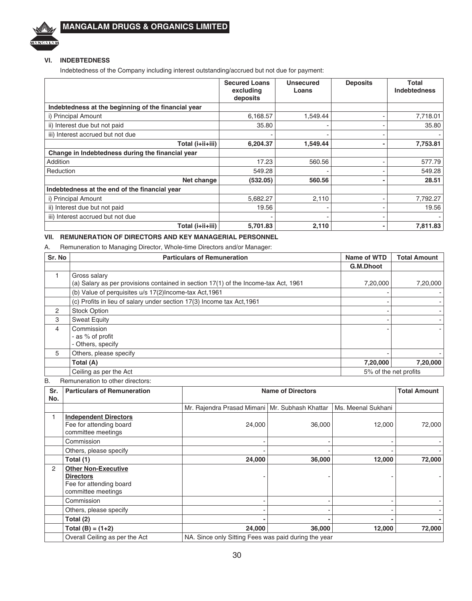

### **VI. INDEBTEDNESS**

Indebtedness of the Company including interest outstanding/accrued but not due for payment:

|                                                     | <b>Secured Loans</b><br>excluding<br>deposits | Unsecured<br>Loans | <b>Deposits</b> | Total<br><b>Indebtedness</b> |
|-----------------------------------------------------|-----------------------------------------------|--------------------|-----------------|------------------------------|
| Indebtedness at the beginning of the financial year |                                               |                    |                 |                              |
| i) Principal Amount                                 | 6,168.57                                      | 1.549.44           |                 | 7,718.01                     |
| ii) Interest due but not paid                       | 35.80                                         |                    |                 | 35.80                        |
| iii) Interest accrued but not due                   |                                               |                    |                 |                              |
| Total (i+ii+iii)                                    | 6,204.37                                      | 1.549.44           |                 | 7,753.81                     |
| Change in Indebtedness during the financial year    |                                               |                    |                 |                              |
| Addition                                            | 17.23                                         | 560.56             |                 | 577.79                       |
| Reduction                                           | 549.28                                        |                    |                 | 549.28                       |
| Net change                                          | (532.05)                                      | 560.56             |                 | 28.51                        |
| Indebtedness at the end of the financial year       |                                               |                    |                 |                              |
| i) Principal Amount                                 | 5,682.27                                      | 2,110              |                 | 7,792.27                     |
| ii) Interest due but not paid                       | 19.56                                         |                    |                 | 19.56                        |
| iii) Interest accrued but not due                   |                                               |                    |                 |                              |
| Total (i+ii+iii)                                    | 5.701.83                                      | 2,110              |                 | 7,811.83                     |

### **VII. REMUNERATION OF DIRECTORS AND KEY MANAGERIAL PERSONNEL**

A. Remuneration to Managing Director, Whole-time Directors and/or Manager:

| Sr. No | <b>Particulars of Remuneration</b>                                                  | Name of WTD | <b>Total Amount</b>   |
|--------|-------------------------------------------------------------------------------------|-------------|-----------------------|
|        |                                                                                     | G.M.Dhoot   |                       |
|        | Gross salary                                                                        |             |                       |
|        | (a) Salary as per provisions contained in section 17(1) of the Income-tax Act, 1961 | 7,20,000    | 7,20,000              |
|        | (b) Value of perquisites u/s 17(2) Income-tax Act, 1961                             |             |                       |
|        | (c) Profits in lieu of salary under section 17(3) Income tax Act, 1961              |             |                       |
| 2      | <b>Stock Option</b>                                                                 |             |                       |
| 3      | <b>Sweat Equity</b>                                                                 |             |                       |
| 4      | Commission                                                                          |             |                       |
|        | - as % of profit                                                                    |             |                       |
|        | - Others, specify                                                                   |             |                       |
| 5      | Others, please specify                                                              |             |                       |
|        | Total (A)                                                                           | 7,20,000    | 7,20,000              |
|        | Ceiling as per the Act                                                              |             | 5% of the net profits |

B. Remuneration to other directors:

| Sr.<br>No. | <b>Particulars of Remuneration</b>                                                              | <b>Total Amount</b><br><b>Name of Directors</b>      |        |                    |        |  |  |  |
|------------|-------------------------------------------------------------------------------------------------|------------------------------------------------------|--------|--------------------|--------|--|--|--|
|            |                                                                                                 | Mr. Rajendra Prasad Mimani   Mr. Subhash Khattar     |        | Ms. Meenal Sukhani |        |  |  |  |
|            | <b>Independent Directors</b><br>Fee for attending board<br>committee meetings                   | 24,000                                               | 36,000 | 12,000             | 72,000 |  |  |  |
|            | Commission                                                                                      |                                                      |        |                    |        |  |  |  |
|            | Others, please specify                                                                          |                                                      |        |                    |        |  |  |  |
|            | Total (1)                                                                                       | 24,000                                               | 36,000 | 12,000             | 72,000 |  |  |  |
| 2          | <b>Other Non-Executive</b><br><b>Directors</b><br>Fee for attending board<br>committee meetings |                                                      |        |                    |        |  |  |  |
|            | Commission                                                                                      |                                                      |        |                    |        |  |  |  |
|            | Others, please specify                                                                          |                                                      |        |                    |        |  |  |  |
|            | Total (2)                                                                                       |                                                      |        |                    |        |  |  |  |
|            | Total $(B) = (1+2)$                                                                             | 24,000                                               | 36,000 | 12,000             | 72,000 |  |  |  |
|            | Overall Ceiling as per the Act                                                                  | NA. Since only Sitting Fees was paid during the year |        |                    |        |  |  |  |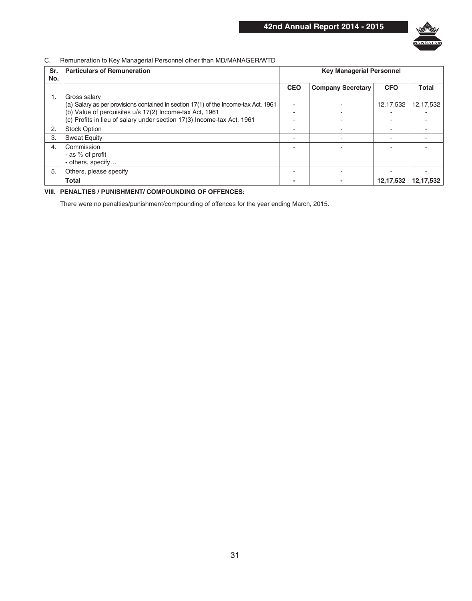

### C. Remuneration to Key Managerial Personnel other than MD/MANAGER/WTD

| Sr.<br>No. | <b>Particulars of Remuneration</b>                                                  | <b>Key Managerial Personnel</b> |                          |             |             |  |  |
|------------|-------------------------------------------------------------------------------------|---------------------------------|--------------------------|-------------|-------------|--|--|
|            |                                                                                     | <b>CEO</b>                      | <b>Company Secretary</b> | <b>CFO</b>  | Total       |  |  |
| 1.         | Gross salary                                                                        |                                 |                          |             |             |  |  |
|            | (a) Salary as per provisions contained in section 17(1) of the Income-tax Act, 1961 |                                 |                          | 12, 17, 532 | 12, 17, 532 |  |  |
|            | (b) Value of perquisites u/s 17(2) Income-tax Act, 1961                             |                                 |                          |             |             |  |  |
|            | (c) Profits in lieu of salary under section 17(3) Income-tax Act, 1961              |                                 |                          |             |             |  |  |
| 2.         | <b>Stock Option</b>                                                                 |                                 |                          |             |             |  |  |
| 3.         | <b>Sweat Equity</b>                                                                 |                                 |                          |             |             |  |  |
| 4.         | Commission                                                                          |                                 |                          |             |             |  |  |
|            | - as % of profit                                                                    |                                 |                          |             |             |  |  |
|            | - others, specify                                                                   |                                 |                          |             |             |  |  |
| 5.         | Others, please specify                                                              |                                 |                          |             |             |  |  |
|            | Total                                                                               |                                 |                          | 12, 17, 532 | 12,17,532   |  |  |

### **VIII. PENALTIES / PUNISHMENT/ COMPOUNDING OF OFFENCES:**

There were no penalties/punishment/compounding of offences for the year ending March, 2015.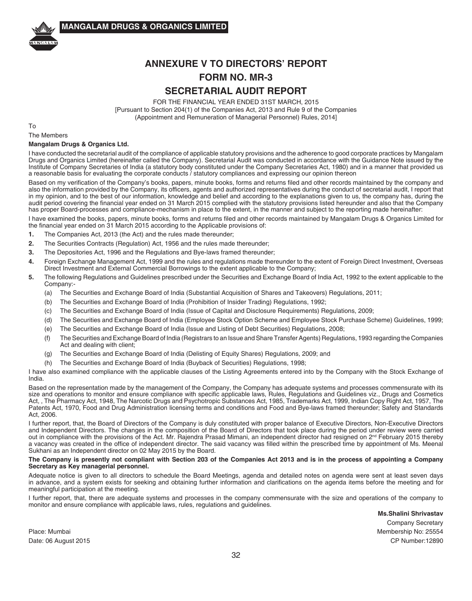

## **ANNEXURE V TO DIRECTORS' REPORT FORM NO. MR-3 SECRETARIAL AUDIT REPORT**

FOR THE FINANCIAL YEAR ENDED 31ST MARCH, 2015 [Pursuant to Section 204(1) of the Companies Act, 2013 and Rule 9 of the Companies (Appointment and Remuneration of Managerial Personnel) Rules, 2014]

To

### The Members **Mangalam Drugs & Organics Ltd.**

I have conducted the secretarial audit of the compliance of applicable statutory provisions and the adherence to good corporate practices by Mangalam Drugs and Organics Limited (hereinafter called the Company). Secretarial Audit was conducted in accordance with the Guidance Note issued by the Institute of Company Secretaries of India (a statutory body constituted under the Company Secretaries Act, 1980) and in a manner that provided us a reasonable basis for evaluating the corporate conducts / statutory compliances and expressing our opinion thereon

Based on my verification of the Company's books, papers, minute books, forms and returns filed and other records maintained by the company and also the information provided by the Company, its officers, agents and authorized representatives during the conduct of secretarial audit, I report that in my opinion, and to the best of our information, knowledge and belief and according to the explanations given to us, the company has, during the audit period covering the financial year ended on 31 March 2015 complied with the statutory provisions listed hereunder and also that the Company has proper Board-processes and compliance-mechanism in place to the extent, in the manner and subject to the reporting made hereinafter:

I have examined the books, papers, minute books, forms and returns filed and other records maintained by Mangalam Drugs & Organics Limited for the financial year ended on 31 March 2015 according to the Applicable provisions of:

- **1.** The Companies Act, 2013 (the Act) and the rules made thereunder;
- **2.** The Securities Contracts (Regulation) Act, 1956 and the rules made thereunder;
- **3.** The Depositories Act, 1996 and the Regulations and Bye-laws framed thereunder;
- **4.** Foreign Exchange Management Act, 1999 and the rules and regulations made thereunder to the extent of Foreign Direct Investment, Overseas Direct Investment and External Commercial Borrowings to the extent applicable to the Company;
- **5.** The following Regulations and Guidelines prescribed under the Securities and Exchange Board of India Act, 1992 to the extent applicable to the Company:-
	- (a) The Securities and Exchange Board of India (Substantial Acquisition of Shares and Takeovers) Regulations, 2011;
	- (b) The Securities and Exchange Board of India (Prohibition of Insider Trading) Regulations, 1992;
	- (c) The Securities and Exchange Board of India (Issue of Capital and Disclosure Requirements) Regulations, 2009;
	- (d) The Securities and Exchange Board of India (Employee Stock Option Scheme and Employee Stock Purchase Scheme) Guidelines, 1999;
	- (e) The Securities and Exchange Board of India (Issue and Listing of Debt Securities) Regulations, 2008;
	- (f) The Securities and Exchange Board of India (Registrars to an Issue and Share Transfer Agents) Regulations, 1993 regarding the Companies Act and dealing with client;
	- (g) The Securities and Exchange Board of India (Delisting of Equity Shares) Regulations, 2009; and
	- (h) The Securities and Exchange Board of India (Buyback of Securities) Regulations, 1998;

I have also examined compliance with the applicable clauses of the Listing Agreements entered into by the Company with the Stock Exchange of India.

Based on the representation made by the management of the Company, the Company has adequate systems and processes commensurate with its size and operations to monitor and ensure compliance with specific applicable laws, Rules, Regulations and Guidelines viz., Drugs and Cosmetics Act, , The Pharmacy Act, 1948, The Narcotic Drugs and Psychotropic Substances Act, 1985, Trademarks Act, 1999, Indian Copy Right Act, 1957, The Patents Act, 1970, Food and Drug Administration licensing terms and conditions and Food and Bye-laws framed thereunder; Safety and Standards Act, 2006.

I further report, that, the Board of Directors of the Company is duly constituted with proper balance of Executive Directors, Non-Executive Directors and Independent Directors. The changes in the composition of the Board of Directors that took place during the period under review were carried out in compliance with the provisions of the Act. Mr. Rajendra Prasad Mimani, an independent director had resigned on 2<sup>nd</sup> February 2015 thereby a vacancy was created in the office of independent director. The said vacancy was filled within the prescribed time by appointment of Ms. Meenal Sukhani as an Independent director on 02 May 2015 by the Board.

### **The Company is presently not compliant with Section 203 of the Companies Act 2013 and is in the process of appointing a Company Secretary as Key managerial personnel.**

Adequate notice is given to all directors to schedule the Board Meetings, agenda and detailed notes on agenda were sent at least seven days in advance, and a system exists for seeking and obtaining further information and clarifications on the agenda items before the meeting and for meaningful participation at the meeting.

I further report, that, there are adequate systems and processes in the company commensurate with the size and operations of the company to monitor and ensure compliance with applicable laws, rules, regulations and guidelines.

**Ms.Shalini Shrivastav**

 Company Secretary Place: Mumbai Membership No: 25554 Date: 06 August 2015 CP Number:12890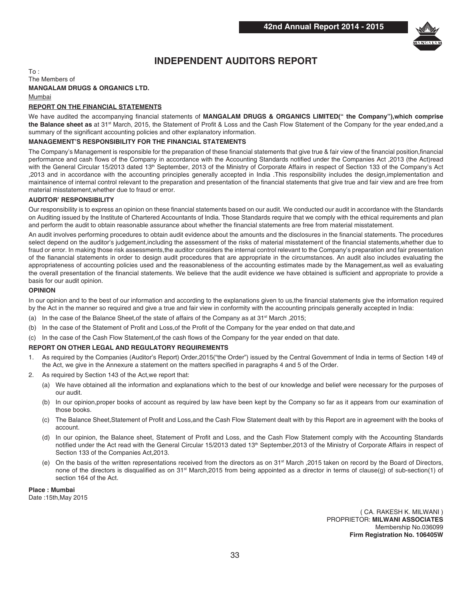

### **INDEPENDENT AUDITORS REPORT**

 $To:$ The Members of **MANGALAM DRUGS & ORGANICS LTD.** Mumbai

### **REPORT ON THE FINANCIAL STATEMENTS**

We have audited the accompanying financial statements of **MANGALAM DRUGS & ORGANICS LIMITED(" the Company"),which comprise**  the Balance sheet as at 31<sup>st</sup> March, 2015, the Statement of Profit & Loss and the Cash Flow Statement of the Company for the year ended, and a summary of the significant accounting policies and other explanatory information.

### **MANAGEMENT'S RESPONSIBILITY FOR THE FINANCIAL STATEMENTS**

The Company's Management is responsible for the preparation of these financial statements that give true & fair view of the financial position,financial performance and cash flows of the Company in accordance with the Accounting Standards notified under the Companies Act ,2013 (the Act)read with the General Circular 15/2013 dated 13<sup>th</sup> September, 2013 of the Ministry of Corporate Affairs in respect of Section 133 of the Company's Act ,2013 and in accordance with the accounting principles generally accepted in India .This responsibility includes the design,implementation and maintainence of internal control relevant to the preparation and presentation of the financial statements that give true and fair view and are free from material misstatement,whether due to fraud or error.

### **AUDITOR' RESPONSIBILITY**

Our responsibility is to express an opinion on these financial statements based on our audit. We conducted our audit in accordance with the Standards on Auditing issued by the Institute of Chartered Accountants of India. Those Standards require that we comply with the ethical requirements and plan and perform the audit to obtain reasonable assurance about whether the financial statements are free from material misstatement.

An audit involves performing procedures to obtain audit evidence about the amounts and the disclosures in the financial statements. The procedures select depend on the auditor's judgement,including the assessment of the risks of material misstatement of the financial statements,whether due to fraud or error. In making those risk assessments,the auditor considers the internal control relevant to the Company's preparation and fair presentation of the fianancial statements in order to design audit procedures that are appropriate in the circumstances. An audit also includes evaluating the appropriateness of accounting policies used and the reasonableness of the accounting estimates made by the Management,as well as evaluating the overall presentation of the financial statements. We believe that the audit evidence we have obtained is sufficient and appropriate to provide a basis for our audit opinion.

### **OPINION**

In our opinion and to the best of our information and according to the explanations given to us,the financial statements give the information required by the Act in the manner so required and give a true and fair view in conformity with the accounting principals generally accepted in India:

- (a) In the case of the Balance Sheet, of the state of affairs of the Company as at  $31^{st}$  March , 2015;
- (b) In the case of the Statement of Profit and Loss,of the Profit of the Company for the year ended on that date,and
- (c) In the case of the Cash Flow Statement,of the cash flows of the Company for the year ended on that date.

### **REPORT ON OTHER LEGAL AND REGULATORY REQUIREMENTS**

- 1. As required by the Companies (Auditor's Report) Order,2015("the Order") issued by the Central Government of India in terms of Section 149 of the Act, we give in the Annexure a statement on the matters specified in paragraphs 4 and 5 of the Order.
- 2. As required by Section 143 of the Act,we report that:
	- (a) We have obtained all the information and explanations which to the best of our knowledge and belief were necessary for the purposes of our audit.
	- (b) In our opinion,proper books of account as required by law have been kept by the Company so far as it appears from our examination of those books.
	- (c) The Balance Sheet,Statement of Profit and Loss,and the Cash Flow Statement dealt with by this Report are in agreement with the books of account.
	- (d) In our opinion, the Balance sheet, Statement of Profit and Loss, and the Cash Flow Statement comply with the Accounting Standards notified under the Act read with the General Circular 15/2013 dated 13<sup>th</sup> September, 2013 of the Ministry of Corporate Affairs in respect of Section 133 of the Companies Act,2013.
	- (e) On the basis of the written representations received from the directors as on 31<sup>st</sup> March ,2015 taken on record by the Board of Directors, none of the directors is disqualified as on 31<sup>st</sup> March,2015 from being appointed as a director in terms of clause(q) of sub-section(1) of section 164 of the Act.

**Place : Mumbai**

Date :15th,May 2015

 ( CA. RAKESH K. MILWANI ) PROPRIETOR: **MILWANI ASSOCIATES** Membership No.036099 **Firm Registration No. 106405W**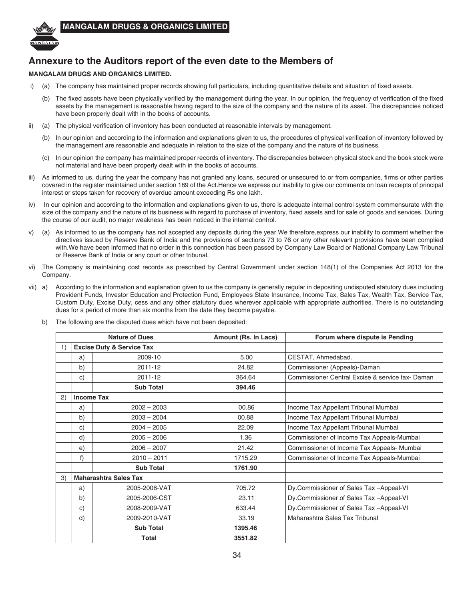

## **Annexure to the Auditors report of the even date to the Members of**

### **MANGALAM DRUGS AND ORGANICS LIMITED.**

- i) (a) The company has maintained proper records showing full particulars, including quantitative details and situation of fixed assets.
	- (b) The fixed assets have been physically verified by the management during the year. In our opinion, the frequency of verification of the fixed assets by the management is reasonable having regard to the size of the company and the nature of its asset. The discrepancies noticed have been properly dealt with in the books of accounts.
- ii) (a) The physical verification of inventory has been conducted at reasonable intervals by management.
	- (b) In our opinion and according to the information and explanations given to us, the procedures of physical verification of inventory followed by the management are reasonable and adequate in relation to the size of the company and the nature of its business.
	- (c) In our opinion the company has maintained proper records of inventory. The discrepancies between physical stock and the book stock were not material and have been properly dealt with in the books of accounts.
- iii) As informed to us, during the year the company has not granted any loans, secured or unsecured to or from companies, firms or other parties covered in the register maintained under section 189 of the Act.Hence we express our inability to give our comments on loan receipts of principal interest or steps taken for recovery of overdue amount exceeding Rs one lakh.
- iv) In our opinion and according to the information and explanations given to us, there is adequate internal control system commensurate with the size of the company and the nature of its business with regard to purchase of inventory, fixed assets and for sale of goods and services. During the course of our audit, no major weakness has been noticed in the internal control.
- v) (a) As informed to us the company has not accepted any deposits during the year.We therefore,express our inability to comment whether the directives issued by Reserve Bank of India and the provisions of sections 73 to 76 or any other relevant provisions have been complied with.We have been informed that no order in this connection has been passed by Company Law Board or National Company Law Tribunal or Reserve Bank of India or any court or other tribunal.
- vi) The Company is maintaining cost records as prescribed by Central Government under section 148(1) of the Companies Act 2013 for the Company.
- vii) a) According to the information and explanation given to us the company is generally regular in depositing undisputed statutory dues including Provident Funds, Investor Education and Protection Fund, Employees State Insurance, Income Tax, Sales Tax, Wealth Tax, Service Tax, Custom Duty, Excise Duty, cess and any other statutory dues wherever applicable with appropriate authorities. There is no outstanding dues for a period of more than six months from the date they become payable.
	- b) The following are the disputed dues which have not been deposited:

|    |                   | <b>Nature of Dues</b>                | Amount (Rs. In Lacs) | Forum where dispute is Pending                  |
|----|-------------------|--------------------------------------|----------------------|-------------------------------------------------|
| 1) |                   | <b>Excise Duty &amp; Service Tax</b> |                      |                                                 |
|    | a)                | 2009-10                              | 5.00                 | CESTAT, Ahmedabad.                              |
|    | b)                | 2011-12                              | 24.82                | Commissioner (Appeals)-Daman                    |
|    | c)                | 2011-12                              | 364.64               | Commissioner Central Excise & service tax-Daman |
|    |                   | <b>Sub Total</b>                     | 394.46               |                                                 |
| 2) | <b>Income Tax</b> |                                      |                      |                                                 |
|    | a)                | $2002 - 2003$                        | 00.86                | Income Tax Appellant Tribunal Mumbai            |
|    | b)                | $2003 - 2004$                        | 00.88                | Income Tax Appellant Tribunal Mumbai            |
|    | c)                | $2004 - 2005$                        | 22.09                | Income Tax Appellant Tribunal Mumbai            |
|    | d)                | $2005 - 2006$                        | 1.36                 | Commissioner of Income Tax Appeals-Mumbai       |
|    | e)                | $2006 - 2007$                        | 21.42                | Commissioner of Income Tax Appeals-Mumbai       |
|    | f)                | $2010 - 2011$                        | 1715.29              | Commissioner of Income Tax Appeals-Mumbai       |
|    |                   | <b>Sub Total</b>                     | 1761.90              |                                                 |
| 3) |                   | <b>Maharashtra Sales Tax</b>         |                      |                                                 |
|    | a)                | 2005-2006-VAT                        | 705.72               | Dy Commissioner of Sales Tax - Appeal VI        |
|    | b)                | 2005-2006-CST                        | 23.11                | Dy.Commissioner of Sales Tax -Appeal-VI         |
|    | C)                | 2008-2009-VAT                        | 633.44               | Dy Commissioner of Sales Tax - Appeal VI        |
|    | d)                | 2009-2010-VAT                        | 33.19                | Maharashtra Sales Tax Tribunal                  |
|    |                   | <b>Sub Total</b>                     | 1395.46              |                                                 |
|    |                   | <b>Total</b>                         | 3551.82              |                                                 |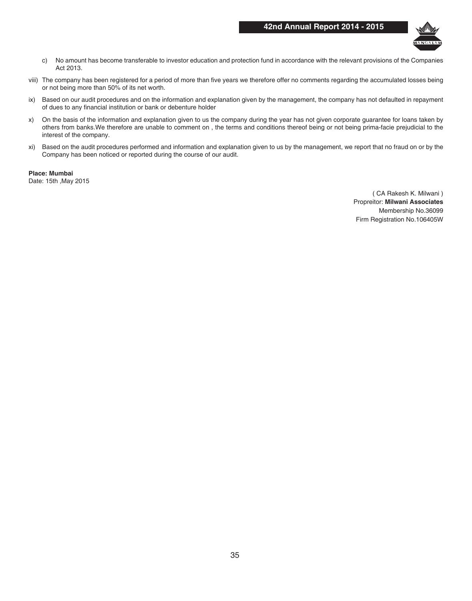### **42nd Annual Report 2014 - 2015**



- c) No amount has become transferable to investor education and protection fund in accordance with the relevant provisions of the Companies Act 2013.
- viii) The company has been registered for a period of more than five years we therefore offer no comments regarding the accumulated losses being or not being more than 50% of its net worth.
- ix) Based on our audit procedures and on the information and explanation given by the management, the company has not defaulted in repayment of dues to any financial institution or bank or debenture holder
- x) On the basis of the information and explanation given to us the company during the year has not given corporate guarantee for loans taken by others from banks.We therefore are unable to comment on , the terms and conditions thereof being or not being prima-facie prejudicial to the interest of the company.
- xi) Based on the audit procedures performed and information and explanation given to us by the management, we report that no fraud on or by the Company has been noticed or reported during the course of our audit.

**Place: Mumbai** Date: 15th ,May 2015

> ( CA Rakesh K. Milwani ) Propreitor: **Milwani Associates** Membership No.36099 Firm Registration No.106405W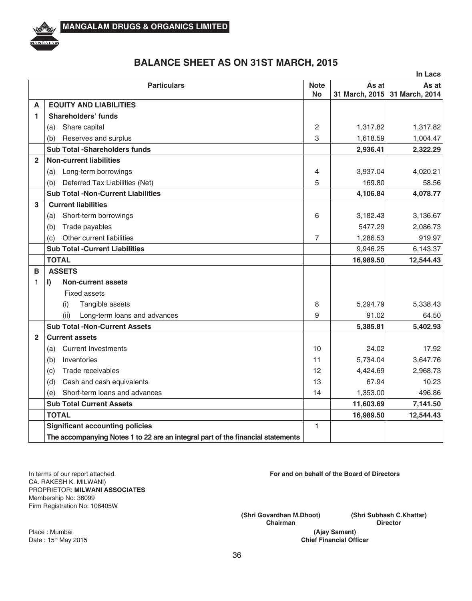

## **BALANCE SHEET AS ON 31ST MARCH, 2015**

|                |                                                                                 |                |                | In Lacs        |
|----------------|---------------------------------------------------------------------------------|----------------|----------------|----------------|
|                | <b>Particulars</b>                                                              | <b>Note</b>    | As at          | As at          |
|                |                                                                                 | <b>No</b>      | 31 March, 2015 | 31 March, 2014 |
| A              | <b>EQUITY AND LIABILITIES</b>                                                   |                |                |                |
| 1              | <b>Shareholders' funds</b>                                                      |                |                |                |
|                | Share capital<br>(a)                                                            | 2              | 1,317.82       | 1,317.82       |
|                | Reserves and surplus<br>(b)                                                     | 3              | 1,618.59       | 1,004.47       |
|                | <b>Sub Total -Shareholders funds</b>                                            |                | 2,936.41       | 2,322.29       |
| $\mathfrak{p}$ | <b>Non-current liabilities</b>                                                  |                |                |                |
|                | Long-term borrowings<br>(a)                                                     | 4              | 3,937.04       | 4,020.21       |
|                | Deferred Tax Liabilities (Net)<br>(b)                                           | 5              | 169.80         | 58.56          |
|                | <b>Sub Total -Non-Current Liabilities</b>                                       |                | 4,106.84       | 4,078.77       |
| 3              | <b>Current liabilities</b>                                                      |                |                |                |
|                | Short-term borrowings<br>(a)                                                    | 6              | 3,182.43       | 3,136.67       |
|                | (b)<br>Trade payables                                                           |                | 5477.29        | 2,086.73       |
|                | Other current liabilities<br>(c)                                                | $\overline{7}$ | 1,286.53       | 919.97         |
|                | <b>Sub Total -Current Liabilities</b>                                           |                | 9,946.25       | 6,143.37       |
|                | <b>TOTAL</b>                                                                    |                | 16,989.50      | 12,544.43      |
| B              | <b>ASSETS</b>                                                                   |                |                |                |
| 1              | <b>Non-current assets</b><br>$\mathbf{I}$                                       |                |                |                |
|                | <b>Fixed assets</b>                                                             |                |                |                |
|                | Tangible assets<br>(i)                                                          | 8              | 5.294.79       | 5,338.43       |
|                | (ii)<br>Long-term loans and advances                                            | 9              | 91.02          | 64.50          |
|                | <b>Sub Total -Non-Current Assets</b>                                            |                | 5,385.81       | 5,402.93       |
| $\mathfrak{p}$ | <b>Current assets</b>                                                           |                |                |                |
|                | <b>Current Investments</b><br>(a)                                               | 10             | 24.02          | 17.92          |
|                | (b)<br>Inventories                                                              | 11             | 5,734.04       | 3,647.76       |
|                | Trade receivables<br>(c)                                                        | 12             | 4,424.69       | 2,968.73       |
|                | Cash and cash equivalents<br>(d)                                                | 13             | 67.94          | 10.23          |
|                | Short-term loans and advances<br>(e)                                            | 14             | 1,353.00       | 496.86         |
|                | <b>Sub Total Current Assets</b>                                                 |                | 11,603.69      | 7,141.50       |
|                | <b>TOTAL</b>                                                                    |                | 16,989.50      | 12,544.43      |
|                | <b>Significant accounting policies</b>                                          | $\mathbf{1}$   |                |                |
|                | The accompanying Notes 1 to 22 are an integral part of the financial statements |                |                |                |

In terms of our report attached. CA. RAKESH K. MILWANI) PROPRIETOR: **MILWANI ASSOCIATES** Membership No: 36099 Firm Registration No: 106405W

**For and on behalf of the Board of Directors**

**(Shri Govardhan M.Dhoot) Chairman**

**(Shri Subhash C.Khattar) Director**

**(Ajay Samant) Chief Financial Officer**

Place : Mumbai Date: 15<sup>th</sup> May 2015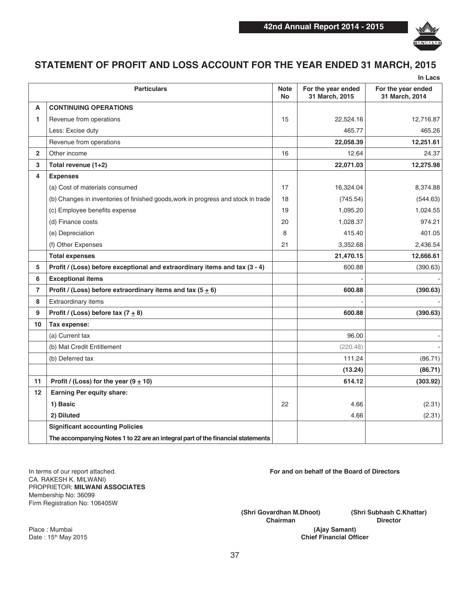

## **STATEMENT OF PROFIT AND LOSS ACCOUNT FOR THE YEAR ENDED 31 MARCH, 2015**

|                |                                                                                   |                          |                                      | In Lacs                              |
|----------------|-----------------------------------------------------------------------------------|--------------------------|--------------------------------------|--------------------------------------|
|                | <b>Particulars</b>                                                                | <b>Note</b><br><b>No</b> | For the year ended<br>31 March, 2015 | For the year ended<br>31 March, 2014 |
| A              | <b>CONTINUING OPERATIONS</b>                                                      |                          |                                      |                                      |
| 1              | Revenue from operations                                                           | 15                       | 22,524.16                            | 12,716.87                            |
|                | Less: Excise duty                                                                 |                          | 465.77                               | 465.26                               |
|                | Revenue from operations                                                           |                          | 22,058.39                            | 12,251.61                            |
| $\overline{2}$ | Other income                                                                      | 16                       | 12.64                                | 24.37                                |
| 3              | Total revenue (1+2)                                                               |                          | 22,071.03                            | 12,275.98                            |
| 4              | <b>Expenses</b>                                                                   |                          |                                      |                                      |
|                | (a) Cost of materials consumed                                                    | 17                       | 16,324.04                            | 8,374.88                             |
|                | (b) Changes in inventories of finished goods, work in progress and stock in trade | 18                       | (745.54)                             | (544.63)                             |
|                | (c) Employee benefits expense                                                     | 19                       | 1,095.20                             | 1,024.55                             |
|                | (d) Finance costs                                                                 | 20                       | 1,028.37                             | 974.21                               |
|                | (e) Depreciation                                                                  | 8                        | 415.40                               | 401.05                               |
|                | (f) Other Expenses                                                                | 21                       | 3,352.68                             | 2,436.54                             |
|                | <b>Total expenses</b>                                                             |                          | 21,470.15                            | 12,666.61                            |
| 5              | Profit / (Loss) before exceptional and extraordinary items and tax (3 - 4)        |                          | 600.88                               | (390.63)                             |
| 6              | <b>Exceptional items</b>                                                          |                          |                                      |                                      |
| $\overline{7}$ | Profit / (Loss) before extraordinary items and tax (5 $\pm$ 6)                    |                          | 600.88                               | (390.63)                             |
| 8              | Extraordinary items                                                               |                          |                                      |                                      |
| 9              | Profit / (Loss) before tax $(7 \pm 8)$                                            |                          | 600.88                               | (390.63)                             |
| 10             | Tax expense:                                                                      |                          |                                      |                                      |
|                | (a) Current tax                                                                   |                          | 96.00                                |                                      |
|                | (b) Mat Credit Entitlement                                                        |                          | (220.48)                             |                                      |
|                | (b) Deferred tax                                                                  |                          | 111.24                               | (86.71)                              |
|                |                                                                                   |                          | (13.24)                              | (86.71)                              |
| 11             | Profit / (Loss) for the year $(9 \pm 10)$                                         |                          | 614.12                               | (303.92)                             |
| 12             | Earning Per equity share:                                                         |                          |                                      |                                      |
|                | 1) Basic                                                                          | 22                       | 4.66                                 | (2.31)                               |
|                | 2) Diluted                                                                        |                          | 4.66                                 | (2.31)                               |
|                | <b>Significant accounting Policies</b>                                            |                          |                                      |                                      |
|                | The accompanying Notes 1 to 22 are an integral part of the financial statements   |                          |                                      |                                      |

In terms of our report attached. CA. RAKESH K. MILWANI) PROPRIETOR: **MILWANI ASSOCIATES** Membership No: 36099 Firm Registration No: 106405W

**For and on behalf of the Board of Directors**

**(Shri Govardhan M.Dhoot) Chairman**

**(Shri Subhash C.Khattar) Director**

**(Ajay Samant) Chief Financial Officer**

Place : Mumbai Date: 15<sup>th</sup> May 2015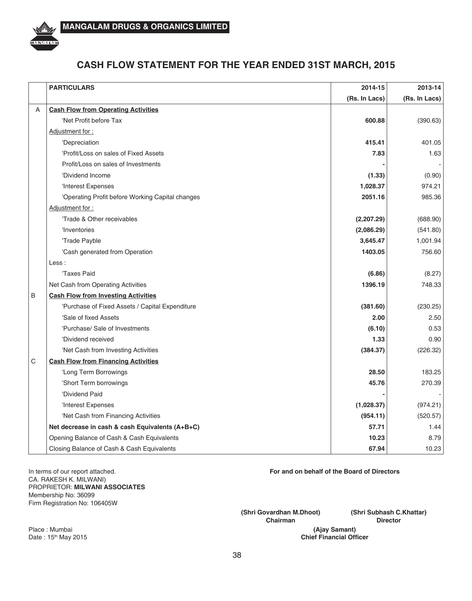

## **CASH FLOW STATEMENT FOR THE YEAR ENDED 31ST MARCH, 2015**

|   | <b>PARTICULARS</b>                               | 2014-15       | 2013-14       |
|---|--------------------------------------------------|---------------|---------------|
|   |                                                  | (Rs. In Lacs) | (Rs. In Lacs) |
| Α | <b>Cash Flow from Operating Activities</b>       |               |               |
|   | 'Net Profit before Tax                           | 600.88        | (390.63)      |
|   | Adjustment for:                                  |               |               |
|   | 'Depreciation                                    | 415.41        | 401.05        |
|   | 'Profit/Loss on sales of Fixed Assets            | 7.83          | 1.63          |
|   | Profit/Loss on sales of Investments              |               |               |
|   | 'Dividend Income                                 | (1.33)        | (0.90)        |
|   | 'Interest Expenses                               | 1,028.37      | 974.21        |
|   | 'Operating Profit before Working Capital changes | 2051.16       | 985.36        |
|   | Adjustment for:                                  |               |               |
|   | 'Trade & Other receivables                       | (2, 207.29)   | (688.90)      |
|   | 'Inventories                                     | (2,086.29)    | (541.80)      |
|   | 'Trade Payble                                    | 3,645.47      | 1,001.94      |
|   | 'Cash generated from Operation                   | 1403.05       | 756.60        |
|   | Less:                                            |               |               |
|   | 'Taxes Paid                                      | (6.86)        | (8.27)        |
|   | Net Cash from Operating Activities               | 1396.19       | 748.33        |
| B | <b>Cash Flow from Investing Activities</b>       |               |               |
|   | 'Purchase of Fixed Assets / Capital Expenditure  | (381.60)      | (230.25)      |
|   | 'Sale of fixed Assets                            | 2.00          | 2.50          |
|   | 'Purchase/ Sale of Investments                   | (6.10)        | 0.53          |
|   | 'Dividend received                               | 1.33          | 0.90          |
|   | 'Net Cash from Investing Activities              | (384.37)      | (226.32)      |
| С | <b>Cash Flow from Financing Activities</b>       |               |               |
|   | 'Long Term Borrowings                            | 28.50         | 183.25        |
|   | 'Short Term borrowings                           | 45.76         | 270.39        |
|   | 'Dividend Paid                                   |               |               |
|   | 'Interest Expenses                               | (1,028.37)    | (974.21)      |
|   | 'Net Cash from Financing Activities              | (954.11)      | (520.57)      |
|   | Net decrease in cash & cash Equivalents (A+B+C)  | 57.71         | 1.44          |
|   | Opening Balance of Cash & Cash Equivalents       | 10.23         | 8.79          |
|   | Closing Balance of Cash & Cash Equivalents       | 67.94         | 10.23         |

In terms of our report attached. CA. RAKESH K. MILWANI) PROPRIETOR: **MILWANI ASSOCIATES** Membership No: 36099 Firm Registration No: 106405W

**For and on behalf of the Board of Directors**

**(Shri Govardhan M.Dhoot) Chairman**

**(Shri Subhash C.Khattar) Director**

**(Ajay Samant) Chief Financial Officer**

Place : Mumbai Date: 15<sup>th</sup> May 2015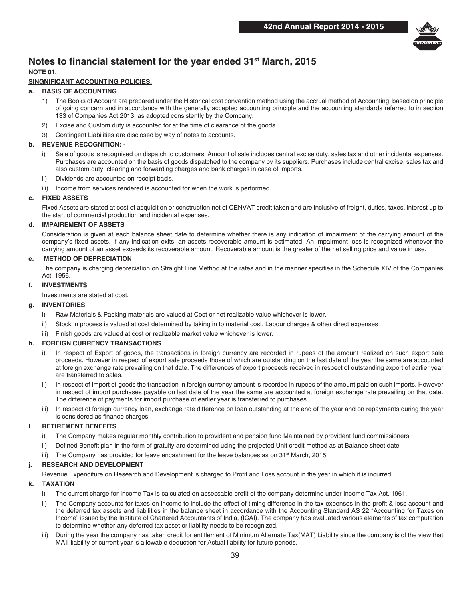

### **Notes to financial statement for the year ended 31st March, 2015**

### **NOTE 01.**

### **SINGNIFICANT ACCOUNTING POLICIES.**

### **a. BASIS OF ACCOUNTING**

- 1) The Books of Account are prepared under the Historical cost convention method using the accrual method of Accounting, based on principle of going concern and in accordance with the generally accepted accounting principle and the accounting standards referred to in section 133 of Companies Act 2013, as adopted consistently by the Company.
- 2) Excise and Custom duty is accounted for at the time of clearance of the goods.
- 3) Contingent Liabilities are disclosed by way of notes to accounts.

### **b. REVENUE RECOGNITION: -**

- i) Sale of goods is recognised on dispatch to customers. Amount of sale includes central excise duty, sales tax and other incidental expenses. Purchases are accounted on the basis of goods dispatched to the company by its suppliers. Purchases include central excise, sales tax and also custom duty, clearing and forwarding charges and bank charges in case of imports.
- ii) Dividends are accounted on receipt basis.
- iii) Income from services rendered is accounted for when the work is performed.

### **c. FIXED ASSETS**

Fixed Assets are stated at cost of acquisition or construction net of CENVAT credit taken and are inclusive of freight, duties, taxes, interest up to the start of commercial production and incidental expenses.

### **d. IMPAIREMENT OF ASSETS**

Consideration is given at each balance sheet date to determine whether there is any indication of impairment of the carrying amount of the company's fixed assets. If any indication exits, an assets recoverable amount is estimated. An impairment loss is recognized whenever the carrying amount of an asset exceeds its recoverable amount. Recoverable amount is the greater of the net selling price and value in use.

### **e. METHOD OF DEPRECIATION**

The company is charging depreciation on Straight Line Method at the rates and in the manner specifies in the Schedule XIV of the Companies Act, 1956.

### **f. INVESTMENTS**

Investments are stated at cost.

### **g. INVENTORIES**

- i) Raw Materials & Packing materials are valued at Cost or net realizable value whichever is lower.
- ii) Stock in process is valued at cost determined by taking in to material cost, Labour charges & other direct expenses
- iii) Finish goods are valued at cost or realizable market value whichever is lower.

### **h. FOREIGN CURRENCY TRANSACTIONS**

- i) In respect of Export of goods, the transactions in foreign currency are recorded in rupees of the amount realized on such export sale proceeds. However in respect of export sale proceeds those of which are outstanding on the last date of the year the same are accounted at foreign exchange rate prevailing on that date. The differences of export proceeds received in respect of outstanding export of earlier year are transferred to sales.
- ii) In respect of Import of goods the transaction in foreign currency amount is recorded in rupees of the amount paid on such imports. However in respect of import purchases payable on last date of the year the same are accounted at foreign exchange rate prevailing on that date. The difference of payments for import purchase of earlier year is transferred to purchases.
- iii) In respect of foreign currency loan, exchange rate difference on loan outstanding at the end of the year and on repayments during the year is considered as finance charges.

### I. **RETIREMENT BENEFITS**

- i) The Company makes regular monthly contribution to provident and pension fund Maintained by provident fund commissioners.
- ii) Defined Benefit plan in the form of gratuity are determined using the projected Unit credit method as at Balance sheet date
- iii) The Company has provided for leave encashment for the leave balances as on  $31<sup>st</sup>$  March, 2015

### **j. RESEARCH AND DEVELOPMENT**

Revenue Expenditure on Research and Development is charged to Profit and Loss account in the year in which it is incurred.

### **k. TAXATION**

- i) The current charge for Income Tax is calculated on assessable profit of the company determine under Income Tax Act, 1961.
- ii) The Company accounts for taxes on income to include the effect of timing difference in the tax expenses in the profit & loss account and the deferred tax assets and liabilities in the balance sheet in accordance with the Accounting Standard AS 22 "Accounting for Taxes on Income" issued by the Institute of Chartered Accountants of India, (ICAI). The company has evaluated various elements of tax computation to determine whether any deferred tax asset or liability needs to be recognized.
- During the year the company has taken credit for entitlement of Minimum Alternate Tax(MAT) Liability since the company is of the view that MAT liability of current year is allowable deduction for Actual liability for future periods.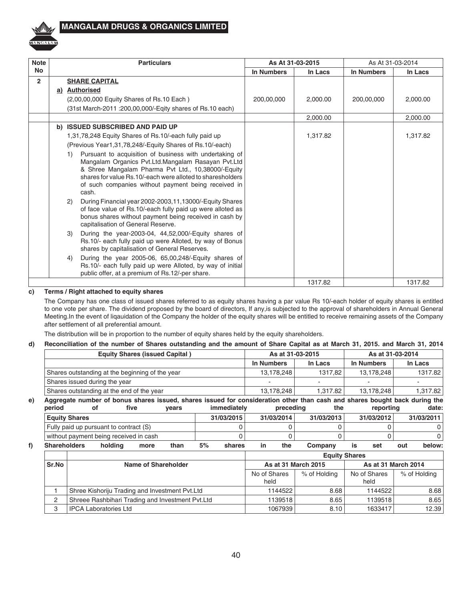

| <b>Note</b>    | <b>Particulars</b>                                                                                                                                                                                                                                                                                      | As At 31-03-2015 |          | As At 31-03-2014 |          |  |
|----------------|---------------------------------------------------------------------------------------------------------------------------------------------------------------------------------------------------------------------------------------------------------------------------------------------------------|------------------|----------|------------------|----------|--|
| <b>No</b>      |                                                                                                                                                                                                                                                                                                         | In Numbers       | In Lacs  | In Numbers       | In Lacs  |  |
| $\overline{2}$ | <b>SHARE CAPITAL</b>                                                                                                                                                                                                                                                                                    |                  |          |                  |          |  |
|                | a) Authorised                                                                                                                                                                                                                                                                                           |                  |          |                  |          |  |
|                | (2,00,00,000 Equity Shares of Rs.10 Each)                                                                                                                                                                                                                                                               | 200,00,000       | 2,000.00 | 200,00,000       | 2,000.00 |  |
|                | (31st March-2011 : 200,00,000/-Eqity shares of Rs.10 each)                                                                                                                                                                                                                                              |                  |          |                  |          |  |
|                |                                                                                                                                                                                                                                                                                                         |                  | 2,000.00 |                  | 2,000.00 |  |
|                | b) ISSUED SUBSCRIBED AND PAID UP                                                                                                                                                                                                                                                                        |                  |          |                  |          |  |
|                | 1,31,78,248 Equity Shares of Rs.10/-each fully paid up                                                                                                                                                                                                                                                  |                  | 1,317.82 |                  | 1,317.82 |  |
|                | (Previous Year1,31,78,248/-Equity Shares of Rs.10/-each)                                                                                                                                                                                                                                                |                  |          |                  |          |  |
|                | Pursuant to acquisition of business with undertaking of<br>1)<br>Mangalam Organics Pvt.Ltd.Mangalam Rasayan Pvt.Ltd<br>& Shree Mangalam Pharma Pvt Ltd., 10,38000/-Equity<br>shares for value Rs.10/-each were alloted to sharesholders<br>of such companies without payment being received in<br>cash. |                  |          |                  |          |  |
|                | During Financial year 2002-2003,11,13000/-Equity Shares<br>(2)<br>of face value of Rs.10/-each fully paid up were alloted as<br>bonus shares without payment being received in cash by<br>capitalisation of General Reserve.                                                                            |                  |          |                  |          |  |
|                | During the year-2003-04, 44,52,000/-Equity shares of<br>3)<br>Rs.10/- each fully paid up were Alloted, by way of Bonus<br>shares by capitalisation of General Reserves.                                                                                                                                 |                  |          |                  |          |  |
|                | During the year 2005-06, 65,00,248/-Equity shares of<br>4)<br>Rs.10/- each fully paid up were Alloted, by way of initial<br>public offer, at a premium of Rs.12/-per share.                                                                                                                             |                  |          |                  |          |  |
|                |                                                                                                                                                                                                                                                                                                         |                  | 1317.82  |                  | 1317.82  |  |

### **c) Terms / Right attached to equity shares**

The Company has one class of issued shares referred to as equity shares having a par value Rs 10/-each holder of equity shares is entitled to one vote per share. The dividend proposed by the board of directors, If any,is subjected to the approval of shareholders in Annual General Meeting.In the event of liqauidation of the Company the holder of the equity shares will be entitled to receive remaining assets of the Company after settlement of all preferential amount.

The distribution will be in proportion to the number of equity shares held by the equity shareholders.

### **d) Reconciliation of the number of Shares outstanding and the amount of Share Capital as at March 31, 2015. and March 31, 2014**

|    | <b>Equity Shares (issued Capital)</b>           |                     |                                                  | As at 31-03-2015 |       |              |                                            | As at 31-03-2014 |            |            |                      |                                                                                                                            |
|----|-------------------------------------------------|---------------------|--------------------------------------------------|------------------|-------|--------------|--------------------------------------------|------------------|------------|------------|----------------------|----------------------------------------------------------------------------------------------------------------------------|
|    | Shares outstanding at the beginning of the year |                     |                                                  |                  |       | In Numbers   |                                            | In Lacs          | In Numbers | In Lacs    |                      |                                                                                                                            |
|    |                                                 |                     |                                                  |                  |       |              | 13,178,248                                 | 1317.82          | 13,178,248 | 1317.82    |                      |                                                                                                                            |
|    | Shares issued during the year                   |                     |                                                  |                  |       |              |                                            |                  | $\sim$     |            |                      |                                                                                                                            |
|    |                                                 |                     | Shares outstanding at the end of the year        |                  |       |              |                                            |                  | 13,178,248 | 1.317.82   | 13,178,248           | 1,317.82                                                                                                                   |
| e) |                                                 |                     |                                                  |                  |       |              |                                            |                  |            |            |                      | Aggregate number of bonus shares issued, shares issued for consideration other than cash and shares bought back during the |
|    | period                                          |                     | οf                                               | five             | years |              | immediately                                |                  | preceding  | the        | reporting            | date:                                                                                                                      |
|    | <b>Equity Shares</b>                            |                     |                                                  |                  |       | 31/03/2015   |                                            |                  | 31/03/2014 | 31/03/2013 | 31/03/2012           | 31/03/2011                                                                                                                 |
|    |                                                 |                     | Fully paid up pursuant to contract (S)           |                  |       |              |                                            |                  |            |            |                      |                                                                                                                            |
|    |                                                 |                     | without payment being received in cash           |                  | 0     |              |                                            |                  | 0          |            | 0                    |                                                                                                                            |
| f) | <b>Shareholders</b>                             |                     | holding                                          | more             | than  | 5%           | shares                                     | in               | the        | Company    | is<br>set            | below:<br>out                                                                                                              |
|    |                                                 |                     |                                                  |                  |       |              |                                            |                  |            |            | <b>Equity Shares</b> |                                                                                                                            |
|    | Sr.No                                           | Name of Shareholder |                                                  |                  |       |              | As at 31 March 2015<br>As at 31 March 2014 |                  |            |            |                      |                                                                                                                            |
|    |                                                 |                     |                                                  | No of Shares     |       | % of Holding | No of Shares                               | % of Holding     |            |            |                      |                                                                                                                            |
|    |                                                 |                     |                                                  | held             |       |              | held                                       |                  |            |            |                      |                                                                                                                            |
|    |                                                 |                     | Shree Kishoriju Trading and Investment Pvt.Ltd   |                  |       |              |                                            |                  | 1144522    | 8.68       | 1144522              | 8.68                                                                                                                       |
|    | 2                                               |                     | Shreee Rashbihari Trading and Investment Pvt.Ltd |                  |       |              |                                            |                  | 1139518    | 8.65       | 1139518              | 8.65                                                                                                                       |

3 IPCA Laboratories Ltd 1067939 8.10 1633417 12.39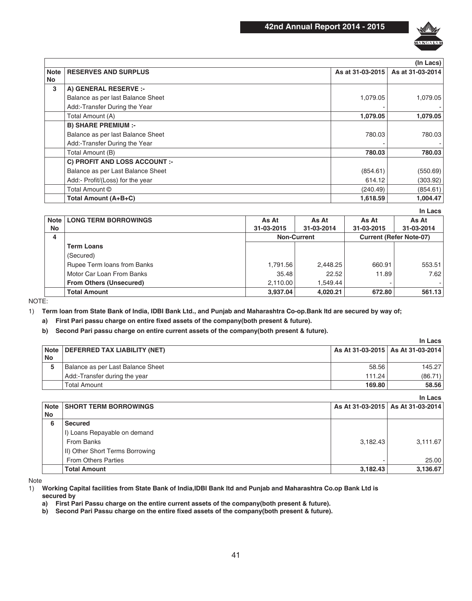

|             | (In Lacs)                            |                  |                  |  |  |
|-------------|--------------------------------------|------------------|------------------|--|--|
| <b>Note</b> | <b>RESERVES AND SURPLUS</b>          | As at 31-03-2015 | As at 31-03-2014 |  |  |
| No          |                                      |                  |                  |  |  |
| 3           | A) GENERAL RESERVE :-                |                  |                  |  |  |
|             | Balance as per last Balance Sheet    | 1,079.05         | 1,079.05         |  |  |
|             | Add:-Transfer During the Year        |                  |                  |  |  |
|             | Total Amount (A)                     | 1,079.05         | 1,079.05         |  |  |
|             | <b>B) SHARE PREMIUM :-</b>           |                  |                  |  |  |
|             | Balance as per last Balance Sheet    | 780.03           | 780.03           |  |  |
|             | Add: Transfer During the Year        |                  |                  |  |  |
|             | Total Amount (B)                     | 780.03           | 780.03           |  |  |
|             | <b>C) PROFIT AND LOSS ACCOUNT :-</b> |                  |                  |  |  |
|             | Balance as per Last Balance Sheet    | (854.61)         | (550.69)         |  |  |
|             | Add:- Profit/(Loss) for the year     | 614.12           | (303.92)         |  |  |
|             | Total Amount ©                       | (240.49)         | (854.61)         |  |  |
|             | Total Amount (A+B+C)                 | 1,618.59         | 1.004.47         |  |  |

**In Lacs**

| <b>LONG TERM BORROWINGS</b>    | As At      | As At      | As At              | As At                          |
|--------------------------------|------------|------------|--------------------|--------------------------------|
|                                | 31-03-2015 | 31-03-2014 | 31-03-2015         | 31-03-2014                     |
|                                |            |            |                    | <b>Current (Refer Note-07)</b> |
| <b>Term Loans</b>              |            |            |                    |                                |
| (Secured)                      |            |            |                    |                                |
| Rupee Term loans from Banks    | 1,791.56   | 2.448.25   | 660.91             | 553.51                         |
| Motor Car Loan From Banks      | 35.48      | 22.52      | 11.89              | 7.62                           |
| <b>From Others (Unsecured)</b> | 2.110.00   | 1.549.44   |                    | $\sim$                         |
| <b>Total Amount</b>            | 3.937.04   | 4.020.21   | 672.80             | 561.13                         |
|                                | Note l     |            | <b>Non-Current</b> |                                |

NOTE:

1) **Term loan from State Bank of India, IDBI Bank Ltd., and Punjab and Maharashtra Co-op.Bank ltd are secured by way of;**

**a) First Pari passu charge on entire fixed assets of the company(both present & future).**

### **b) Second Pari passu charge on entire current assets of the company(both present & future).**

|      |                                   |                     | In Lacs                             |
|------|-----------------------------------|---------------------|-------------------------------------|
| Note | DEFERRED TAX LIABILITY (NET)      |                     | As At 31-03-2015   As At 31-03-2014 |
| No   |                                   |                     |                                     |
| 5    | Balance as per Last Balance Sheet | 58.56               | 145.27                              |
|      | Add:-Transfer during the year     | 111.24              | (86.71)                             |
|      | <b>Total Amount</b>               | 169.80 <sub>1</sub> | 58.56                               |

|             |                                 |          | In Lacs                             |
|-------------|---------------------------------|----------|-------------------------------------|
| <b>Note</b> | <b>SHORT TERM BORROWINGS</b>    |          | As At 31-03-2015   As At 31-03-2014 |
| No          |                                 |          |                                     |
| 6           | Secured                         |          |                                     |
|             | I) Loans Repayable on demand    |          |                                     |
|             | From Banks                      | 3.182.43 | 3,111.67                            |
|             | II) Other Short Terms Borrowing |          |                                     |
|             | <b>From Others Parties</b>      |          | 25.00                               |
|             | <b>Total Amount</b>             | 3,182.43 | 3,136.67                            |

Note

1) **Working Capital facilities from State Bank of India,IDBI Bank ltd and Punjab and Maharashtra Co.op Bank Ltd is secured by**

**a) First Pari Passu charge on the entire current assets of the company(both present & future).**

**b) Second Pari Passu charge on the entire fixed assets of the company(both present & future).**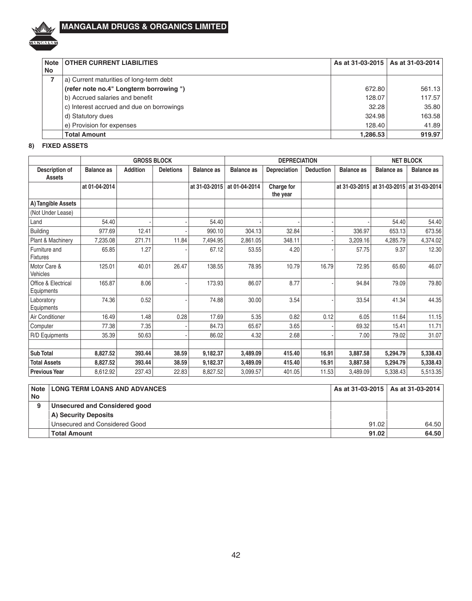

| <b>Note</b> | <b>OTHER CURRENT LIABILITIES</b>          |          | As at 31-03-2015   As at 31-03-2014 |
|-------------|-------------------------------------------|----------|-------------------------------------|
| No          |                                           |          |                                     |
|             | a) Current maturities of long-term debt   |          |                                     |
|             | (refer note no.4" Longterm borrowing ")   | 672.80   | 561.13                              |
|             | b) Accrued salaries and benefit           | 128.07   | 117.57                              |
|             | c) Interest accrued and due on borrowings | 32.28    | 35.80                               |
|             | d) Statutory dues                         | 324.98   | 163.58                              |
|             | e) Provision for expenses                 | 128.40   | 41.89                               |
|             | <b>Total Amount</b>                       | 1.286.53 | 919.97                              |

### **8) FIXED ASSETS**

|                                   | <b>GROSS BLOCK</b> |                 |                  |                   | <b>DEPRECIATION</b> |                        |                  |                   | <b>NET BLOCK</b>                          |                   |  |
|-----------------------------------|--------------------|-----------------|------------------|-------------------|---------------------|------------------------|------------------|-------------------|-------------------------------------------|-------------------|--|
| Description of<br>Assets          | <b>Balance as</b>  | <b>Addition</b> | <b>Deletions</b> | <b>Balance as</b> | <b>Balance as</b>   | <b>Depreciation</b>    | <b>Deduction</b> | <b>Balance</b> as | <b>Balance</b> as                         | <b>Balance as</b> |  |
|                                   | at 01-04-2014      |                 |                  | at 31-03-2015     | at 01-04-2014       | Charge for<br>the year |                  |                   | at 31-03-2015 at 31-03-2015 at 31-03-2014 |                   |  |
| A) Tangible Assets                |                    |                 |                  |                   |                     |                        |                  |                   |                                           |                   |  |
| (Not Under Lease)                 |                    |                 |                  |                   |                     |                        |                  |                   |                                           |                   |  |
| Land                              | 54.40              |                 |                  | 54.40             |                     |                        |                  |                   | 54.40                                     | 54.40             |  |
| <b>Building</b>                   | 977.69             | 12.41           |                  | 990.10            | 304.13              | 32.84                  |                  | 336.97            | 653.13                                    | 673.56            |  |
| Plant & Machinery                 | 7,235.08           | 271.71          | 11.84            | 7,494.95          | 2,861.05            | 348.11                 |                  | 3,209.16          | 4,285.79                                  | 4,374.02          |  |
| Furniture and<br><b>Fixtures</b>  | 65.85              | 1.27            |                  | 67.12             | 53.55               | 4.20                   |                  | 57.75             | 9.37                                      | 12.30             |  |
| Motor Care &<br>Vehicles          | 125.01             | 40.01           | 26.47            | 138.55            | 78.95               | 10.79                  | 16.79            | 72.95             | 65.60                                     | 46.07             |  |
| Office & Electrical<br>Equipments | 165.87             | 8.06            |                  | 173.93            | 86.07               | 8.77                   |                  | 94.84             | 79.09                                     | 79.80             |  |
| Laboratory<br>Equipments          | 74.36              | 0.52            |                  | 74.88             | 30.00               | 3.54                   |                  | 33.54             | 41.34                                     | 44.35             |  |
| Air Conditioner                   | 16.49              | 1.48            | 0.28             | 17.69             | 5.35                | 0.82                   | 0.12             | 6.05              | 11.64                                     | 11.15             |  |
| Computer                          | 77.38              | 7.35            |                  | 84.73             | 65.67               | 3.65                   |                  | 69.32             | 15.41                                     | 11.71             |  |
| R/D Equipments                    | 35.39              | 50.63           |                  | 86.02             | 4.32                | 2.68                   |                  | 7.00              | 79.02                                     | 31.07             |  |
| <b>Sub Total</b>                  | 8,827.52           | 393.44          | 38,59            | 9,182.37          | 3,489.09            | 415.40                 | 16.91            | 3,887.58          | 5,294.79                                  | 5,338.43          |  |
| <b>Total Assets</b>               | 8,827.52           | 393.44          | 38.59            | 9,182.37          | 3,489.09            | 415.40                 | 16.91            | 3,887.58          | 5,294.79                                  | 5,338.43          |  |
| <b>Previous Year</b>              | 8,612.92           | 237.43          | 22.83            | 8,827.52          | 3,099.57            | 401.05                 | 11.53            | 3,489.09          | 5,338.43                                  | 5,513.35          |  |

| l No | Note LONG TERM LOANS AND ADVANCES |       | As at 31-03-2015   As at 31-03-2014 |
|------|-----------------------------------|-------|-------------------------------------|
| 9    | Unsecured and Considered good     |       |                                     |
|      | A) Security Deposits              |       |                                     |
|      | Unsecured and Considered Good     | 91.02 | 64.50                               |
|      | <b>Total Amount</b>               | 91.02 | 64.50                               |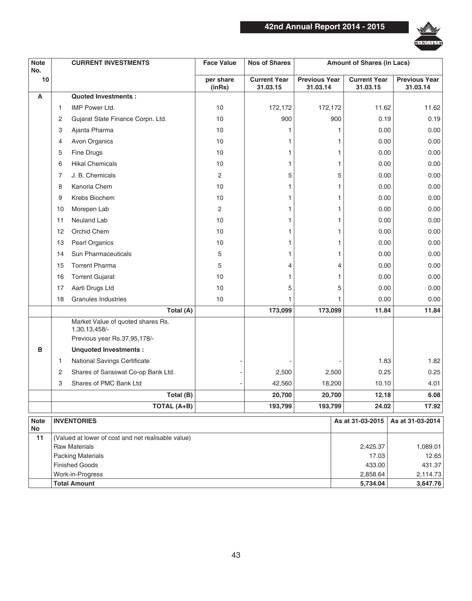

| <b>Note</b><br>No. |                    | <b>CURRENT INVESTMENTS</b>                                                         | <b>Face Value</b>   | <b>Nos of Shares</b>            |                                  | <b>Amount of Shares (in Lacs)</b> |                                  |
|--------------------|--------------------|------------------------------------------------------------------------------------|---------------------|---------------------------------|----------------------------------|-----------------------------------|----------------------------------|
| 10                 |                    |                                                                                    | per share<br>(inRs) | <b>Current Year</b><br>31.03.15 | <b>Previous Year</b><br>31.03.14 | <b>Current Year</b><br>31.03.15   | <b>Previous Year</b><br>31.03.14 |
| A                  |                    | <b>Quoted Investments:</b>                                                         |                     |                                 |                                  |                                   |                                  |
|                    | 1                  | <b>IMP Power Ltd.</b>                                                              | 10                  | 172,172                         | 172,172                          | 11.62                             | 11.62                            |
|                    | 2                  | Gujarat State Finance Corpn. Ltd.                                                  | 10                  | 900                             | 900                              | 0.19                              | 0.19                             |
|                    | 3                  | Ajanta Pharma                                                                      | 10                  | 1                               |                                  | 0.00<br>1                         | 0.00                             |
|                    | 4                  | Avon Organics                                                                      | 10                  | 1                               |                                  | 0.00<br>1                         | 0.00                             |
|                    | 5                  | Fine Drugs                                                                         | 10                  | 1                               |                                  | 0.00<br>1                         | 0.00                             |
|                    | 6                  | <b>Hikal Chemicals</b>                                                             | 10                  | 1                               |                                  | 1<br>0.00                         | 0.00                             |
|                    | 7                  | J. B. Chemicals                                                                    | 2                   | 5                               |                                  | 5<br>0.00                         | 0.00                             |
|                    | 8                  | Kanoria Chem                                                                       | 10                  | 1                               |                                  | $\mathbf{1}$<br>0.00              | 0.00                             |
|                    | 9                  | Krebs Biochem                                                                      | 10                  | 1                               |                                  | 1<br>0.00                         | 0.00                             |
|                    | 10                 | Morepen Lab                                                                        | 2                   | 1                               |                                  | 0.00<br>1                         | 0.00                             |
|                    | 11                 | Neuland Lab                                                                        | 10                  | 1                               |                                  | 1<br>0.00                         | 0.00                             |
|                    | 12                 | Orchid Chem                                                                        | 10                  | 1                               |                                  | 0.00<br>1                         | 0.00                             |
|                    | 13                 | <b>Pearl Organics</b>                                                              | 10                  | 1                               |                                  | 0.00<br>1                         | 0.00                             |
|                    | 14                 | Sun Pharmaceuticals                                                                | 5                   | 1                               |                                  | 1<br>0.00                         | 0.00                             |
|                    | 15                 | <b>Torrent Pharma</b>                                                              | 5                   | 4                               |                                  | 0.00<br>4                         | 0.00                             |
|                    | 16                 | <b>Torrent Gujarat</b>                                                             | 10                  | 1                               |                                  | 0.00<br>1                         | 0.00                             |
|                    | 17                 | Aarti Drugs Ltd                                                                    | 10                  | 5                               |                                  | 5<br>0.00                         | 0.00                             |
|                    | 18                 | <b>Granules Industries</b>                                                         | 10                  | 1                               |                                  | 0.00<br>1                         | 0.00                             |
|                    |                    | Total (A)                                                                          |                     | 173,099                         | 173,099                          | 11.84                             | 11.84                            |
|                    |                    | Market Value of quoted shares Rs.<br>1,30,13,458/-<br>Previous year Rs.37,95,178/- |                     |                                 |                                  |                                   |                                  |
| в                  |                    | <b>Unquoted Investments:</b>                                                       |                     |                                 |                                  |                                   |                                  |
|                    | 1                  | National Savings Certificate                                                       |                     |                                 |                                  | 1.83                              | 1.82                             |
|                    | 2                  | Shares of Saraswat Co-op Bank Ltd.                                                 |                     | 2,500                           | 2,500                            | 0.25                              | 0.25                             |
|                    | 3                  | Shares of PMC Bank Ltd                                                             |                     | 42,560                          | 18,200                           | 10.10                             | 4.01                             |
|                    |                    | Total (B)                                                                          |                     | 20,700                          | 20,700                           | 12.18                             | 6.08                             |
|                    |                    | TOTAL (A+B)                                                                        |                     | 193,799                         | 193,799                          | 24.02                             | 17.92                            |
| <b>Note</b><br>No  | <b>INVENTORIES</b> |                                                                                    |                     |                                 |                                  | As at 31-03-2015                  | As at 31-03-2014                 |
| 11                 |                    | (Valued at lower of cost and net realisable value)                                 |                     |                                 |                                  |                                   |                                  |
|                    |                    | <b>Raw Materials</b>                                                               |                     |                                 |                                  | 2,425.37                          | 1,089.01                         |
|                    |                    | <b>Packing Materials</b>                                                           |                     |                                 |                                  | 17.03                             | 12.65                            |
|                    |                    | <b>Finished Goods</b>                                                              |                     |                                 |                                  | 433.00                            | 431.37                           |

**Work-in-Progress 2,114.73 Total Amount 3,647.76** 3,647.76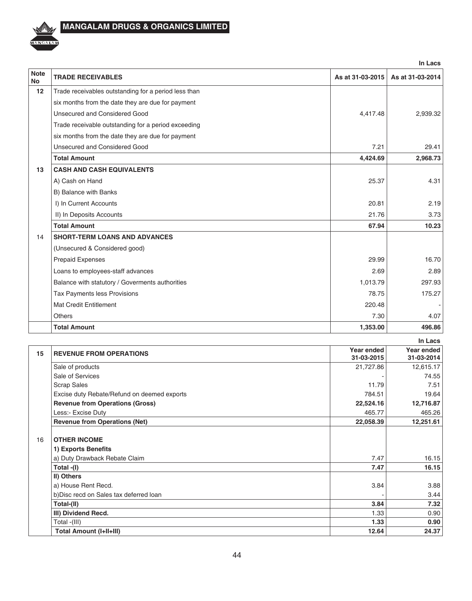

|                          |                                                      |                  | In Lacs          |
|--------------------------|------------------------------------------------------|------------------|------------------|
| <b>Note</b><br><b>No</b> | <b>TRADE RECEIVABLES</b>                             | As at 31-03-2015 | As at 31-03-2014 |
| 12                       | Trade receivables outstanding for a period less than |                  |                  |
|                          | six months from the date they are due for payment    |                  |                  |
|                          | Unsecured and Considered Good                        | 4,417.48         | 2,939.32         |
|                          | Trade receivable outstanding for a period exceeding  |                  |                  |
|                          | six months from the date they are due for payment    |                  |                  |
|                          | Unsecured and Considered Good                        | 7.21             | 29.41            |
|                          | <b>Total Amount</b>                                  | 4,424.69         | 2,968.73         |
| 13                       | <b>CASH AND CASH EQUIVALENTS</b>                     |                  |                  |
|                          | A) Cash on Hand                                      | 25.37            | 4.31             |
|                          | B) Balance with Banks                                |                  |                  |
|                          | I) In Current Accounts                               | 20.81            | 2.19             |
|                          | II) In Deposits Accounts                             | 21.76            | 3.73             |
|                          | <b>Total Amount</b>                                  | 67.94            | 10.23            |
| 14                       | <b>SHORT-TERM LOANS AND ADVANCES</b>                 |                  |                  |
|                          | (Unsecured & Considered good)                        |                  |                  |
|                          | <b>Prepaid Expenses</b>                              | 29.99            | 16.70            |
|                          | Loans to employees-staff advances                    | 2.69             | 2.89             |
|                          | Balance with statutory / Goverments authorities      | 1,013.79         | 297.93           |
|                          | Tax Payments less Provisions                         | 78.75            | 175.27           |
|                          | Mat Credit Entitlement                               | 220.48           |                  |
|                          | Others                                               | 7.30             | 4.07             |
|                          | <b>Total Amount</b>                                  | 1,353.00         | 496.86           |

|    |                                             |                          | In Lacs                  |
|----|---------------------------------------------|--------------------------|--------------------------|
| 15 | <b>REVENUE FROM OPERATIONS</b>              | Year ended<br>31-03-2015 | Year ended<br>31-03-2014 |
|    | Sale of products                            | 21,727.86                | 12,615.17                |
|    | Sale of Services                            |                          | 74.55                    |
|    | <b>Scrap Sales</b>                          | 11.79                    | 7.51                     |
|    | Excise duty Rebate/Refund on deemed exports | 784.51                   | 19.64                    |
|    | <b>Revenue from Operations (Gross)</b>      | 22,524.16                | 12,716.87                |
|    | Less:- Excise Duty                          | 465.77                   | 465.26                   |
|    | <b>Revenue from Operations (Net)</b>        | 22,058.39                | 12,251.61                |
| 16 | <b>OTHER INCOME</b><br>1) Exports Benefits  |                          |                          |
|    | a) Duty Drawback Rebate Claim               | 7.47                     | 16.15                    |
|    | Total -(I)                                  | 7.47                     | 16.15                    |
|    | II) Others                                  |                          |                          |
|    | a) House Rent Recd.                         | 3.84                     | 3.88                     |
|    | b) Disc recd on Sales tax deferred loan     |                          | 3.44                     |
|    | Total-(II)                                  | 3.84                     | 7.32                     |
|    | III) Dividend Recd.                         | 1.33                     | 0.90                     |
|    | Total -(III)                                | 1.33                     | 0.90                     |
|    | Total Amount (I+II+III)                     | 12.64                    | 24.37                    |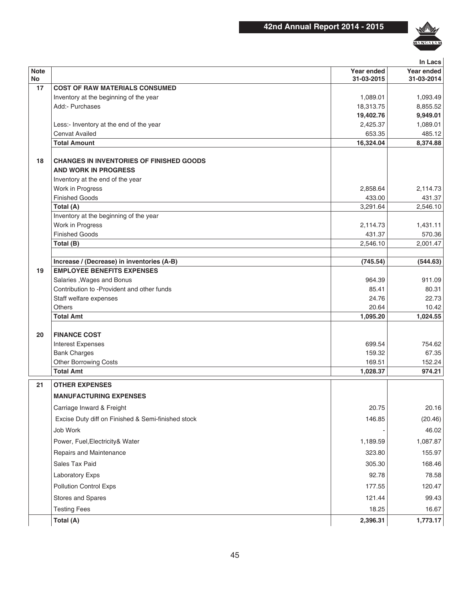

|             |                                                    |            | In Lacs    |
|-------------|----------------------------------------------------|------------|------------|
| <b>Note</b> |                                                    | Year ended | Year ended |
| No<br>17    | <b>COST OF RAW MATERIALS CONSUMED</b>              | 31-03-2015 | 31-03-2014 |
|             | Inventory at the beginning of the year             | 1,089.01   | 1,093.49   |
|             | Add:- Purchases                                    | 18,313.75  | 8,855.52   |
|             |                                                    | 19,402.76  | 9,949.01   |
|             | Less:- Inventory at the end of the year            | 2,425.37   | 1,089.01   |
|             | <b>Cenvat Availed</b>                              | 653.35     | 485.12     |
|             | <b>Total Amount</b>                                | 16,324.04  | 8,374.88   |
| 18          | <b>CHANGES IN INVENTORIES OF FINISHED GOODS</b>    |            |            |
|             | <b>AND WORK IN PROGRESS</b>                        |            |            |
|             | Inventory at the end of the year                   |            |            |
|             | Work in Progress                                   | 2,858.64   | 2,114.73   |
|             | <b>Finished Goods</b>                              | 433.00     | 431.37     |
|             | Total (A)                                          | 3,291.64   | 2,546.10   |
|             | Inventory at the beginning of the year             |            |            |
|             | Work in Progress                                   | 2,114.73   | 1,431.11   |
|             | <b>Finished Goods</b>                              | 431.37     | 570.36     |
|             | Total (B)                                          | 2,546.10   | 2,001.47   |
|             | Increase / (Decrease) in inventories (A-B)         | (745.54)   | (544.63)   |
| 19          | <b>EMPLOYEE BENEFITS EXPENSES</b>                  |            |            |
|             | Salaries, Wages and Bonus                          | 964.39     | 911.09     |
|             | Contribution to -Provident and other funds         | 85.41      | 80.31      |
|             | Staff welfare expenses                             | 24.76      | 22.73      |
|             | <b>Others</b>                                      | 20.64      | 10.42      |
|             | <b>Total Amt</b>                                   | 1,095.20   | 1,024.55   |
| 20          | <b>FINANCE COST</b>                                |            |            |
|             | <b>Interest Expenses</b>                           | 699.54     | 754.62     |
|             | <b>Bank Charges</b>                                | 159.32     | 67.35      |
|             | <b>Other Borrowing Costs</b>                       | 169.51     | 152.24     |
|             | <b>Total Amt</b>                                   | 1,028.37   | 974.21     |
| 21          | <b>OTHER EXPENSES</b>                              |            |            |
|             | <b>MANUFACTURING EXPENSES</b>                      |            |            |
|             | Carriage Inward & Freight                          | 20.75      | 20.16      |
|             | Excise Duty diff on Finished & Semi-finished stock | 146.85     | (20.46)    |
|             | Job Work                                           |            | 46.02      |
|             | Power, Fuel, Electricity & Water                   | 1,189.59   | 1,087.87   |
|             | Repairs and Maintenance                            | 323.80     | 155.97     |
|             | Sales Tax Paid                                     | 305.30     | 168.46     |
|             | Laboratory Exps                                    | 92.78      | 78.58      |
|             | <b>Pollution Control Exps</b>                      | 177.55     | 120.47     |
|             | Stores and Spares                                  | 121.44     | 99.43      |
|             | <b>Testing Fees</b>                                | 18.25      | 16.67      |
|             | Total (A)                                          | 2,396.31   | 1,773.17   |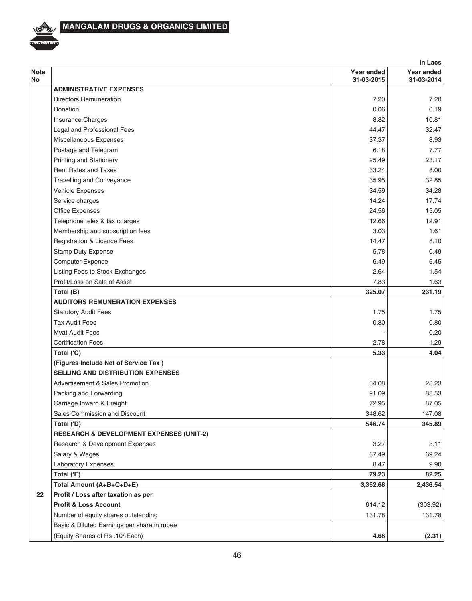

|                   | In Lacs                                             |                          |                          |  |
|-------------------|-----------------------------------------------------|--------------------------|--------------------------|--|
| <b>Note</b><br>No |                                                     | Year ended<br>31-03-2015 | Year ended<br>31-03-2014 |  |
|                   | <b>ADMINISTRATIVE EXPENSES</b>                      |                          |                          |  |
|                   | Directors Remuneration                              | 7.20                     | 7.20                     |  |
|                   | Donation                                            | 0.06                     | 0.19                     |  |
|                   | Insurance Charges                                   | 8.82                     | 10.81                    |  |
|                   | Legal and Professional Fees                         | 44.47                    | 32.47                    |  |
|                   | Miscellaneous Expenses                              | 37.37                    | 8.93                     |  |
|                   | Postage and Telegram                                | 6.18                     | 7.77                     |  |
|                   | <b>Printing and Stationery</b>                      | 25.49                    | 23.17                    |  |
|                   | Rent, Rates and Taxes                               | 33.24                    | 8.00                     |  |
|                   | <b>Travelling and Conveyance</b>                    | 35.95                    | 32.85                    |  |
|                   | Vehicle Expenses                                    | 34.59                    | 34.28                    |  |
|                   | Service charges                                     | 14.24                    | 17.74                    |  |
|                   | Office Expenses                                     | 24.56                    | 15.05                    |  |
|                   | Telephone telex & fax charges                       | 12.66                    | 12.91                    |  |
|                   | Membership and subscription fees                    | 3.03                     | 1.61                     |  |
|                   | Registration & Licence Fees                         | 14.47                    | 8.10                     |  |
|                   | <b>Stamp Duty Expense</b>                           | 5.78                     | 0.49                     |  |
|                   | Computer Expense                                    | 6.49                     | 6.45                     |  |
|                   | Listing Fees to Stock Exchanges                     | 2.64                     | 1.54                     |  |
|                   | Profit/Loss on Sale of Asset                        | 7.83                     | 1.63                     |  |
|                   | Total (B)                                           | 325.07                   | 231.19                   |  |
|                   | <b>AUDITORS REMUNERATION EXPENSES</b>               |                          |                          |  |
|                   | <b>Statutory Audit Fees</b>                         | 1.75                     | 1.75                     |  |
|                   | <b>Tax Audit Fees</b>                               | 0.80                     | 0.80                     |  |
|                   | <b>Mvat Audit Fees</b>                              |                          | 0.20                     |  |
|                   | <b>Certification Fees</b>                           | 2.78                     | 1.29                     |  |
|                   | Total ('C)                                          | 5.33                     | 4.04                     |  |
|                   | (Figures Include Net of Service Tax)                |                          |                          |  |
|                   | <b>SELLING AND DISTRIBUTION EXPENSES</b>            |                          |                          |  |
|                   | Advertisement & Sales Promotion                     | 34.08                    | 28.23                    |  |
|                   | Packing and Forwarding                              | 91.09                    | 83.53                    |  |
|                   | Carriage Inward & Freight                           | 72.95                    | 87.05                    |  |
|                   | Sales Commission and Discount                       | 348.62                   | 147.08                   |  |
|                   | Total ('D)                                          | 546.74                   | 345.89                   |  |
|                   | <b>RESEARCH &amp; DEVELOPMENT EXPENSES (UNIT-2)</b> |                          |                          |  |
|                   | Research & Development Expenses                     | 3.27                     | 3.11                     |  |
|                   | Salary & Wages                                      | 67.49                    | 69.24                    |  |
|                   | Laboratory Expenses                                 | 8.47                     | 9.90                     |  |
|                   | Total ('E)                                          | 79.23                    | 82.25                    |  |
|                   | Total Amount (A+B+C+D+E)                            | 3,352.68                 | 2,436.54                 |  |
| 22                | Profit / Loss after taxation as per                 |                          |                          |  |
|                   | <b>Profit &amp; Loss Account</b>                    | 614.12                   | (303.92)                 |  |
|                   | Number of equity shares outstanding                 | 131.78                   | 131.78                   |  |
|                   | Basic & Diluted Earnings per share in rupee         |                          |                          |  |
|                   | (Equity Shares of Rs .10/-Each)                     | 4.66                     | (2.31)                   |  |
|                   |                                                     |                          |                          |  |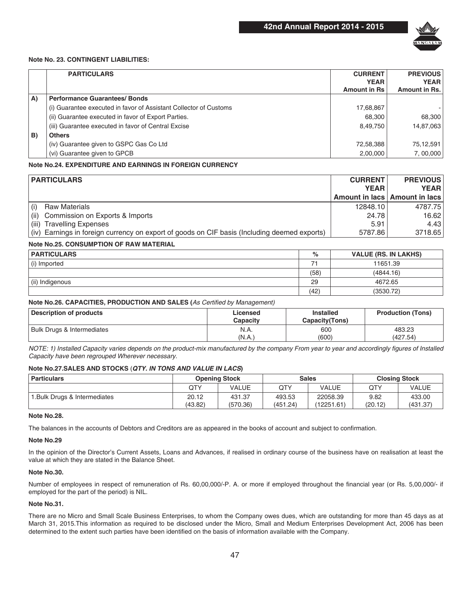

### **Note No. 23. CONTINGENT LIABILITIES:**

|    | <b>PARTICULARS</b>                                                | <b>CURRENT</b><br><b>YEAR</b> | <b>PREVIOUS</b><br><b>YEAR</b> |
|----|-------------------------------------------------------------------|-------------------------------|--------------------------------|
|    |                                                                   | <b>Amount in Rs</b>           | Amount in Rs.                  |
| A) | <b>Performance Guarantees/Bonds</b>                               |                               |                                |
|    | (i) Guarantee executed in favor of Assistant Collector of Customs | 17,68,867                     |                                |
|    | (ii) Guarantee executed in favor of Export Parties.               | 68.300                        | 68,300                         |
|    | (iii) Guarantee executed in favor of Central Excise               | 8.49.750                      | 14,87,063                      |
| B) | <b>Others</b>                                                     |                               |                                |
|    | (iv) Guarantee given to GSPC Gas Co Ltd                           | 72,58,388                     | 75,12,591                      |
|    | (vi) Guarantee given to GPCB                                      | 2,00,000                      | 7,00,000                       |

### **Note No.24. EXPENDITURE AND EARNINGS IN FOREIGN CURRENCY**

|       | <b>PARTICULARS</b>                                                                           |             | <b>PREVIOUS</b><br><b>CURRENT</b> |
|-------|----------------------------------------------------------------------------------------------|-------------|-----------------------------------|
|       |                                                                                              | <b>YEAR</b> | <b>YEAR</b>                       |
|       |                                                                                              |             | Amount in lacs   Amount in lacs   |
|       | <b>Raw Materials</b>                                                                         | 12848.10    | 4787.75                           |
| (ii)  | Commission on Exports & Imports                                                              | 24.78       | 16.62                             |
| (iii) | <b>Travelling Expenses</b>                                                                   | 5.91        | 4.43                              |
|       | (iv) Earnings in foreign currency on export of goods on CIF basis (Including deemed exports) | 5787.86     | 3718.65                           |

### **Note No.25. CONSUMPTION OF RAW MATERIAL**

| <b>PARTICULARS</b> | %    | <b>VALUE (RS. IN LAKHS)</b> |
|--------------------|------|-----------------------------|
| (i) Imported       |      | 11651.39                    |
|                    | (58) | (4844.16)                   |
| (ii) Indigenous    | 29   | 4672.65                     |
|                    | (42) | (3530.72)                   |

### **Note No.26. CAPACITIES, PRODUCTION AND SALES (**As Certified by Management)

| Description of products    | Licensed<br>Capacity | <b>Installed</b><br>Capacity (Tons) | <b>Production (Tons)</b> |
|----------------------------|----------------------|-------------------------------------|--------------------------|
| Bulk Drugs & Intermediates | N.A.                 | 600                                 | 483.23                   |
|                            | (N.A.)               | (600)                               | (427.54)                 |

NOTE: 1) Installed Capacity varies depends on the product-mix manufactured by the company From year to year and accordingly figures of Installed Capacity have been regrouped Wherever necessary.

### **Note No.27.SALES AND STOCKS** (*QTY. IN TONS AND VALUE IN LACS***)**

| <b>Particulars</b>           | <b>Opening Stock</b> |                    | <b>Sales</b>       |                        | <b>Closing Stock</b> |                    |
|------------------------------|----------------------|--------------------|--------------------|------------------------|----------------------|--------------------|
|                              | QTY                  | VALUE              | QTY                | VALUE                  | QTY                  | VALUE              |
| I.Bulk Drugs & Intermediates | 20.12<br>(43.82)     | 431.37<br>(570.36) | 493.53<br>(451.24) | 22058.39<br>(12251.61) | 9.82<br>(20.12)      | 433.00<br>(431.37) |

### **Note No.28.**

The balances in the accounts of Debtors and Creditors are as appeared in the books of account and subject to confirmation.

#### **Note No.29**

In the opinion of the Director's Current Assets, Loans and Advances, if realised in ordinary course of the business have on realisation at least the value at which they are stated in the Balance Sheet.

### **Note No.30.**

Number of employees in respect of remuneration of Rs. 60,00,000/-P. A. or more if employed throughout the financial year (or Rs. 5,00,000/- if employed for the part of the period) is NIL.

### **Note No.31.**

There are no Micro and Small Scale Business Enterprises, to whom the Company owes dues, which are outstanding for more than 45 days as at March 31, 2015.This information as required to be disclosed under the Micro, Small and Medium Enterprises Development Act, 2006 has been determined to the extent such parties have been identified on the basis of information available with the Company.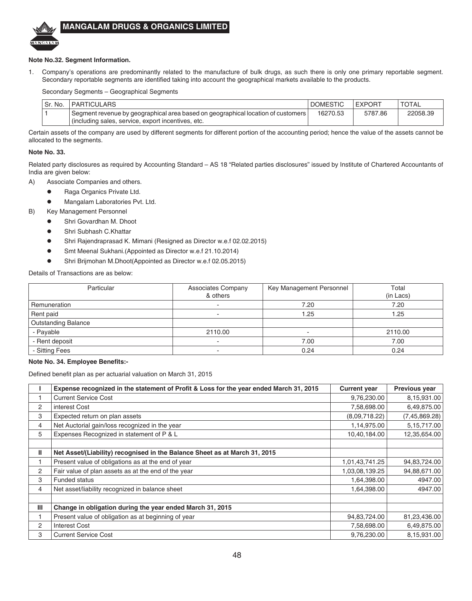

### **Note No.32. Segment Information.**

1. Company's operations are predominantly related to the manufacture of bulk drugs, as such there is only one primary reportable segment. Secondary reportable segments are identified taking into account the geographical markets available to the products.

Secondary Segments – Geographical Segments

| Sr. No. | <b>PARTICULARS</b>                                                               | <b>DOMESTIC</b> | <b>EXPORT</b> | <b>TOTAL</b> |
|---------|----------------------------------------------------------------------------------|-----------------|---------------|--------------|
|         | Segment revenue by geographical area based on geographical location of customers | 16270.53        | 5787.86       | 22058.39     |
|         | (including sales, service, export incentives, etc.                               |                 |               |              |

Certain assets of the company are used by different segments for different portion of the accounting period; hence the value of the assets cannot be allocated to the segments.

### **Note No. 33.**

Related party disclosures as required by Accounting Standard – AS 18 "Related parties disclosures" issued by Institute of Chartered Accountants of India are given below:

- A) Associate Companies and others.
	- **Raga Organics Private Ltd.**
	- **•** Mangalam Laboratories Pvt. Ltd.

B) Key Management Personnel

- **.** Shri Govardhan M. Dhoot
- **•** Shri Subhash C.Khattar
- Shri Rajendraprasad K. Mimani (Resigned as Director w.e.f 02.02.2015)
- **•** Smt Meenal Sukhani.(Appointed as Director w.e.f 21.10.2014)
- **•** Shri Brijmohan M.Dhoot(Appointed as Director w.e.f 02.05.2015)

Details of Transactions are as below:

| Particular                 | <b>Associates Company</b><br>& others | Key Management Personnel | Total<br>(in Lacs) |
|----------------------------|---------------------------------------|--------------------------|--------------------|
| Remuneration               |                                       | 7.20                     | 7.20               |
| Rent paid                  |                                       | .25                      | 1.25               |
| <b>Outstanding Balance</b> |                                       |                          |                    |
| - Payable                  | 2110.00                               | ۰                        | 2110.00            |
| - Rent deposit             | $\overline{\phantom{0}}$              | 7.00                     | 7.00               |
| - Sitting Fees             |                                       | 0.24                     | 0.24               |

### **Note No. 34. Employee Benefits:-**

Defined benefit plan as per actuarial valuation on March 31, 2015

|   | Expense recognized in the statement of Profit & Loss for the year ended March 31, 2015 | <b>Current year</b> | Previous year   |
|---|----------------------------------------------------------------------------------------|---------------------|-----------------|
|   | <b>Current Service Cost</b>                                                            | 9,76,230.00         | 8,15,931.00     |
| 2 | interest Cost                                                                          | 7,58,698.00         | 6,49,875.00     |
| 3 | Expected return on plan assets                                                         | (8,09,718.22)       | (7, 45, 869.28) |
| 4 | Net Auctorial gain/loss recognized in the year                                         | 1,14,975.00         | 5, 15, 717.00   |
| 5 | Expenses Recognized in statement of P & L                                              | 10,40,184.00        | 12,35,654.00    |
|   |                                                                                        |                     |                 |
| Ш | Net Asset/(Liability) recognised in the Balance Sheet as at March 31, 2015             |                     |                 |
|   | Present value of obligations as at the end of year                                     | 1,01,43,741.25      | 94,83,724.00    |
| 2 | Fair value of plan assets as at the end of the year                                    | 1,03,08,139.25      | 94,88,671.00    |
| 3 | <b>Funded status</b>                                                                   | 1,64,398.00         | 4947.00         |
| 4 | Net asset/liability recognized in balance sheet                                        | 1,64,398.00         | 4947.00         |
|   |                                                                                        |                     |                 |
| Ш | Change in obligation during the year ended March 31, 2015                              |                     |                 |
|   | Present value of obligation as at beginning of year                                    | 94,83,724.00        | 81,23,436.00    |
| 2 | <b>Interest Cost</b>                                                                   | 7,58,698.00         | 6,49,875.00     |
| 3 | <b>Current Service Cost</b>                                                            | 9,76,230.00         | 8,15,931.00     |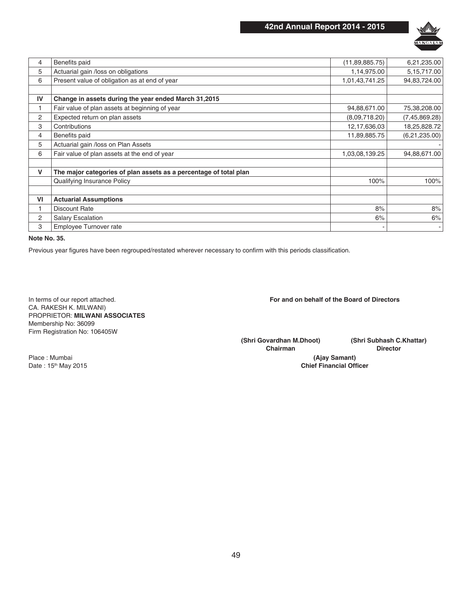

| 4  | Benefits paid                                                     | (11, 89, 885.75) | 6,21,235.00     |
|----|-------------------------------------------------------------------|------------------|-----------------|
| 5  | Actuarial gain /loss on obligations                               | 1,14,975.00      | 5,15,717.00     |
| 6  | Present value of obligation as at end of year                     | 1,01,43,741.25   | 94,83,724.00    |
|    |                                                                   |                  |                 |
| IV | Change in assets during the year ended March 31,2015              |                  |                 |
|    | Fair value of plan assets at beginning of year                    | 94,88,671.00     | 75,38,208.00    |
| 2  | Expected return on plan assets                                    | (8,09,718.20)    | (7, 45, 869.28) |
| 3  | Contributions                                                     | 12,17,636,03     | 18,25,828.72    |
| 4  | Benefits paid                                                     | 11,89,885.75     | (6,21,235.00)   |
| 5  | Actuarial gain /loss on Plan Assets                               |                  |                 |
| 6  | Fair value of plan assets at the end of year                      | 1,03,08,139.25   | 94,88,671.00    |
|    |                                                                   |                  |                 |
| V  | The major categories of plan assets as a percentage of total plan |                  |                 |
|    | Qualifying Insurance Policy                                       | 100%             | 100%            |
|    |                                                                   |                  |                 |
| VI | <b>Actuarial Assumptions</b>                                      |                  |                 |
|    | <b>Discount Rate</b>                                              | 8%               | 8%              |
| 2  | <b>Salary Escalation</b>                                          | 6%               | 6%              |
| 3  | Employee Turnover rate                                            |                  |                 |
|    |                                                                   |                  |                 |

**Note No. 35.**

Previous year figures have been regrouped/restated wherever necessary to confirm with this periods classification.

In terms of our report attached. CA. RAKESH K. MILWANI) PROPRIETOR: **MILWANI ASSOCIATES** Membership No: 36099 Firm Registration No: 106405W

**For and on behalf of the Board of Directors**

**(Shri Govardhan M.Dhoot) Chairman**

**(Shri Subhash C.Khattar) Director**

**(Ajay Samant) Chief Financial Officer**

Place : Mumbai Date : 15th May 2015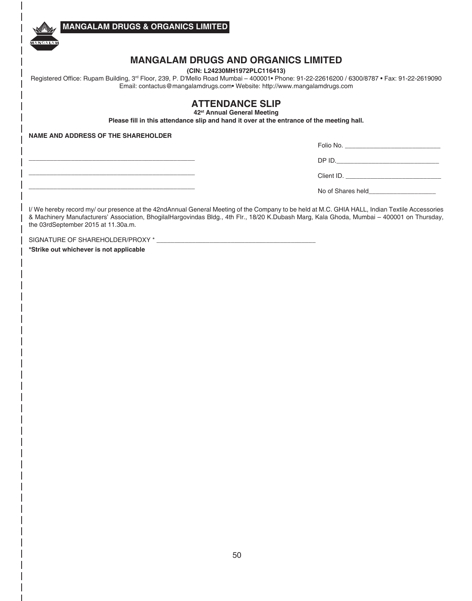

## **MANGALAM DRUGS AND ORGANICS LIMITED**

**(CIN: L24230MH1972PLC116413)**

Registered Office: Rupam Building, 3rd Floor, 239, P. D'Mello Road Mumbai – 400001• Phone: 91-22-22616200 / 6300/8787 • Fax: 91-22-2619090 Email: contactus@mangalamdrugs.com• Website: http://www.mangalamdrugs.com

## **ATTENDANCE SLIP**

**42st Annual General Meeting** 

**Please fill in this attendance slip and hand it over at the entrance of the meeting hall.**

**NAME AND ADDRESS OF THE SHAREHOLDER**

**\_\_\_\_\_\_\_\_\_\_\_\_\_\_\_\_\_\_\_\_\_\_\_\_\_\_\_\_\_\_\_\_\_\_\_\_\_\_\_\_\_\_\_\_\_\_\_ \_\_\_\_\_\_\_\_\_\_\_\_\_\_\_\_\_\_\_\_\_\_\_\_\_\_\_\_\_\_\_\_\_\_\_\_\_\_\_\_\_\_\_\_\_\_\_ \_\_\_\_\_\_\_\_\_\_\_\_\_\_\_\_\_\_\_\_\_\_\_\_\_\_\_\_\_\_\_\_\_\_\_\_\_\_\_\_\_\_\_\_\_\_\_**

| Folio No.         |  |
|-------------------|--|
| DPID.             |  |
| Client ID.        |  |
| No of Shares held |  |

I/ We hereby record my/ our presence at the 42ndAnnual General Meeting of the Company to be held at M.C. GHIA HALL, Indian Textile Accessories & Machinery Manufacturers' Association, BhogilalHargovindas Bldg., 4th Flr., 18/20 K.Dubash Marg, Kala Ghoda, Mumbai – 400001 on Thursday, the 03rdSeptember 2015 at 11.30a.m.

SIGNATURE OF SHAREHOLDER/PROXY \*

**\*Strike out whichever is not applicable**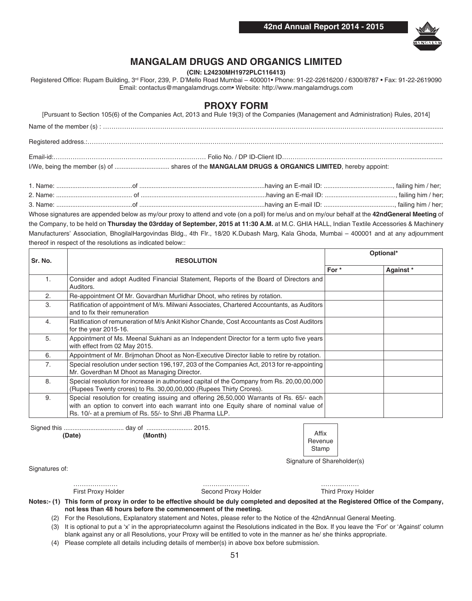

**(CIN: L24230MH1972PLC116413)**

Registered Office: Rupam Building, 3rd Floor, 239, P. D'Mello Road Mumbai – 400001• Phone: 91-22-22616200 / 6300/8787 • Fax: 91-22-2619090 Email: contactus@mangalamdrugs.com• Website: http://www.mangalamdrugs.com

### **PROXY FORM**

| [Pursuant to Section 105(6) of the Companies Act, 2013 and Rule 19(3) of the Companies (Management and Administration) Rules, 2014] |  |
|-------------------------------------------------------------------------------------------------------------------------------------|--|
|                                                                                                                                     |  |
|                                                                                                                                     |  |
|                                                                                                                                     |  |
|                                                                                                                                     |  |
|                                                                                                                                     |  |
|                                                                                                                                     |  |

| . Name:  |                        |                      |
|----------|------------------------|----------------------|
| 2. Name: | failing him / her;     |                      |
| 3. Name: | having an E-mail ID: . | . failing him / her: |

Whose signatures are appended below as my/our proxy to attend and vote (on a poll) for me/us and on my/our behalf at the **42ndGeneral Meeting** of the Company, to be held on **Thursday the 03rdday of September, 2015 at 11:30 A.M.** at M.C. GHIA HALL, Indian Textile Accessories & Machinery Manufacturers' Association, BhogilalHargovindas Bldg., 4th Flr., 18/20 K.Dubash Marg, Kala Ghoda, Mumbai – 400001 and at any adjournment thereof in respect of the resolutions as indicated below::

|                | <b>RESOLUTION</b>                                                                                                                                                                                                                             | Optional* |           |
|----------------|-----------------------------------------------------------------------------------------------------------------------------------------------------------------------------------------------------------------------------------------------|-----------|-----------|
| Sr. No.        |                                                                                                                                                                                                                                               |           |           |
|                |                                                                                                                                                                                                                                               | For *     | Against * |
| 1.             | Consider and adopt Audited Financial Statement, Reports of the Board of Directors and<br>Auditors.                                                                                                                                            |           |           |
| 2.             | Re-appointment Of Mr. Govardhan Murlidhar Dhoot, who retires by rotation.                                                                                                                                                                     |           |           |
| 3.             | Ratification of appointment of M/s. Milwani Associates, Chartered Accountants, as Auditors<br>and to fix their remuneration                                                                                                                   |           |           |
| 4.             | Ratification of remuneration of M/s Ankit Kishor Chande, Cost Accountants as Cost Auditors<br>for the year 2015-16.                                                                                                                           |           |           |
| 5.             | Appointment of Ms. Meenal Sukhani as an Independent Director for a term upto five years<br>with effect from 02 May 2015.                                                                                                                      |           |           |
| 6.             | Appointment of Mr. Brijmohan Dhoot as Non-Executive Director liable to retire by rotation.                                                                                                                                                    |           |           |
| 7 <sub>1</sub> | Special resolution under section 196,197, 203 of the Companies Act, 2013 for re-appointing<br>Mr. Goverdhan M Dhoot as Managing Director.                                                                                                     |           |           |
| 8.             | Special resolution for increase in authorised capital of the Company from Rs. 20,00,00,000<br>(Rupees Twenty crores) to Rs. 30,00,00,000 (Rupees Thirty Crores).                                                                              |           |           |
| 9.             | Special resolution for creating issuing and offering 26,50,000 Warrants of Rs. 65/- each<br>with an option to convert into each warrant into one Equity share of nominal value of<br>Rs. 10/- at a premium of Rs. 55/- to Shri JB Pharma LLP. |           |           |

 Signed this .................................. day of .......................... 2015.  **(Date) (Month)**

| Affix   |  |  |  |  |
|---------|--|--|--|--|
| Revenue |  |  |  |  |
| Stamp   |  |  |  |  |

Signature of Shareholder(s)

Signatures of:

………………… …………………. ……………… Second Proxy Holder

**Notes:- (1) This form of proxy in order to be effective should be duly completed and deposited at the Registered Office of the Company, not less than 48 hours before the commencement of the meeting.**

(2) For the Resolutions, Explanatory statement and Notes, please refer to the Notice of the 42ndAnnual General Meeting.

- (3) It is optional to put a 'x' in the appropriatecolumn against the Resolutions indicated in the Box. If you leave the 'For' or 'Against' column blank against any or all Resolutions, your Proxy will be entitled to vote in the manner as he/ she thinks appropriate.
- (4) Please complete all details including details of member(s) in above box before submission.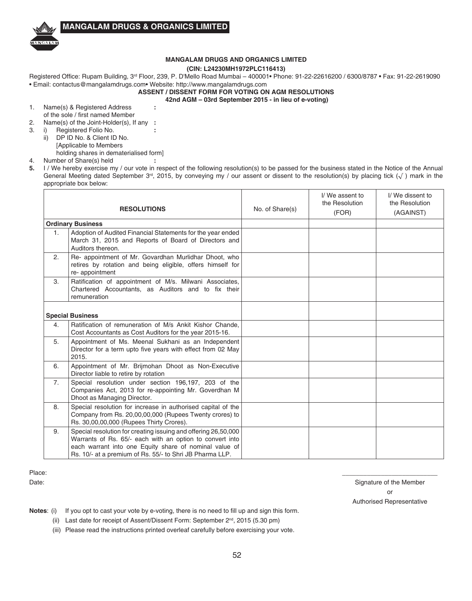

### **(CIN: L24230MH1972PLC116413)**

Registered Office: Rupam Building, 3rd Floor, 239, P. D'Mello Road Mumbai – 400001• Phone: 91-22-22616200 / 6300/8787 • Fax: 91-22-2619090 • Email: contactus@mangalamdrugs.com• Website: http://www.mangalamdrugs.com

**ASSENT / DISSENT FORM FOR VOTING ON AGM RESOLUTIONS**

**42nd AGM – 03rd September 2015 - in lieu of e-voting)**

- 1. Name(s) & Registered Address **:** of the sole / first named Member
- 2. Name(s) of the Joint-Holder(s), If any **:**
- 3. i) Registered Folio No. **:**
	- ii) DP ID No. & Client ID No.
		- [Applicable to Members
- holding shares in dematerialised form] 4. Number of Share(s) held **:**
- **5.** I / We hereby exercise my / our vote in respect of the following resolution(s) to be passed for the business stated in the Notice of the Annual General Meeting dated September 3<sup>rd</sup>, 2015, by conveying my / our assent or dissent to the resolution(s) by placing tick  $(\sqrt{\ } )$  mark in the appropriate box below:

| <b>RESOLUTIONS</b>      |                                                                                                                                                                                                                                                  | No. of Share(s) | I/We assent to<br>the Resolution<br>(FOR) | I/We dissent to<br>the Resolution<br>(AGAINST) |
|-------------------------|--------------------------------------------------------------------------------------------------------------------------------------------------------------------------------------------------------------------------------------------------|-----------------|-------------------------------------------|------------------------------------------------|
|                         | <b>Ordinary Business</b>                                                                                                                                                                                                                         |                 |                                           |                                                |
| 1.                      | Adoption of Audited Financial Statements for the year ended<br>March 31, 2015 and Reports of Board of Directors and<br>Auditors thereon.                                                                                                         |                 |                                           |                                                |
| 2.                      | Re- appointment of Mr. Govardhan Murlidhar Dhoot, who<br>retires by rotation and being eligible, offers himself for<br>re-appointment                                                                                                            |                 |                                           |                                                |
| 3.                      | Ratification of appointment of M/s. Milwani Associates,<br>Chartered Accountants, as Auditors and to fix their<br>remuneration                                                                                                                   |                 |                                           |                                                |
| <b>Special Business</b> |                                                                                                                                                                                                                                                  |                 |                                           |                                                |
| 4.                      | Ratification of remuneration of M/s Ankit Kishor Chande.<br>Cost Accountants as Cost Auditors for the year 2015-16.                                                                                                                              |                 |                                           |                                                |
| 5.                      | Appointment of Ms. Meenal Sukhani as an Independent<br>Director for a term upto five years with effect from 02 May<br>2015.                                                                                                                      |                 |                                           |                                                |
| 6.                      | Appointment of Mr. Brijmohan Dhoot as Non-Executive<br>Director liable to retire by rotation                                                                                                                                                     |                 |                                           |                                                |
| 7 <sub>1</sub>          | Special resolution under section 196,197, 203 of the<br>Companies Act, 2013 for re-appointing Mr. Goverdhan M<br>Dhoot as Managing Director.                                                                                                     |                 |                                           |                                                |
| 8.                      | Special resolution for increase in authorised capital of the<br>Company from Rs. 20,00,00,000 (Rupees Twenty crores) to<br>Rs. 30,00,00,000 (Rupees Thirty Crores).                                                                              |                 |                                           |                                                |
| 9.                      | Special resolution for creating issuing and offering 26,50,000<br>Warrants of Rs. 65/- each with an option to convert into<br>each warrant into one Equity share of nominal value of<br>Rs. 10/- at a premium of Rs. 55/- to Shri JB Pharma LLP. |                 |                                           |                                                |

### Place: \_\_\_\_\_\_\_\_\_\_\_\_\_\_\_\_\_\_\_\_\_\_\_\_\_\_\_

Date: Signature of the Member or Authorised Representative

**Notes:** (i) If you opt to cast your vote by e-voting, there is no need to fill up and sign this form.

(ii) Last date for receipt of Assent/Dissent Form: September 2<sup>nd</sup>, 2015 (5.30 pm)

(iii) Please read the instructions printed overleaf carefully before exercising your vote.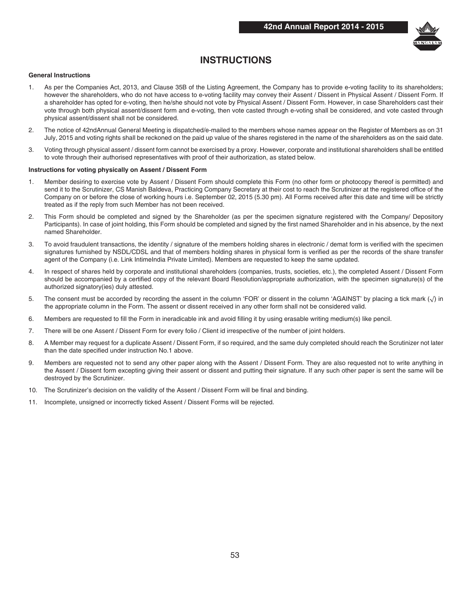

## **INSTRUCTIONS**

### **General Instructions**

- 1. As per the Companies Act, 2013, and Clause 35B of the Listing Agreement, the Company has to provide e-voting facility to its shareholders; however the shareholders, who do not have access to e-voting facility may convey their Assent / Dissent in Physical Assent / Dissent Form. If a shareholder has opted for e-voting, then he/she should not vote by Physical Assent / Dissent Form. However, in case Shareholders cast their vote through both physical assent/dissent form and e-voting, then vote casted through e-voting shall be considered, and vote casted through physical assent/dissent shall not be considered.
- 2. The notice of 42ndAnnual General Meeting is dispatched/e-mailed to the members whose names appear on the Register of Members as on 31 July, 2015 and voting rights shall be reckoned on the paid up value of the shares registered in the name of the shareholders as on the said date.
- 3. Voting through physical assent / dissent form cannot be exercised by a proxy. However, corporate and institutional shareholders shall be entitled to vote through their authorised representatives with proof of their authorization, as stated below.

#### **Instructions for voting physically on Assent / Dissent Form**

- Member desiring to exercise vote by Assent / Dissent Form should complete this Form (no other form or photocopy thereof is permitted) and send it to the Scrutinizer, CS Manish Baldeva, Practicing Company Secretary at their cost to reach the Scrutinizer at the registered office of the Company on or before the close of working hours i.e. September 02, 2015 (5.30 pm). All Forms received after this date and time will be strictly treated as if the reply from such Member has not been received.
- 2. This Form should be completed and signed by the Shareholder (as per the specimen signature registered with the Company/ Depository Participants). In case of joint holding, this Form should be completed and signed by the first named Shareholder and in his absence, by the next named Shareholder.
- 3. To avoid fraudulent transactions, the identity / signature of the members holding shares in electronic / demat form is verified with the specimen signatures furnished by NSDL/CDSL and that of members holding shares in physical form is verified as per the records of the share transfer agent of the Company (i.e. Link IntimeIndia Private Limited). Members are requested to keep the same updated.
- 4. In respect of shares held by corporate and institutional shareholders (companies, trusts, societies, etc.), the completed Assent / Dissent Form should be accompanied by a certified copy of the relevant Board Resolution/appropriate authorization, with the specimen signature(s) of the authorized signatory(ies) duly attested.
- 5. The consent must be accorded by recording the assent in the column 'FOR' or dissent in the column 'AGAINST' by placing a tick mark (√) in the appropriate column in the Form. The assent or dissent received in any other form shall not be considered valid.
- 6. Members are requested to fill the Form in ineradicable ink and avoid filling it by using erasable writing medium(s) like pencil.
- 7. There will be one Assent / Dissent Form for every folio / Client id irrespective of the number of joint holders.
- 8. A Member may request for a duplicate Assent / Dissent Form, if so required, and the same duly completed should reach the Scrutinizer not later than the date specified under instruction No.1 above.
- 9. Members are requested not to send any other paper along with the Assent / Dissent Form. They are also requested not to write anything in the Assent / Dissent form excepting giving their assent or dissent and putting their signature. If any such other paper is sent the same will be destroyed by the Scrutinizer.
- 10. The Scrutinizer's decision on the validity of the Assent / Dissent Form will be final and binding.
- 11. Incomplete, unsigned or incorrectly ticked Assent / Dissent Forms will be rejected.